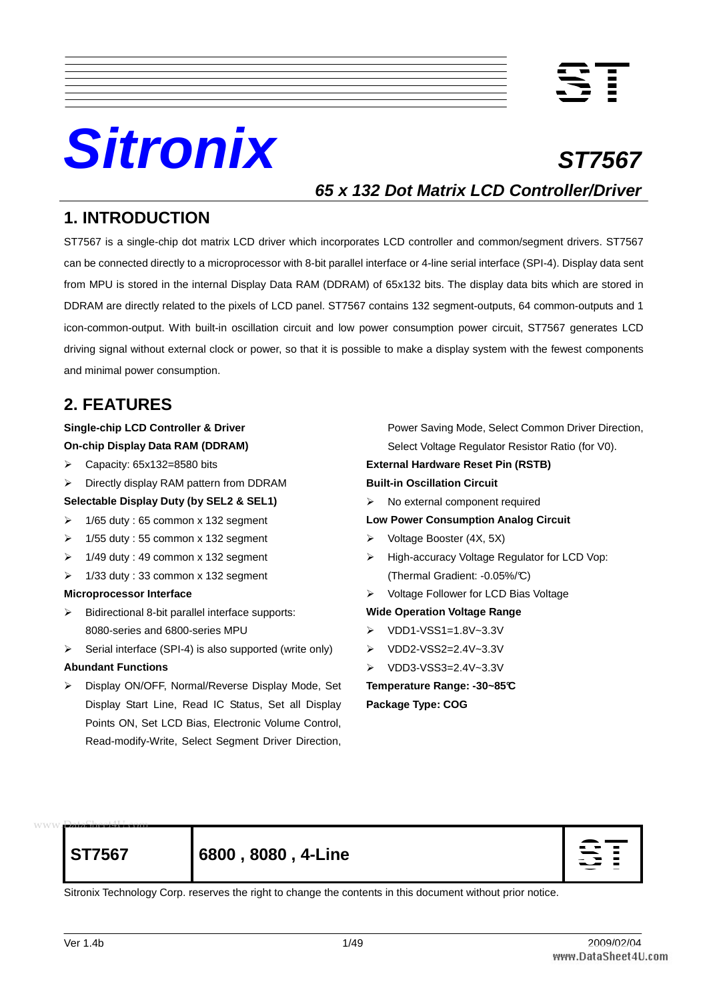

# **Sitronix** ST7567

**65 x 132 Dot Matrix LCD Controller/Driver**

## **1. INTRODUCTION**

ST7567 is a single-chip dot matrix LCD driver which incorporates LCD controller and common/segment drivers. ST7567 can be connected directly to a microprocessor with 8-bit parallel interface or 4-line serial interface (SPI-4). Display data sent from MPU is stored in the internal Display Data RAM (DDRAM) of 65x132 bits. The display data bits which are stored in DDRAM are directly related to the pixels of LCD panel. ST7567 contains 132 segment-outputs, 64 common-outputs and 1 icon-common-output. With built-in oscillation circuit and low power consumption power circuit, ST7567 generates LCD driving signal without external clock or power, so that it is possible to make a display system with the fewest components and minimal power consumption.

## **2. FEATURES**

#### **Single-chip LCD Controller & Driver On-chip Display Data RAM (DDRAM)**

- $\triangleright$  Capacity: 65x132=8580 bits
- Directly display RAM pattern from DDRAM

#### **Selectable Display Duty (by SEL2 & SEL1)**

- $\geq$  1/65 duty : 65 common x 132 segment
- $\geq$  1/55 duty : 55 common x 132 segment
- $\geq$  1/49 duty : 49 common x 132 segment
- $\geq$  1/33 duty : 33 common x 132 segment

#### **Microprocessor Interface**

- $\triangleright$  Bidirectional 8-bit parallel interface supports: 8080-series and 6800-series MPU
- $\triangleright$  Serial interface (SPI-4) is also supported (write only)

#### **Abundant Functions**

 Display ON/OFF, Normal/Reverse Display Mode, Set Display Start Line, Read IC Status, Set all Display Points ON, Set LCD Bias, Electronic Volume Control, Read-modify-Write, Select Segment Driver Direction,

Power Saving Mode, Select Common Driver Direction, Select Voltage Regulator Resistor Ratio (for V0). **External Hardware Reset Pin (RSTB) Built-in Oscillation Circuit** 

 $\triangleright$  No external component required

#### **Low Power Consumption Analog Circuit**

- $\triangleright$  Voltage Booster (4X, 5X)
- ▶ High-accuracy Voltage Regulator for LCD Vop: (Thermal Gradient: -0.05%/°C)
- Voltage Follower for LCD Bias Voltage

#### **Wide Operation Voltage Range**

- VDD1-VSS1=1.8V~3.3V
- VDD2-VSS2=2.4V~3.3V
- $\triangleright$  VDD3-VSS3=2.4V~3.3V

**Temperature Range: -30~85°C Package Type: COG** 

## www.**DataSheet4U.com**

**ST7567 6800 , 8080 , 4-Line** 



Sitronix Technology Corp. reserves the right to change the contents in this document without prior notice.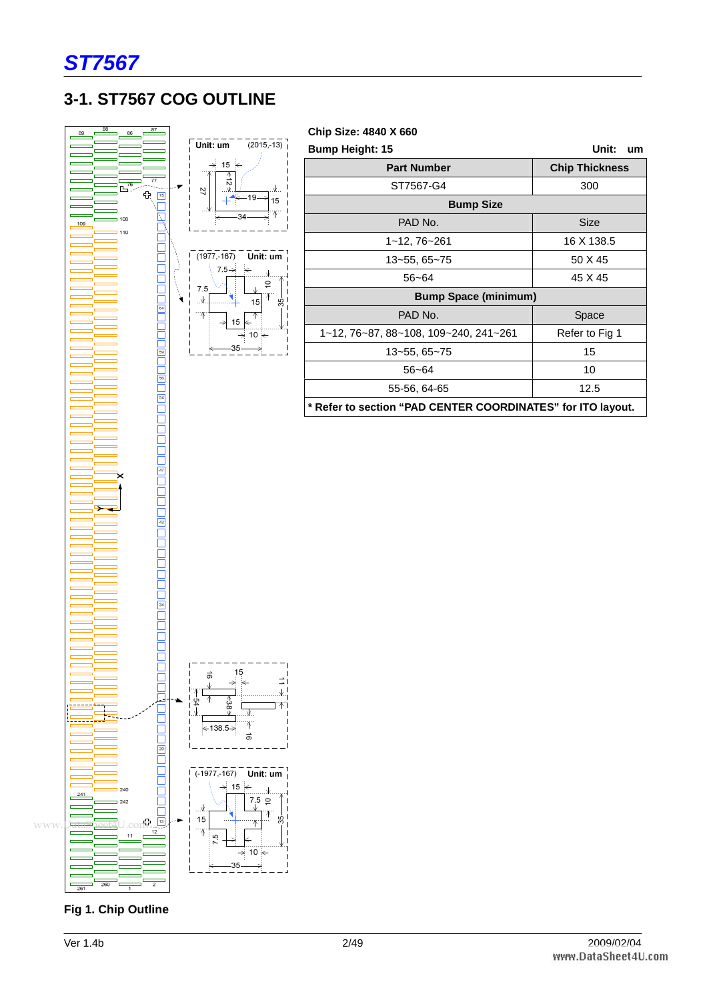

## **3-1. ST7567 COG OUTLINE**



**Chip Size: 4840 X 660** 

| <b>Bump Height: 15</b>                                      | Unit:<br>um           |  |  |  |  |  |  |  |  |
|-------------------------------------------------------------|-----------------------|--|--|--|--|--|--|--|--|
| <b>Part Number</b>                                          | <b>Chip Thickness</b> |  |  |  |  |  |  |  |  |
| ST7567-G4                                                   | 300                   |  |  |  |  |  |  |  |  |
| <b>Bump Size</b>                                            |                       |  |  |  |  |  |  |  |  |
| PAD No.                                                     | <b>Size</b>           |  |  |  |  |  |  |  |  |
| 1~12, 76~261                                                | 16 X 138.5            |  |  |  |  |  |  |  |  |
| 13~55, 65~75                                                | 50 X 45               |  |  |  |  |  |  |  |  |
| 56~64                                                       | 45 X 45               |  |  |  |  |  |  |  |  |
| <b>Bump Space (minimum)</b>                                 |                       |  |  |  |  |  |  |  |  |
| PAD No.                                                     | Space                 |  |  |  |  |  |  |  |  |
| 1~12, 76~87, 88~108, 109~240, 241~261                       | Refer to Fig 1        |  |  |  |  |  |  |  |  |
| 13~55, 65~75                                                | 15                    |  |  |  |  |  |  |  |  |
| $56 - 64$                                                   | 10                    |  |  |  |  |  |  |  |  |
| 55-56, 64-65                                                | 12.5                  |  |  |  |  |  |  |  |  |
| * Refer to section "PAD CENTER COORDINATES" for ITO layout. |                       |  |  |  |  |  |  |  |  |



**Fig 1. Chip Outline**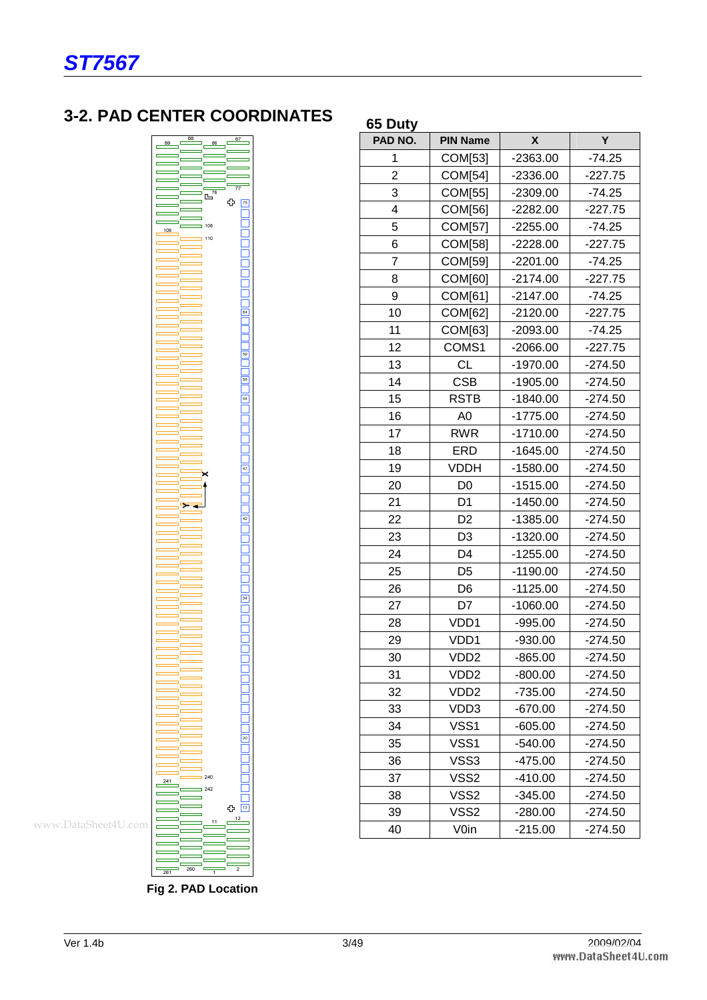## **3-2. PAD CENTER COORDINATES**



| PAD NO.        | <b>PIN Name</b>   | X          | Y         |
|----------------|-------------------|------------|-----------|
| 1              | COM[53]           | $-2363.00$ | $-74.25$  |
| $\overline{2}$ | COM[54]           | $-2336.00$ | $-227.75$ |
| 3              | COM[55]           | $-2309.00$ | $-74.25$  |
| 4              | <b>COM[56]</b>    | $-2282.00$ | $-227.75$ |
| 5              | COM[57]           | $-2255.00$ | $-74.25$  |
| 6              | COM[58]           | $-2228.00$ | $-227.75$ |
| 7              | COM[59]           | $-2201.00$ | $-74.25$  |
| 8              | COM[60]           | $-2174.00$ | $-227.75$ |
| 9              | COM[61]           | $-2147.00$ | $-74.25$  |
| 10             | COM[62]           | $-2120.00$ | $-227.75$ |
| 11             | COM[63]           | $-2093.00$ | $-74.25$  |
| 12             | COMS1             | $-2066.00$ | $-227.75$ |
| 13             | <b>CL</b>         | $-1970.00$ | $-274.50$ |
| 14             | <b>CSB</b>        | $-1905.00$ | $-274.50$ |
| 15             | <b>RSTB</b>       | $-1840.00$ | $-274.50$ |
| 16             | A <sub>0</sub>    | $-1775.00$ | $-274.50$ |
| 17             | <b>RWR</b>        | $-1710.00$ | $-274.50$ |
| 18             | <b>ERD</b>        | $-1645.00$ | $-274.50$ |
| 19             | <b>VDDH</b>       | $-1580.00$ | $-274.50$ |
| 20             | D <sub>0</sub>    | $-1515.00$ | $-274.50$ |
| 21             | D <sub>1</sub>    | $-1450.00$ | $-274.50$ |
| 22             | D <sub>2</sub>    | $-1385.00$ | $-274.50$ |
| 23             | D <sub>3</sub>    | $-1320.00$ | $-274.50$ |
| 24             | D <sub>4</sub>    | $-1255.00$ | $-274.50$ |
| 25             | D <sub>5</sub>    | $-1190.00$ | $-274.50$ |
| 26             | D <sub>6</sub>    | $-1125.00$ | $-274.50$ |
| 27             | D7                | $-1060.00$ | $-274.50$ |
| 28             | VDD1              | $-995.00$  | $-274.50$ |
| 29             | VDD1              | $-930.00$  | $-274.50$ |
| 30             | VD <sub>D2</sub>  | $-865.00$  | $-274.50$ |
| 31             | VDD2              | $-800.00$  | $-274.50$ |
| 32             | VDD <sub>2</sub>  | -735.00    | $-274.50$ |
| 33             | VDD3              | $-670.00$  | $-274.50$ |
| 34             | VSS1              | $-605.00$  | $-274.50$ |
| 35             | VSS1              | $-540.00$  | -274.50   |
| 36             | VSS3              | $-475.00$  | $-274.50$ |
| 37             | VSS2              | $-410.00$  | $-274.50$ |
| 38             | VSS <sub>2</sub>  | $-345.00$  | $-274.50$ |
| 39             | VSS <sub>2</sub>  | $-280.00$  | $-274.50$ |
| 40             | V <sub>0</sub> in | $-215.00$  | $-274.50$ |

**65 Duty** 

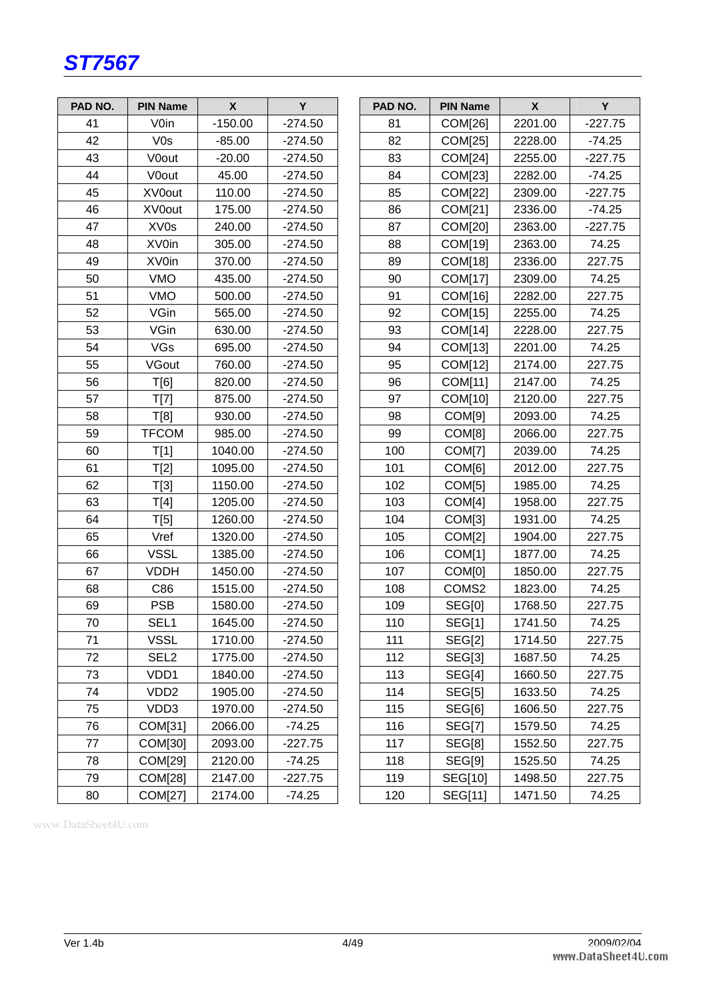

| PAD NO. | <b>PIN Name</b>   | $\boldsymbol{\mathsf{X}}$ | Y         | PAD NO. | <b>PIN Name</b> | $\boldsymbol{\mathsf{X}}$ | Y         |
|---------|-------------------|---------------------------|-----------|---------|-----------------|---------------------------|-----------|
| 41      | V <sub>0</sub> in | $-150.00$                 | $-274.50$ | 81      | COM[26]         | 2201.00                   | $-227.75$ |
| 42      | V0s               | $-85.00$                  | -274.50   | 82      | <b>COM[25]</b>  | 2228.00                   | $-74.25$  |
| 43      | <b>V0out</b>      | $-20.00$                  | $-274.50$ | 83      | COM[24]         | 2255.00                   | $-227.75$ |
| 44      | V0out             | 45.00                     | $-274.50$ | 84      | COM[23]         | 2282.00                   | $-74.25$  |
| 45      | XV0out            | 110.00                    | $-274.50$ | 85      | COM[22]         | 2309.00                   | $-227.75$ |
| 46      | XV0out            | 175.00                    | $-274.50$ | 86      | COM[21]         | 2336.00                   | $-74.25$  |
| 47      | XV <sub>0s</sub>  | 240.00                    | $-274.50$ | 87      | COM[20]         | 2363.00                   | $-227.75$ |
| 48      | XV0in             | 305.00                    | $-274.50$ | 88      | COM[19]         | 2363.00                   | 74.25     |
| 49      | XV0in             | 370.00                    | $-274.50$ | 89      | COM[18]         | 2336.00                   | 227.75    |
| 50      | <b>VMO</b>        | 435.00                    | $-274.50$ | 90      | COM[17]         | 2309.00                   | 74.25     |
| 51      | <b>VMO</b>        | 500.00                    | $-274.50$ | 91      | COM[16]         | 2282.00                   | 227.75    |
| 52      | VGin              | 565.00                    | $-274.50$ | 92      | COM[15]         | 2255.00                   | 74.25     |
| 53      | VGin              | 630.00                    | $-274.50$ | 93      | COM[14]         | 2228.00                   | 227.75    |
| 54      | VGs               | 695.00                    | $-274.50$ | 94      | COM[13]         | 2201.00                   | 74.25     |
| 55      | VGout             | 760.00                    | $-274.50$ | 95      | COM[12]         | 2174.00                   | 227.75    |
| 56      | T[6]              | 820.00                    | $-274.50$ | 96      | COM[11]         | 2147.00                   | 74.25     |
| 57      | T[7]              | 875.00                    | $-274.50$ | 97      | COM[10]         | 2120.00                   | 227.75    |
| 58      | T[8]              | 930.00                    | $-274.50$ | 98      | COM[9]          | 2093.00                   | 74.25     |
| 59      | <b>TFCOM</b>      | 985.00                    | $-274.50$ | 99      | COM[8]          | 2066.00                   | 227.75    |
| 60      | T[1]              | 1040.00                   | $-274.50$ | 100     | COM[7]          | 2039.00                   | 74.25     |
| 61      | T[2]              | 1095.00                   | $-274.50$ | 101     | COM[6]          | 2012.00                   | 227.75    |
| 62      | T[3]              | 1150.00                   | $-274.50$ | 102     | COM[5]          | 1985.00                   | 74.25     |
| 63      | T[4]              | 1205.00                   | $-274.50$ | 103     | COM[4]          | 1958.00                   | 227.75    |
| 64      | T[5]              | 1260.00                   | $-274.50$ | 104     | COM[3]          | 1931.00                   | 74.25     |
| 65      | Vref              | 1320.00                   | $-274.50$ | 105     | COM[2]          | 1904.00                   | 227.75    |
| 66      | <b>VSSL</b>       | 1385.00                   | $-274.50$ | 106     | COM[1]          | 1877.00                   | 74.25     |
| 67      | <b>VDDH</b>       | 1450.00                   | $-274.50$ | 107     | COM[0]          | 1850.00                   | 227.75    |
| 68      | C86               | 1515.00                   | $-274.50$ | 108     | COMS2           | 1823.00                   | 74.25     |
| 69      | <b>PSB</b>        | 1580.00                   | $-274.50$ | 109     | <b>SEG[0]</b>   | 1768.50                   | 227.75    |
| 70      | SEL1              | 1645.00                   | $-274.50$ | 110     | <b>SEG[1]</b>   | 1741.50                   | 74.25     |
| 71      | <b>VSSL</b>       | 1710.00                   | $-274.50$ | 111     | <b>SEG[2]</b>   | 1714.50                   | 227.75    |
| 72      | SEL <sub>2</sub>  | 1775.00                   | $-274.50$ | 112     | <b>SEG[3]</b>   | 1687.50                   | 74.25     |
| 73      | VDD1              | 1840.00                   | $-274.50$ | 113     | SEG[4]          | 1660.50                   | 227.75    |
| 74      | VDD <sub>2</sub>  | 1905.00                   | $-274.50$ | 114     | <b>SEG[5]</b>   | 1633.50                   | 74.25     |
| 75      | VDD3              | 1970.00                   | $-274.50$ | 115     | SEG[6]          | 1606.50                   | 227.75    |
| 76      | COM[31]           | 2066.00                   | $-74.25$  | 116     | <b>SEG[7]</b>   | 1579.50                   | 74.25     |
| 77      | COM[30]           | 2093.00                   | $-227.75$ | 117     | SEG[8]          | 1552.50                   | 227.75    |
| 78      | COM[29]           | 2120.00                   | $-74.25$  | 118     | SEG[9]          | 1525.50                   | 74.25     |
| 79      | COM[28]           | 2147.00                   | $-227.75$ | 119     | SEG[10]         | 1498.50                   | 227.75    |
| 80      | COM[27]           | 2174.00                   | $-74.25$  | 120     | SEG[11]         | 1471.50                   | 74.25     |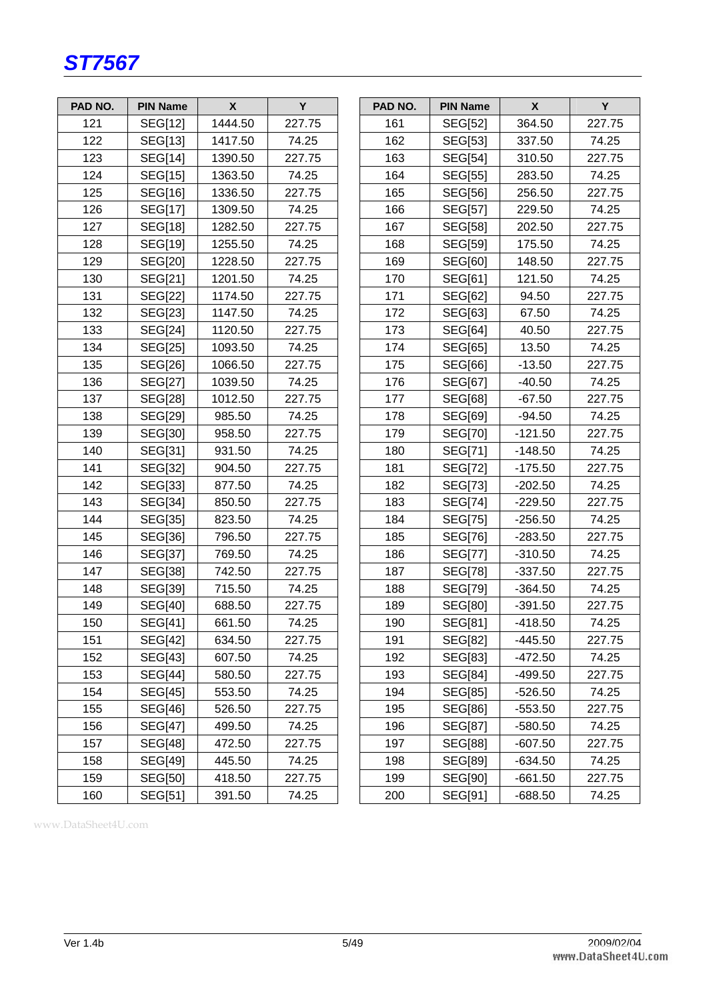

| PAD NO. | <b>PIN Name</b> | $\mathsf{x}$ | Y      | PAD NO. | <b>PIN Name</b> | $\mathsf{x}$ | Y      |
|---------|-----------------|--------------|--------|---------|-----------------|--------------|--------|
| 121     | SEG[12]         | 1444.50      | 227.75 | 161     | SEG[52]         | 364.50       | 227.75 |
| 122     | SEG[13]         | 1417.50      | 74.25  | 162     | SEG[53]         | 337.50       | 74.25  |
| 123     | <b>SEG[14]</b>  | 1390.50      | 227.75 | 163     | <b>SEG[54]</b>  | 310.50       | 227.75 |
| 124     | <b>SEG[15]</b>  | 1363.50      | 74.25  | 164     | SEG[55]         | 283.50       | 74.25  |
| 125     | SEG[16]         | 1336.50      | 227.75 | 165     | SEG[56]         | 256.50       | 227.75 |
| 126     | SEG[17]         | 1309.50      | 74.25  | 166     | <b>SEG[57]</b>  | 229.50       | 74.25  |
| 127     | SEG[18]         | 1282.50      | 227.75 | 167     | <b>SEG[58]</b>  | 202.50       | 227.75 |
| 128     | SEG[19]         | 1255.50      | 74.25  | 168     | <b>SEG[59]</b>  | 175.50       | 74.25  |
| 129     | SEG[20]         | 1228.50      | 227.75 | 169     | <b>SEG[60]</b>  | 148.50       | 227.75 |
| 130     | SEG[21]         | 1201.50      | 74.25  | 170     | SEG[61]         | 121.50       | 74.25  |
| 131     | SEG[22]         | 1174.50      | 227.75 | 171     | SEG[62]         | 94.50        | 227.75 |
| 132     | SEG[23]         | 1147.50      | 74.25  | 172     | SEG[63]         | 67.50        | 74.25  |
| 133     | <b>SEG[24]</b>  | 1120.50      | 227.75 | 173     | <b>SEG[64]</b>  | 40.50        | 227.75 |
| 134     | SEG[25]         | 1093.50      | 74.25  | 174     | SEG[65]         | 13.50        | 74.25  |
| 135     | <b>SEG[26]</b>  | 1066.50      | 227.75 | 175     | SEG[66]         | $-13.50$     | 227.75 |
| 136     | SEG[27]         | 1039.50      | 74.25  | 176     | SEG[67]         | $-40.50$     | 74.25  |
| 137     | SEG[28]         | 1012.50      | 227.75 | 177     | SEG[68]         | $-67.50$     | 227.75 |
| 138     | <b>SEG[29]</b>  | 985.50       | 74.25  | 178     | SEG[69]         | $-94.50$     | 74.25  |
| 139     | SEG[30]         | 958.50       | 227.75 | 179     | SEG[70]         | $-121.50$    | 227.75 |
| 140     | SEG[31]         | 931.50       | 74.25  | 180     | SEG[71]         | $-148.50$    | 74.25  |
| 141     | SEG[32]         | 904.50       | 227.75 | 181     | <b>SEG[72]</b>  | $-175.50$    | 227.75 |
| 142     | SEG[33]         | 877.50       | 74.25  | 182     | <b>SEG[73]</b>  | $-202.50$    | 74.25  |
| 143     | <b>SEG[34]</b>  | 850.50       | 227.75 | 183     | <b>SEG[74]</b>  | $-229.50$    | 227.75 |
| 144     | SEG[35]         | 823.50       | 74.25  | 184     | <b>SEG[75]</b>  | $-256.50$    | 74.25  |
| 145     | SEG[36]         | 796.50       | 227.75 | 185     | SEG[76]         | $-283.50$    | 227.75 |
| 146     | SEG[37]         | 769.50       | 74.25  | 186     | SEG[77]         | $-310.50$    | 74.25  |
| 147     | <b>SEG[38]</b>  | 742.50       | 227.75 | 187     | <b>SEG[78]</b>  | $-337.50$    | 227.75 |
| 148     | SEG[39]         | 715.50       | 74.25  | 188     | <b>SEG[79]</b>  | $-364.50$    | 74.25  |
| 149     | SEG[40]         | 688.50       | 227.75 | 189     | <b>SEG[80]</b>  | $-391.50$    | 227.75 |
| 150     | SEG[41]         | 661.50       | 74.25  | 190     | SEG[81]         | $-418.50$    | 74.25  |
| 151     | <b>SEG[42]</b>  | 634.50       | 227.75 | 191     | SEG[82]         | $-445.50$    | 227.75 |
| 152     | <b>SEG[43]</b>  | 607.50       | 74.25  | 192     | SEG[83]         | $-472.50$    | 74.25  |
| 153     | <b>SEG[44]</b>  | 580.50       | 227.75 | 193     | <b>SEG[84]</b>  | $-499.50$    | 227.75 |
| 154     | <b>SEG[45]</b>  | 553.50       | 74.25  | 194     | SEG[85]         | $-526.50$    | 74.25  |
| 155     | SEG[46]         | 526.50       | 227.75 | 195     | SEG[86]         | $-553.50$    | 227.75 |
| 156     | SEG[47]         | 499.50       | 74.25  | 196     | SEG[87]         | $-580.50$    | 74.25  |
| 157     | <b>SEG[48]</b>  | 472.50       | 227.75 | 197     | <b>SEG[88]</b>  | $-607.50$    | 227.75 |
| 158     | SEG[49]         | 445.50       | 74.25  | 198     | SEG[89]         | $-634.50$    | 74.25  |
| 159     | SEG[50]         | 418.50       | 227.75 | 199     | <b>SEG[90]</b>  | $-661.50$    | 227.75 |
| 160     | SEG[51]         | 391.50       | 74.25  | 200     | SEG[91]         | $-688.50$    | 74.25  |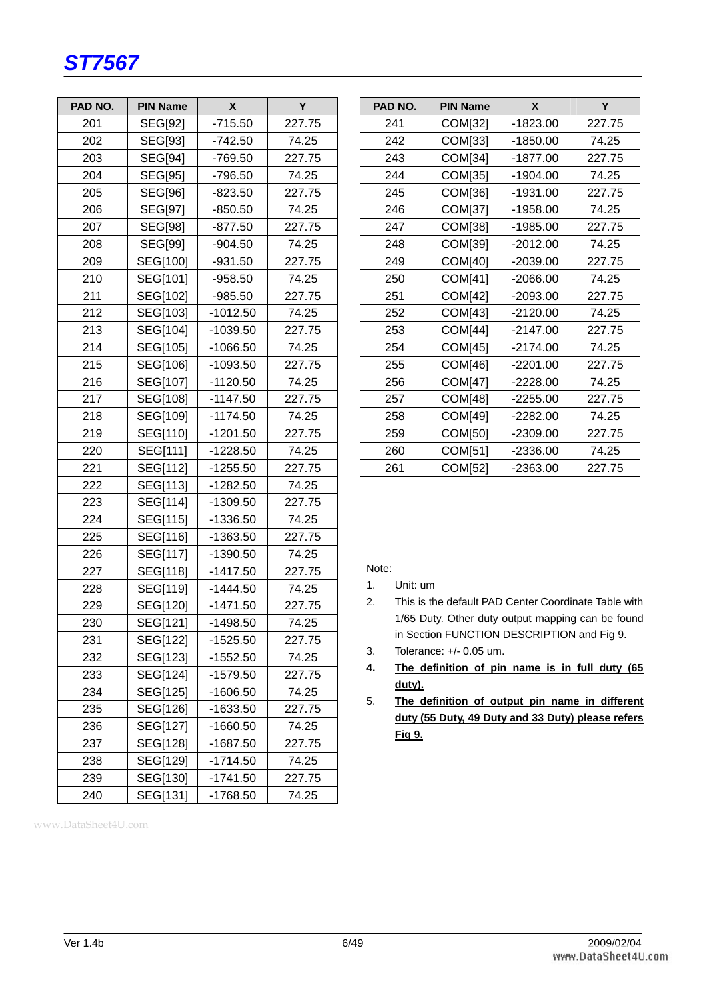

| PAD NO. | <b>PIN Name</b> | X          | Υ      |
|---------|-----------------|------------|--------|
| 201     | SEG[92]         | $-715.50$  | 227.75 |
| 202     | <b>SEG[93]</b>  | $-742.50$  | 74.25  |
| 203     | SEG[94]         | $-769.50$  | 227.75 |
| 204     | <b>SEG[95]</b>  | -796.50    | 74.25  |
| 205     | <b>SEG[96]</b>  | $-823.50$  | 227.75 |
| 206     | SEG[97]         | $-850.50$  | 74.25  |
| 207     | <b>SEG[98]</b>  | $-877.50$  | 227.75 |
| 208     | <b>SEG[99]</b>  | $-904.50$  | 74.25  |
| 209     | SEG[100]        | $-931.50$  | 227.75 |
| 210     | SEG[101]        | $-958.50$  | 74.25  |
| 211     | SEG[102]        | $-985.50$  | 227.75 |
| 212     | SEG[103]        | $-1012.50$ | 74.25  |
| 213     | SEG[104]        | -1039.50   | 227.75 |
| 214     | SEG[105]        | $-1066.50$ | 74.25  |
| 215     | SEG[106]        | $-1093.50$ | 227.75 |
| 216     | SEG[107]        | $-1120.50$ | 74.25  |
| 217     | SEG[108]        | $-1147.50$ | 227.75 |
| 218     | SEG[109]        | $-1174.50$ | 74.25  |
| 219     | SEG[110]        | $-1201.50$ | 227.75 |
| 220     | SEG[111]        | $-1228.50$ | 74.25  |
| 221     | SEG[112]        | $-1255.50$ | 227.75 |
| 222     | SEG[113]        | $-1282.50$ | 74.25  |
| 223     | SEG[114]        | $-1309.50$ | 227.75 |
| 224     | SEG[115]        | $-1336.50$ | 74.25  |
| 225     | SEG[116]        | -1363.50   | 227.75 |
| 226     | SEG[117]        | $-1390.50$ | 74.25  |
| 227     | SEG[118]        | $-1417.50$ | 227.75 |
| 228     | SEG[119]        | $-1444.50$ | 74.25  |
| 229     | SEG[120]        | $-1471.50$ | 227.75 |
| 230     | SEG[121]        | $-1498.50$ | 74.25  |
| 231     | SEG[122]        | $-1525.50$ | 227.75 |
| 232     | SEG[123]        | $-1552.50$ | 74.25  |
| 233     | SEG[124]        | $-1579.50$ | 227.75 |
| 234     | SEG[125]        | -1606.50   | 74.25  |
| 235     | <b>SEG[126]</b> | $-1633.50$ | 227.75 |
| 236     | <b>SEG[127]</b> | $-1660.50$ | 74.25  |
| 237     | <b>SEG[128]</b> | $-1687.50$ | 227.75 |
| 238     | SEG[129]        | $-1714.50$ | 74.25  |
| 239     | SEG[130]        | $-1741.50$ | 227.75 |
| 240     | SEG[131]        | -1768.50   | 74.25  |

www.DataSheet4U.com

| PAD NO. | <b>PIN Name</b> | X          | Y      |
|---------|-----------------|------------|--------|
| 241     | COM[32]         | -1823.00   | 227.75 |
| 242     | <b>COM[33]</b>  | $-1850.00$ | 74.25  |
| 243     | COM[34]         | $-1877.00$ | 227.75 |
| 244     | <b>COM[35]</b>  | $-1904.00$ | 74.25  |
| 245     | COM[36]         | $-1931.00$ | 227.75 |
| 246     | COM[37]         | $-1958.00$ | 74.25  |
| 247     | <b>COM[38]</b>  | $-1985.00$ | 227.75 |
| 248     | <b>COM[39]</b>  | $-2012.00$ | 74.25  |
| 249     | COM[40]         | $-2039.00$ | 227.75 |
| 250     | <b>COM[41]</b>  | $-2066.00$ | 74.25  |
| 251     | <b>COM[42]</b>  | $-2093.00$ | 227.75 |
| 252     | COM[43]         | $-2120.00$ | 74.25  |
| 253     | COM[44]         | $-2147.00$ | 227.75 |
| 254     | <b>COM[45]</b>  | $-2174.00$ | 74.25  |
| 255     | COM[46]         | $-2201.00$ | 227.75 |
| 256     | COM[47]         | $-2228.00$ | 74.25  |
| 257     | <b>COM[48]</b>  | $-2255.00$ | 227.75 |
| 258     | COM[49]         | $-2282.00$ | 74.25  |
| 259     | COM[50]         | $-2309.00$ | 227.75 |
| 260     | <b>COM[51]</b>  | $-2336.00$ | 74.25  |
| 261     | COM[52]         | $-2363.00$ | 227.75 |

Note:

- 1. Unit: um
- 2. This is the default PAD Center Coordinate Table with 1/65 Duty. Other duty output mapping can be found in Section FUNCTION DESCRIPTION and Fig 9.
- 3. Tolerance: +/- 0.05 um.
- **4. The definition of pin name is in full duty (65 duty).**
- 5. **The definition of output pin name in different duty (55 Duty, 49 Duty and 33 Duty) please refers Fig 9.**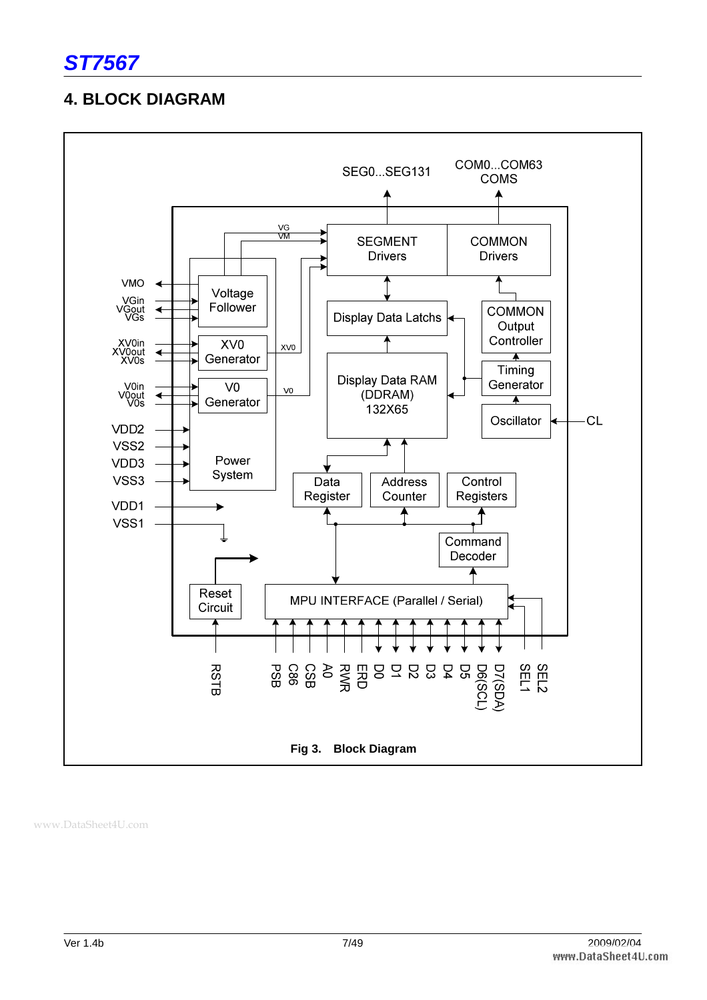## **4. BLOCK DIAGRAM**

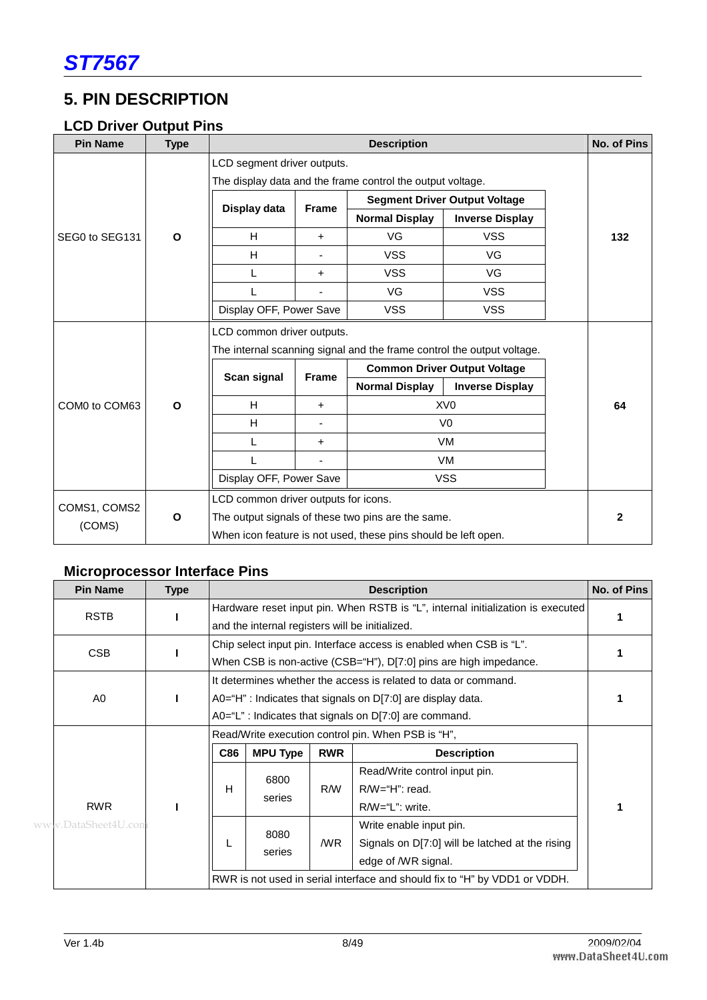## **5. PIN DESCRIPTION**

### **LCD Driver Output Pins**

| <b>Pin Name</b> | <b>Type</b>  |                                                                        | <b>Description</b><br>No. of Pins                          |                                                                |                                      |  |                |  |  |  |  |
|-----------------|--------------|------------------------------------------------------------------------|------------------------------------------------------------|----------------------------------------------------------------|--------------------------------------|--|----------------|--|--|--|--|
|                 |              | LCD segment driver outputs.                                            |                                                            |                                                                |                                      |  |                |  |  |  |  |
|                 |              |                                                                        | The display data and the frame control the output voltage. |                                                                |                                      |  |                |  |  |  |  |
|                 |              | Display data                                                           | <b>Frame</b>                                               |                                                                | <b>Segment Driver Output Voltage</b> |  |                |  |  |  |  |
|                 |              |                                                                        |                                                            | <b>Normal Display</b>                                          | <b>Inverse Display</b>               |  |                |  |  |  |  |
| SEG0 to SEG131  | $\mathbf{o}$ | H                                                                      | $\ddot{}$                                                  | VG                                                             | <b>VSS</b>                           |  | 132            |  |  |  |  |
|                 |              | H                                                                      |                                                            | <b>VSS</b>                                                     | VG                                   |  |                |  |  |  |  |
|                 |              | L                                                                      | $\ddot{}$                                                  | <b>VSS</b>                                                     | VG                                   |  |                |  |  |  |  |
|                 |              |                                                                        |                                                            | VG                                                             | <b>VSS</b>                           |  |                |  |  |  |  |
|                 |              | Display OFF, Power Save                                                |                                                            | <b>VSS</b>                                                     | <b>VSS</b>                           |  |                |  |  |  |  |
|                 |              | LCD common driver outputs.                                             |                                                            |                                                                |                                      |  |                |  |  |  |  |
|                 |              | The internal scanning signal and the frame control the output voltage. |                                                            |                                                                |                                      |  |                |  |  |  |  |
|                 |              | Scan signal<br><b>Frame</b>                                            |                                                            |                                                                | <b>Common Driver Output Voltage</b>  |  |                |  |  |  |  |
|                 |              |                                                                        | <b>Normal Display</b>                                      | <b>Inverse Display</b>                                         |                                      |  |                |  |  |  |  |
| COM0 to COM63   | $\mathbf{o}$ | H                                                                      | $\ddot{}$                                                  | XV <sub>0</sub>                                                |                                      |  | 64             |  |  |  |  |
|                 |              | H                                                                      |                                                            |                                                                | V <sub>0</sub>                       |  |                |  |  |  |  |
|                 |              | L                                                                      | $\ddot{}$                                                  |                                                                | <b>VM</b>                            |  |                |  |  |  |  |
|                 |              |                                                                        |                                                            | VM.                                                            |                                      |  |                |  |  |  |  |
|                 |              | Display OFF, Power Save                                                |                                                            | <b>VSS</b>                                                     |                                      |  |                |  |  |  |  |
|                 |              | LCD common driver outputs for icons.                                   |                                                            |                                                                |                                      |  |                |  |  |  |  |
| COMS1, COMS2    | $\mathbf{o}$ |                                                                        |                                                            | The output signals of these two pins are the same.             |                                      |  | $\overline{2}$ |  |  |  |  |
| (COMS)          |              |                                                                        |                                                            | When icon feature is not used, these pins should be left open. |                                      |  |                |  |  |  |  |

## **Microprocessor Interface Pins**

| <b>Pin Name</b>                                                    | <b>Type</b> |                                                              | No. of Pins<br><b>Description</b>                                          |            |                                                                                 |  |  |  |  |
|--------------------------------------------------------------------|-------------|--------------------------------------------------------------|----------------------------------------------------------------------------|------------|---------------------------------------------------------------------------------|--|--|--|--|
| <b>RSTB</b>                                                        |             |                                                              |                                                                            |            | Hardware reset input pin. When RSTB is "L", internal initialization is executed |  |  |  |  |
|                                                                    |             |                                                              | and the internal registers will be initialized.                            |            |                                                                                 |  |  |  |  |
| <b>CSB</b>                                                         |             |                                                              | Chip select input pin. Interface access is enabled when CSB is "L".        |            |                                                                                 |  |  |  |  |
|                                                                    |             |                                                              | When CSB is non-active (CSB="H"), D[7:0] pins are high impedance.          |            |                                                                                 |  |  |  |  |
|                                                                    |             |                                                              |                                                                            |            | It determines whether the access is related to data or command.                 |  |  |  |  |
| A0<br>A0="H": Indicates that signals on $D[7:0]$ are display data. |             |                                                              |                                                                            |            |                                                                                 |  |  |  |  |
|                                                                    |             | $A0 = "L"$ : Indicates that signals on $D[7:0]$ are command. |                                                                            |            |                                                                                 |  |  |  |  |
|                                                                    |             | Read/Write execution control pin. When PSB is "H",           |                                                                            |            |                                                                                 |  |  |  |  |
|                                                                    |             | <b>C86</b>                                                   | <b>MPU Type</b>                                                            | <b>RWR</b> | <b>Description</b>                                                              |  |  |  |  |
|                                                                    |             | H                                                            | 6800                                                                       |            | Read/Write control input pin.                                                   |  |  |  |  |
|                                                                    |             |                                                              | series                                                                     | R/W        | $R/W = H$ ": read.                                                              |  |  |  |  |
| <b>RWR</b>                                                         |             |                                                              |                                                                            |            | R/W="L": write.                                                                 |  |  |  |  |
| www.DataSheet4U.com                                                |             |                                                              | 8080                                                                       |            | Write enable input pin.                                                         |  |  |  |  |
|                                                                    |             |                                                              |                                                                            | /WR        | Signals on D[7:0] will be latched at the rising                                 |  |  |  |  |
|                                                                    |             | series                                                       |                                                                            |            | edge of /WR signal.                                                             |  |  |  |  |
|                                                                    |             |                                                              | RWR is not used in serial interface and should fix to "H" by VDD1 or VDDH. |            |                                                                                 |  |  |  |  |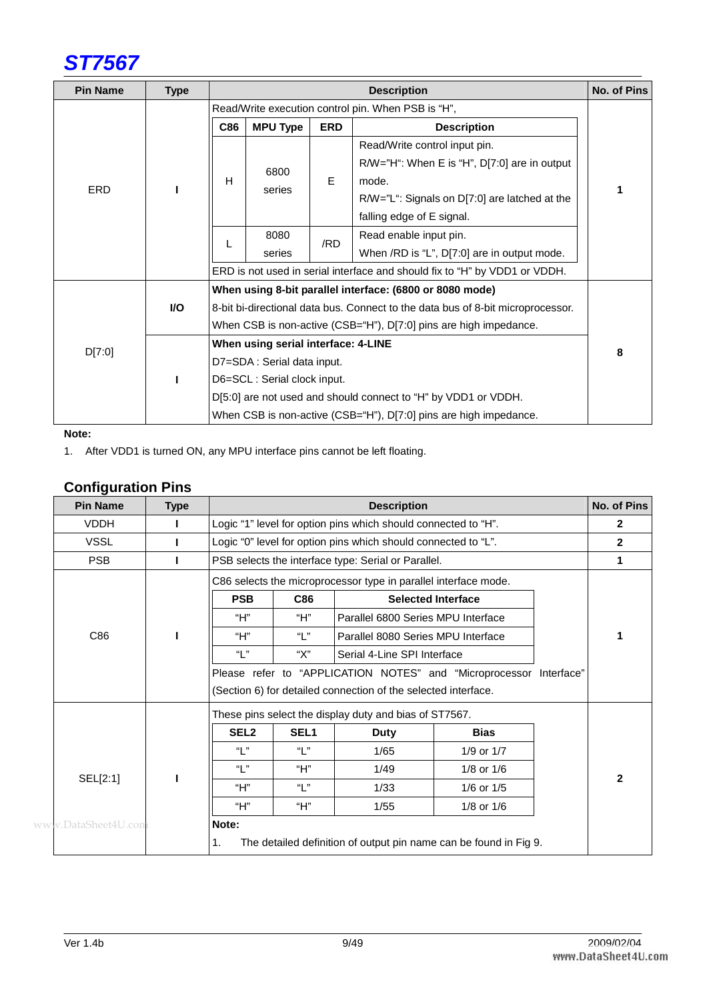

| <b>Pin Name</b> | <b>Type</b> |                             | <b>Description</b>                                                              |                        |                                                                            |   |  |  |
|-----------------|-------------|-----------------------------|---------------------------------------------------------------------------------|------------------------|----------------------------------------------------------------------------|---|--|--|
|                 |             |                             | Read/Write execution control pin. When PSB is "H",                              |                        |                                                                            |   |  |  |
|                 |             | C86                         | <b>MPU Type</b>                                                                 | <b>ERD</b>             | <b>Description</b>                                                         |   |  |  |
|                 |             |                             |                                                                                 |                        | Read/Write control input pin.                                              |   |  |  |
|                 |             |                             | 6800                                                                            |                        | R/W="H": When E is "H", D[7:0] are in output                               |   |  |  |
| <b>ERD</b>      |             | н                           | series                                                                          | E                      | mode.                                                                      |   |  |  |
|                 |             |                             |                                                                                 |                        | R/W="L": Signals on D[7:0] are latched at the                              |   |  |  |
|                 |             |                             |                                                                                 |                        | falling edge of E signal.                                                  |   |  |  |
|                 |             | 8080                        | /RD                                                                             | Read enable input pin. |                                                                            |   |  |  |
|                 |             |                             | series                                                                          |                        | When /RD is "L", D[7:0] are in output mode.                                |   |  |  |
|                 |             |                             |                                                                                 |                        | ERD is not used in serial interface and should fix to "H" by VDD1 or VDDH. |   |  |  |
|                 |             |                             |                                                                                 |                        | When using 8-bit parallel interface: (6800 or 8080 mode)                   |   |  |  |
|                 | <b>VO</b>   |                             | 8-bit bi-directional data bus. Connect to the data bus of 8-bit microprocessor. |                        |                                                                            |   |  |  |
|                 |             |                             | When CSB is non-active (CSB="H"), D[7:0] pins are high impedance.               |                        |                                                                            |   |  |  |
| D[7:0]          |             |                             | When using serial interface: 4-LINE                                             |                        |                                                                            | 8 |  |  |
|                 |             |                             | D7=SDA: Serial data input.                                                      |                        |                                                                            |   |  |  |
|                 |             | D6=SCL: Serial clock input. |                                                                                 |                        |                                                                            |   |  |  |
|                 |             |                             |                                                                                 |                        | D[5:0] are not used and should connect to "H" by VDD1 or VDDH.             |   |  |  |
|                 |             |                             |                                                                                 |                        | When CSB is non-active (CSB="H"), D[7:0] pins are high impedance.          |   |  |  |

#### **Note:**

1. After VDD1 is turned ON, any MPU interface pins cannot be left floating.

#### **Configuration Pins**

| <b>Pin Name</b>     | <b>Type</b>                                                     |                                                        |                  | <b>Description</b>                                             |                                                                    |  | No. of Pins  |
|---------------------|-----------------------------------------------------------------|--------------------------------------------------------|------------------|----------------------------------------------------------------|--------------------------------------------------------------------|--|--------------|
| <b>VDDH</b>         |                                                                 |                                                        |                  | Logic "1" level for option pins which should connected to "H". |                                                                    |  | $\mathbf{2}$ |
| <b>VSSL</b>         |                                                                 |                                                        |                  | Logic "0" level for option pins which should connected to "L". |                                                                    |  | $\mathbf{2}$ |
| <b>PSB</b>          |                                                                 |                                                        |                  | PSB selects the interface type: Serial or Parallel.            |                                                                    |  | 1            |
|                     | C86 selects the microprocessor type in parallel interface mode. |                                                        |                  |                                                                |                                                                    |  |              |
|                     |                                                                 | <b>PSB</b>                                             | C86              |                                                                | <b>Selected Interface</b>                                          |  |              |
|                     |                                                                 | "Н"                                                    | "Н"              | Parallel 6800 Series MPU Interface                             |                                                                    |  |              |
| C86                 |                                                                 | "Н"                                                    | "["              | Parallel 8080 Series MPU Interface                             |                                                                    |  | 1            |
|                     |                                                                 | "  "                                                   | "Х"              | Serial 4-Line SPI Interface                                    |                                                                    |  |              |
|                     |                                                                 |                                                        |                  |                                                                | Please refer to "APPLICATION NOTES" and "Microprocessor Interface" |  |              |
|                     |                                                                 |                                                        |                  | (Section 6) for detailed connection of the selected interface. |                                                                    |  |              |
|                     |                                                                 | These pins select the display duty and bias of ST7567. |                  |                                                                |                                                                    |  |              |
|                     |                                                                 | SEL <sub>2</sub>                                       | SEL <sub>1</sub> | <b>Duty</b>                                                    | <b>Bias</b>                                                        |  |              |
|                     |                                                                 | "  "                                                   | "  "             | 1/65                                                           | 1/9 or 1/7                                                         |  |              |
|                     |                                                                 | "  "                                                   | "Н"              | 1/49                                                           | $1/8$ or $1/6$                                                     |  | $\mathbf{2}$ |
| SEL[2:1]            |                                                                 | "Н"                                                    | "  "             | 1/33                                                           | 1/6 or 1/5                                                         |  |              |
|                     |                                                                 | "Н"                                                    | "Н"              | 1/55                                                           | $1/8$ or $1/6$                                                     |  |              |
| www.DataSheet4U.com |                                                                 | Note:                                                  |                  |                                                                |                                                                    |  |              |
|                     |                                                                 | 1.                                                     |                  |                                                                | The detailed definition of output pin name can be found in Fig 9.  |  |              |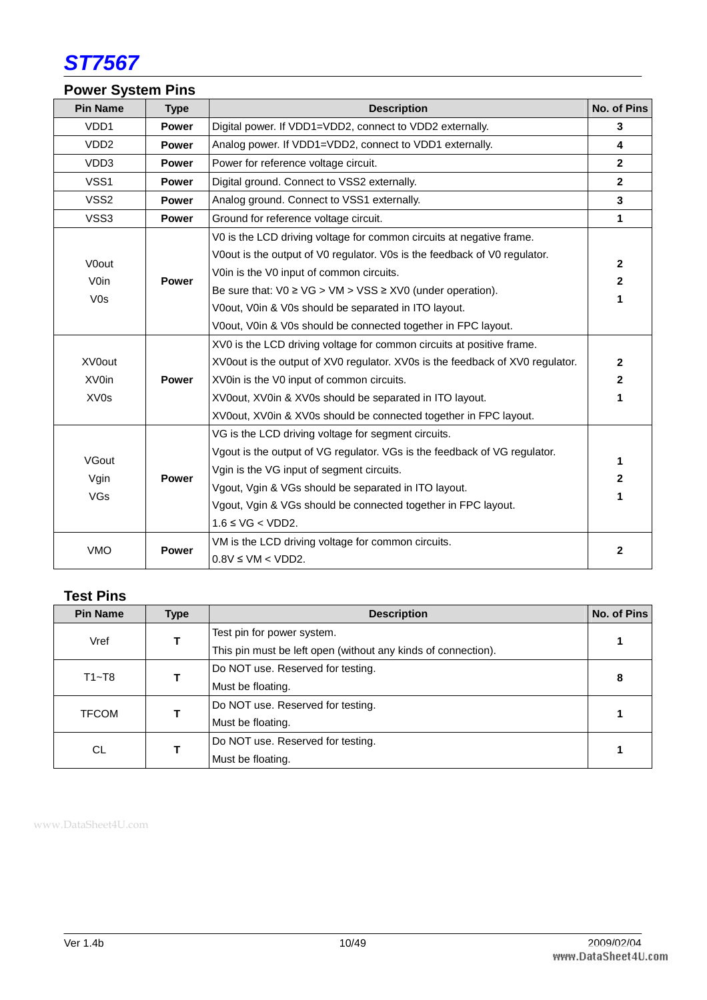

## **Power System Pins**

| <b>Pin Name</b>  | <b>Type</b>  | <b>Description</b>                                                                             | No. of Pins                  |
|------------------|--------------|------------------------------------------------------------------------------------------------|------------------------------|
| VDD1             | <b>Power</b> | Digital power. If VDD1=VDD2, connect to VDD2 externally.                                       | 3                            |
| VDD <sub>2</sub> | <b>Power</b> | Analog power. If VDD1=VDD2, connect to VDD1 externally.                                        | $\overline{\mathbf{4}}$      |
| VDD3             | <b>Power</b> | Power for reference voltage circuit.                                                           | $\mathbf{2}$                 |
| VSS <sub>1</sub> | <b>Power</b> | Digital ground. Connect to VSS2 externally.                                                    | $\overline{2}$               |
| VSS <sub>2</sub> | <b>Power</b> | Analog ground. Connect to VSS1 externally.                                                     | 3                            |
| VSS3             | <b>Power</b> | Ground for reference voltage circuit.                                                          | $\mathbf{1}$                 |
|                  |              | V0 is the LCD driving voltage for common circuits at negative frame.                           |                              |
| V0out            |              | V0out is the output of V0 regulator. V0s is the feedback of V0 regulator.                      |                              |
| <b>V0in</b>      |              | V0in is the V0 input of common circuits.                                                       | $\mathbf{2}$<br>$\mathbf{2}$ |
| V <sub>0s</sub>  | <b>Power</b> | Be sure that: $\sqrt{0} \geq \sqrt{G} > \sqrt{M} > \sqrt{SS} \geq \sqrt{2}$ (under operation). |                              |
|                  |              | V0out, V0in & V0s should be separated in ITO layout.                                           | 1                            |
|                  |              | V0out, V0in & V0s should be connected together in FPC layout.                                  |                              |
|                  |              | XV0 is the LCD driving voltage for common circuits at positive frame.                          |                              |
| XV0out           |              | XV0out is the output of XV0 regulator. XV0s is the feedback of XV0 regulator.                  | $\mathbf{2}$                 |
| XV0in            | <b>Power</b> | XV0in is the V0 input of common circuits.                                                      | $\mathbf{2}$                 |
| XV <sub>0s</sub> |              | XV0out, XV0in & XV0s should be separated in ITO layout.                                        | 1                            |
|                  |              | XV0out, XV0in & XV0s should be connected together in FPC layout.                               |                              |
|                  |              | VG is the LCD driving voltage for segment circuits.                                            |                              |
| VGout            |              | Vgout is the output of VG regulator. VGs is the feedback of VG regulator.                      |                              |
|                  | <b>Power</b> | Vgin is the VG input of segment circuits.                                                      | 1                            |
| Vgin             |              | Vgout, Vgin & VGs should be separated in ITO layout.                                           | 2                            |
| VGs              |              | Vgout, Vgin & VGs should be connected together in FPC layout.                                  | 1                            |
|                  |              | $1.6 \leq \text{VG} < \text{VDD2}.$                                                            |                              |
|                  |              | VM is the LCD driving voltage for common circuits.                                             |                              |
| <b>VMO</b>       | <b>Power</b> | $0.8V \le VM < VDD2$ .                                                                         | $\mathbf{2}$                 |

## **Test Pins**

| <b>Pin Name</b> | <b>Type</b> | <b>Description</b>                                            | No. of Pins |
|-----------------|-------------|---------------------------------------------------------------|-------------|
| Vref            |             | Test pin for power system.                                    |             |
|                 |             | This pin must be left open (without any kinds of connection). |             |
| $T1 - T8$       |             | Do NOT use. Reserved for testing.                             |             |
|                 |             | Must be floating.                                             | 8           |
|                 |             | Do NOT use. Reserved for testing.                             |             |
| <b>TFCOM</b>    |             | Must be floating.                                             |             |
|                 |             | Do NOT use. Reserved for testing.                             |             |
| CL.             |             | Must be floating.                                             |             |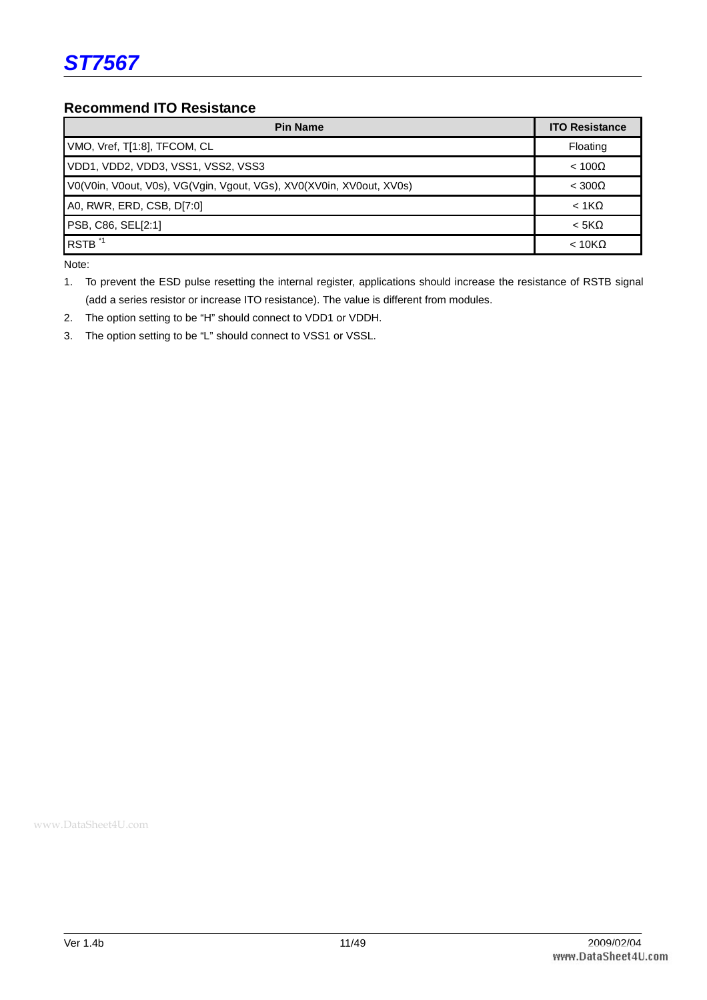#### **Recommend ITO Resistance**

| <b>Pin Name</b>                                                      | <b>ITO Resistance</b> |
|----------------------------------------------------------------------|-----------------------|
| VMO, Vref, T[1:8], TFCOM, CL                                         | Floating              |
| VDD1, VDD2, VDD3, VSS1, VSS2, VSS3                                   | $< 100\Omega$         |
| V0(V0in, V0out, V0s), VG(Vgin, Vgout, VGs), XV0(XV0in, XV0out, XV0s) | $<$ 300 $\Omega$      |
| A0, RWR, ERD, CSB, D[7:0]                                            | $< 1K\Omega$          |
| PSB, C86, SEL[2:1]                                                   | $< 5K\Omega$          |
| RSTB <sup>*1</sup>                                                   | $< 10K\Omega$         |

Note:

1. To prevent the ESD pulse resetting the internal register, applications should increase the resistance of RSTB signal (add a series resistor or increase ITO resistance). The value is different from modules.

- 2. The option setting to be "H" should connect to VDD1 or VDDH.
- 3. The option setting to be "L" should connect to VSS1 or VSSL.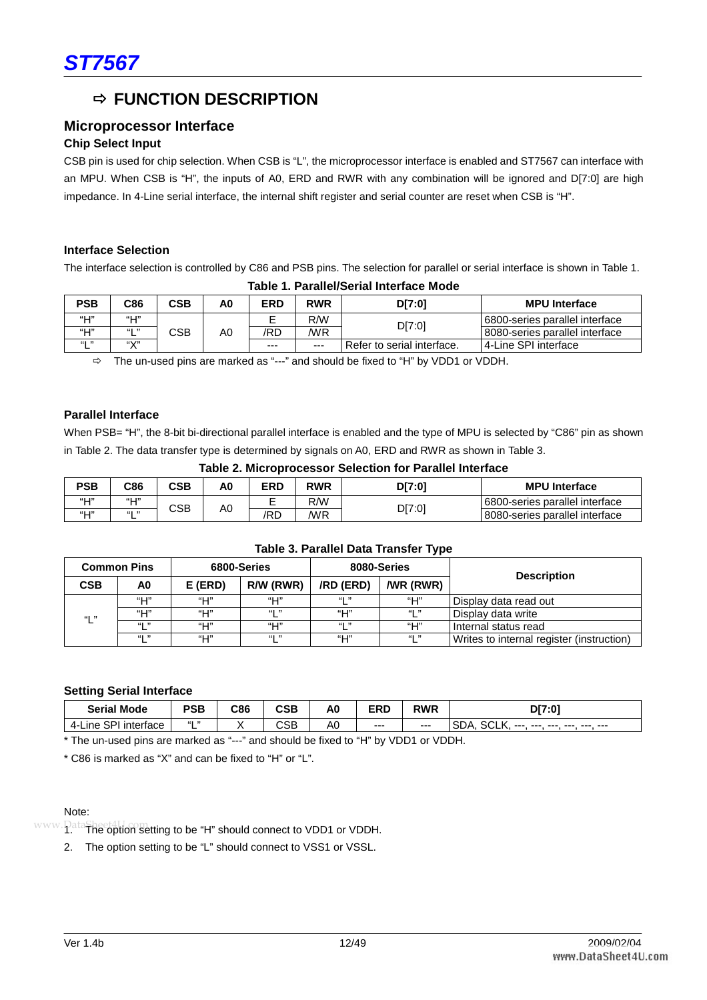## $\Rightarrow$  **FUNCTION DESCRIPTION**

#### **Microprocessor Interface**

#### **Chip Select Input**

CSB pin is used for chip selection. When CSB is "L", the microprocessor interface is enabled and ST7567 can interface with an MPU. When CSB is "H", the inputs of A0, ERD and RWR with any combination will be ignored and D[7:0] are high impedance. In 4-Line serial interface, the internal shift register and serial counter are reset when CSB is "H".

#### **Interface Selection**

The interface selection is controlled by C86 and PSB pins. The selection for parallel or serial interface is shown in Table 1. **Table 1. Parallel/Serial Interface Mode** 

| <b>PSB</b> | C86    | CSB | A0 | <b>ERD</b> | <b>RWR</b> | D[7:0]                     | <b>MPU Interface</b>           |  |  |  |  |  |  |  |  |  |  |
|------------|--------|-----|----|------------|------------|----------------------------|--------------------------------|--|--|--|--|--|--|--|--|--|--|
| $``\Box"$  | "Н"    |     |    |            | R/W        | D[7:0]                     | 6800-series parallel interface |  |  |  |  |  |  |  |  |  |  |
| "Ш"        | 661 33 | CSB | A0 | /RD        | /WR        |                            | 8080-series parallel interface |  |  |  |  |  |  |  |  |  |  |
| 661 33     | (11/1) |     |    | $- - -$    | $- - -$    | Refer to serial interface. | 14-Line SPI interface          |  |  |  |  |  |  |  |  |  |  |

 $\Rightarrow$  The un-used pins are marked as "---" and should be fixed to "H" by VDD1 or VDDH.

#### **Parallel Interface**

When PSB= "H", the 8-bit bi-directional parallel interface is enabled and the type of MPU is selected by "C86" pin as shown in Table 2. The data transfer type is determined by signals on A0, ERD and RWR as shown in Table 3.

|            | Table 2. Microprocessor Selection for Parallel Interface |            |    |            |            |        |                                 |  |  |  |  |  |  |  |
|------------|----------------------------------------------------------|------------|----|------------|------------|--------|---------------------------------|--|--|--|--|--|--|--|
| <b>PSB</b> | C86                                                      | <b>CSB</b> | A0 | <b>ERD</b> | <b>RWR</b> | DI7:01 | <b>MPU</b> Interface            |  |  |  |  |  |  |  |
| "Н"        | "Н"                                                      |            | A0 |            | R/W        |        | 6800-series parallel interface  |  |  |  |  |  |  |  |
| "Н"        | 661 33<br>╺                                              | CSB        |    | /RD        | /WR        | D[7:0] | 18080-series parallel interface |  |  |  |  |  |  |  |

| <b>Common Pins</b> |             |         | 6800-Series |           | 8080-Series      | <b>Description</b>                        |  |  |  |  |  |  |  |
|--------------------|-------------|---------|-------------|-----------|------------------|-------------------------------------------|--|--|--|--|--|--|--|
| <b>CSB</b>         | A0          | E (ERD) | R/W (RWR)   | /RD (ERD) | <b>/WR (RWR)</b> |                                           |  |  |  |  |  |  |  |
|                    | $``\sqcup"$ | "Н"     | "⊔"         | 661 33    | "⊔"              | Display data read out                     |  |  |  |  |  |  |  |
| "  "               | $``\Box"$   | "Н"     | 661 33      | "Н"       | 661 33           | Display data write                        |  |  |  |  |  |  |  |
|                    | 661 33      | "Н"     | "⊔"         | 661 33    | "⊔"              | Internal status read                      |  |  |  |  |  |  |  |
|                    | 661 33      | "Н"     | 661 33      | "⊔"       | 661 33           | Writes to internal register (instruction) |  |  |  |  |  |  |  |

#### **Table 3. Parallel Data Transfer Type**

#### **Setting Serial Interface**

| Mode<br>Serial                | PSB             | C86 | CSB | AO | <b>ERD</b> | <b>RWR</b> | DI7:07                                                               |
|-------------------------------|-----------------|-----|-----|----|------------|------------|----------------------------------------------------------------------|
| ⊪∟ine SPI<br>interface<br>4-l | $661 - 33$<br>- |     | CSB | A0 | ---        | $--$       | <b>SCLK</b><br><b>SDA</b><br>--- ---<br>$- - -$<br>---<br>---<br>--- |

\* The un-used pins are marked as "---" and should be fixed to "H" by VDD1 or VDDH.

\* C86 is marked as "X" and can be fixed to "H" or "L".

#### Note:

www. PataSheet4U. On setting to be "H" should connect to VDD1 or VDDH.

2. The option setting to be "L" should connect to VSS1 or VSSL.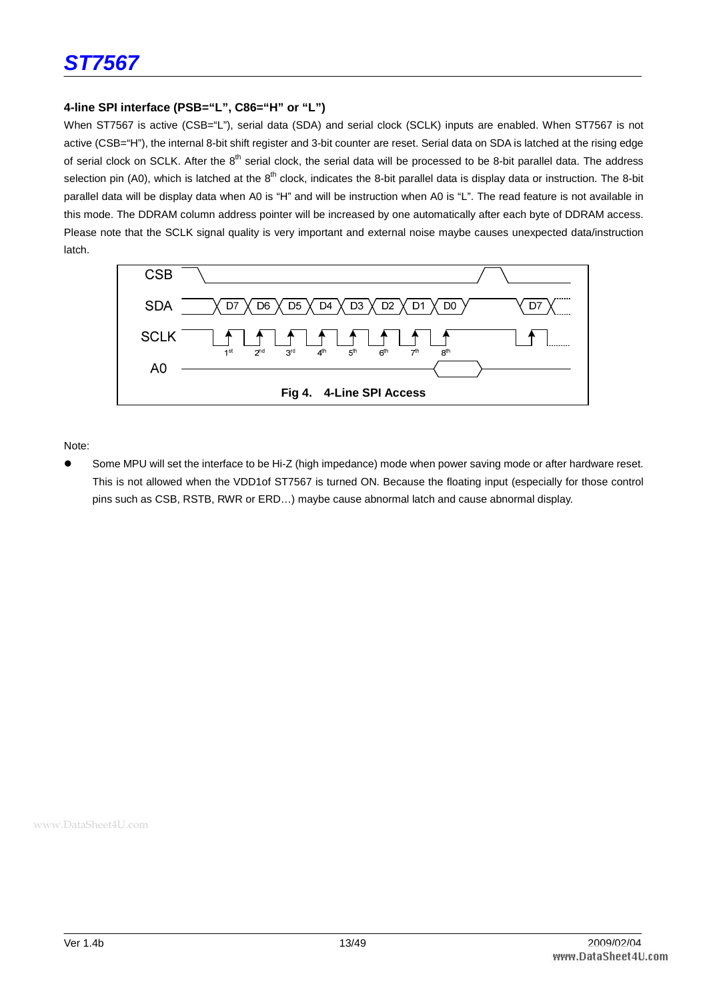#### **4-line SPI interface (PSB="L", C86="H" or "L")**

When ST7567 is active (CSB="L"), serial data (SDA) and serial clock (SCLK) inputs are enabled. When ST7567 is not active (CSB="H"), the internal 8-bit shift register and 3-bit counter are reset. Serial data on SDA is latched at the rising edge of serial clock on SCLK. After the 8<sup>th</sup> serial clock, the serial data will be processed to be 8-bit parallel data. The address selection pin (A0), which is latched at the  $8<sup>th</sup>$  clock, indicates the 8-bit parallel data is display data or instruction. The 8-bit parallel data will be display data when A0 is "H" and will be instruction when A0 is "L". The read feature is not available in this mode. The DDRAM column address pointer will be increased by one automatically after each byte of DDRAM access. Please note that the SCLK signal quality is very important and external noise maybe causes unexpected data/instruction latch.



Note:

 Some MPU will set the interface to be Hi-Z (high impedance) mode when power saving mode or after hardware reset. This is not allowed when the VDD1of ST7567 is turned ON. Because the floating input (especially for those control pins such as CSB, RSTB, RWR or ERD…) maybe cause abnormal latch and cause abnormal display.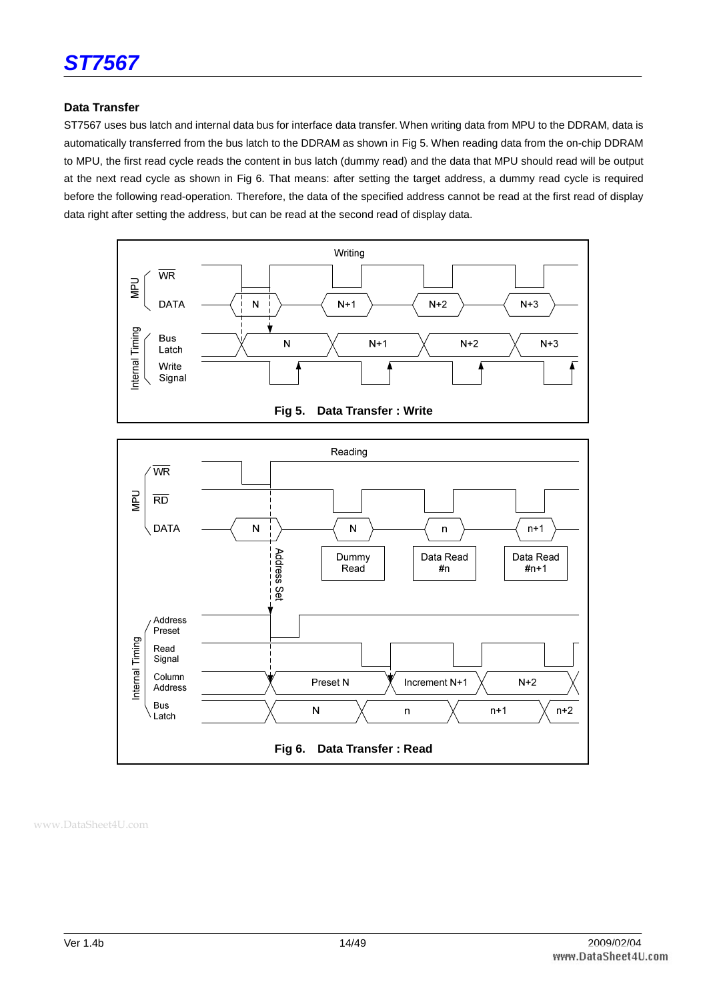

#### **Data Transfer**

ST7567 uses bus latch and internal data bus for interface data transfer. When writing data from MPU to the DDRAM, data is automatically transferred from the bus latch to the DDRAM as shown in Fig 5. When reading data from the on-chip DDRAM to MPU, the first read cycle reads the content in bus latch (dummy read) and the data that MPU should read will be output at the next read cycle as shown in Fig 6. That means: after setting the target address, a dummy read cycle is required before the following read-operation. Therefore, the data of the specified address cannot be read at the first read of display data right after setting the address, but can be read at the second read of display data.

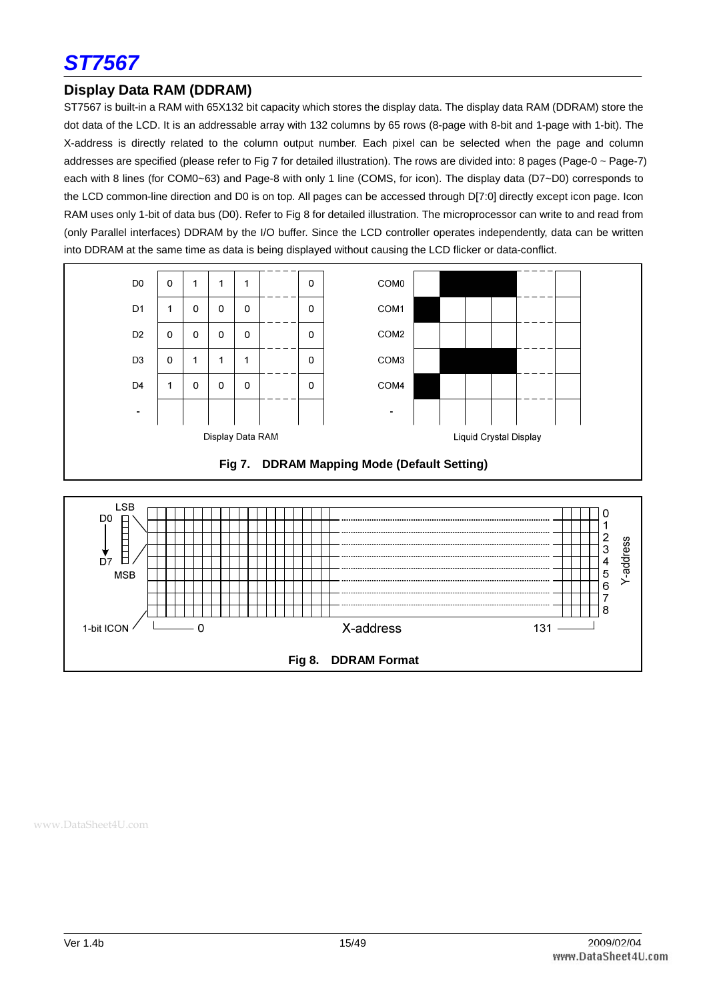

#### **Display Data RAM (DDRAM)**

ST7567 is built-in a RAM with 65X132 bit capacity which stores the display data. The display data RAM (DDRAM) store the dot data of the LCD. It is an addressable array with 132 columns by 65 rows (8-page with 8-bit and 1-page with 1-bit). The X-address is directly related to the column output number. Each pixel can be selected when the page and column addresses are specified (please refer to Fig 7 for detailed illustration). The rows are divided into: 8 pages (Page-0 ~ Page-7) each with 8 lines (for COM0~63) and Page-8 with only 1 line (COMS, for icon). The display data (D7~D0) corresponds to the LCD common-line direction and D0 is on top. All pages can be accessed through D[7:0] directly except icon page. Icon RAM uses only 1-bit of data bus (D0). Refer to Fig 8 for detailed illustration. The microprocessor can write to and read from (only Parallel interfaces) DDRAM by the I/O buffer. Since the LCD controller operates independently, data can be written into DDRAM at the same time as data is being displayed without causing the LCD flicker or data-conflict.





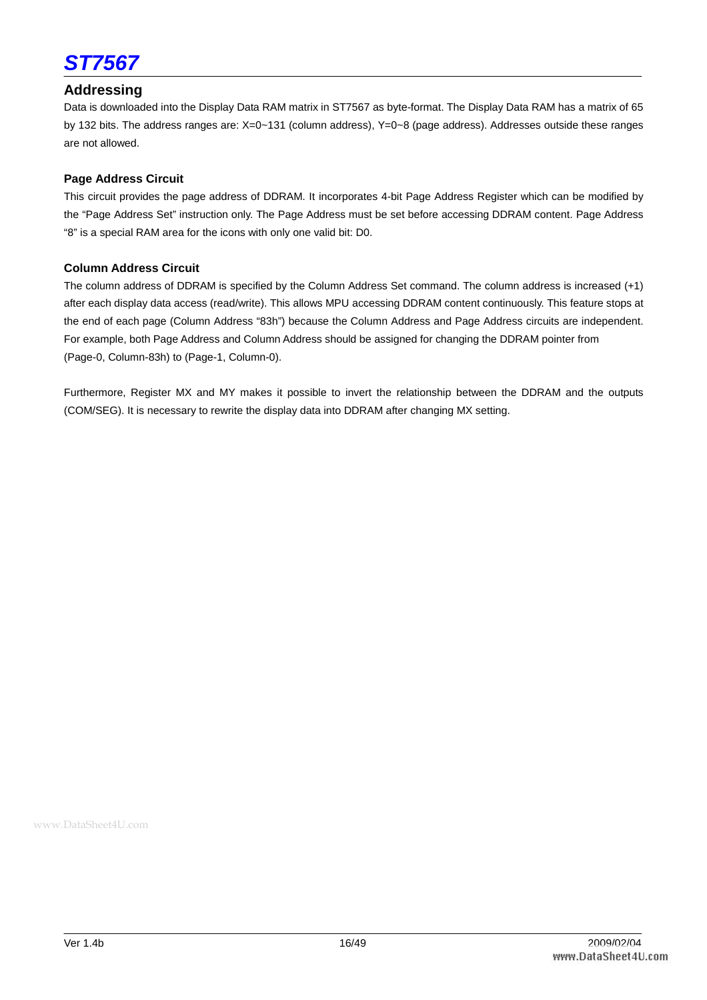

#### **Addressing**

Data is downloaded into the Display Data RAM matrix in ST7567 as byte-format. The Display Data RAM has a matrix of 65 by 132 bits. The address ranges are: X=0~131 (column address), Y=0~8 (page address). Addresses outside these ranges are not allowed.

#### **Page Address Circuit**

This circuit provides the page address of DDRAM. It incorporates 4-bit Page Address Register which can be modified by the "Page Address Set" instruction only. The Page Address must be set before accessing DDRAM content. Page Address "8" is a special RAM area for the icons with only one valid bit: D0.

#### **Column Address Circuit**

The column address of DDRAM is specified by the Column Address Set command. The column address is increased (+1) after each display data access (read/write). This allows MPU accessing DDRAM content continuously. This feature stops at the end of each page (Column Address "83h") because the Column Address and Page Address circuits are independent. For example, both Page Address and Column Address should be assigned for changing the DDRAM pointer from (Page-0, Column-83h) to (Page-1, Column-0).

Furthermore, Register MX and MY makes it possible to invert the relationship between the DDRAM and the outputs (COM/SEG). It is necessary to rewrite the display data into DDRAM after changing MX setting.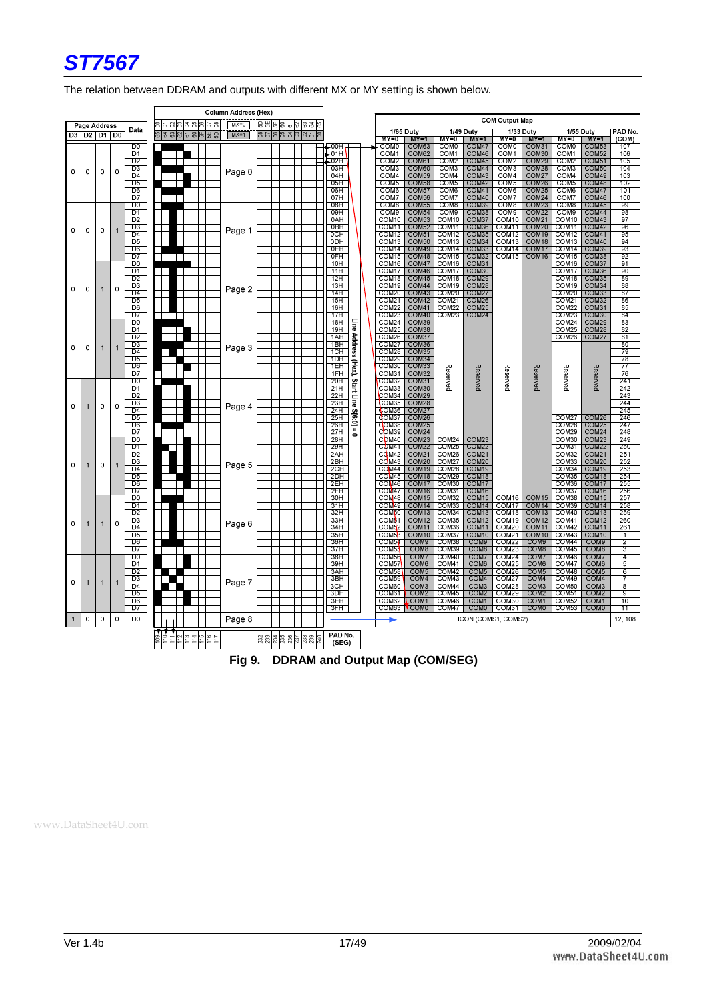

The relation between DDRAM and outputs with different MX or MY setting is shown below.

|              |                   |             |              |                                   |    |    |           |     | Column Address (Hex) |  |          |   |                              |             |                                        |                                        |                                        |                                        |                                        |                                        |                                        |                                        |                       |
|--------------|-------------------|-------------|--------------|-----------------------------------|----|----|-----------|-----|----------------------|--|----------|---|------------------------------|-------------|----------------------------------------|----------------------------------------|----------------------------------------|----------------------------------------|----------------------------------------|----------------------------------------|----------------------------------------|----------------------------------------|-----------------------|
|              | Page Address      |             |              |                                   | 이의 |    | la Isls I |     | $MX=0$               |  | 회의회의의세위의 |   |                              |             |                                        |                                        |                                        |                                        | <b>COM Output Map</b>                  |                                        |                                        |                                        |                       |
|              | D3   D2   D1   D0 |             |              | Data                              |    | ါအ | ဒါ        | 이버님 | $MX=1$               |  | 리임임치회의원  | 8 |                              |             | <b>1/65 Duty</b>                       | $MY=1$                                 | $MY=0$                                 | <b>1/49 Duty</b>                       |                                        | <b>1/33 Duty</b>                       | <b>1/55 Duty</b>                       |                                        | PAD No.               |
|              |                   |             |              | D <sub>0</sub>                    |    |    |           |     |                      |  |          |   | – OOH –                      |             | $M = 0$<br><b>COM0</b>                 | COM63                                  | COM <sub>0</sub>                       | $MY=1$<br>COM <sub>47</sub>            | $M = 0$<br>COM <sub>0</sub>            | $MY=1$<br>COM31                        | $MY = 0$<br>COM <sub>0</sub>           | $MY=1$<br>COM53                        | (COM)<br>107          |
|              |                   |             |              | D1                                |    |    |           |     |                      |  |          |   | $\overline{\phantom{0}}$ 01H |             | COM1                                   | COM62                                  | COM <sub>1</sub>                       | COM46                                  | COM <sub>1</sub>                       | COM30                                  | COM <sub>1</sub>                       | COM52                                  | 106                   |
|              |                   |             |              | D <sub>2</sub>                    |    |    |           |     |                      |  |          |   | .02H                         |             | COM <sub>2</sub>                       | COM61                                  | COM <sub>2</sub>                       | COM45                                  | COM <sub>2</sub>                       | COM29                                  | COM <sub>2</sub>                       | COM51                                  | 105                   |
| 0            | 0                 | 0           | 0            | $\overline{D3}$<br>D4             |    |    |           |     | Page 0               |  |          |   | 03H<br>04H                   |             | COM <sub>3</sub><br>COM <sub>4</sub>   | COM60<br>COM59                         | COM <sub>3</sub><br>COM <sub>4</sub>   | COM44<br>COM43                         | COM3<br>COM <sub>4</sub>               | COM28<br>COM <sub>27</sub>             | COM <sub>3</sub><br>COM <sub>4</sub>   | COM50<br>COM49                         | 104<br>103            |
|              |                   |             |              | D5                                |    |    |           |     |                      |  |          |   | 05H                          |             | COM <sub>5</sub>                       | COM58                                  | COM <sub>5</sub>                       | COM42                                  | COM <sub>5</sub>                       | COM <sub>26</sub>                      | COM <sub>5</sub>                       | COM48                                  | 102                   |
|              |                   |             |              | D6                                |    |    |           |     |                      |  |          |   | 06H                          |             | COM6                                   | COM <sub>57</sub>                      | COM <sub>6</sub>                       | COM41                                  | COM <sub>6</sub>                       | COM25                                  | COM <sub>6</sub>                       | COM47                                  | 101                   |
|              |                   |             |              | D7                                |    |    |           |     |                      |  |          |   | 07H                          |             | COM7                                   | COM56                                  | COM7                                   | COM40<br>COM39                         | COM7<br>COM <sub>8</sub>               | COM24<br>COM <sub>23</sub>             | COM7                                   | COM46<br>COM45                         | 100                   |
|              |                   |             |              | D0<br>D1                          |    |    |           |     |                      |  |          |   | 08H<br>09H                   |             | COM <sub>8</sub><br>COM <sub>9</sub>   | COM55<br>COM54                         | COM <sub>8</sub><br>COM <sub>9</sub>   | COM38                                  | COM <sub>9</sub>                       | COM <sub>22</sub>                      | COM <sub>8</sub><br>COM <sub>9</sub>   | COM44                                  | 99<br>98              |
|              |                   |             |              | D <sub>2</sub>                    |    |    |           |     |                      |  |          |   | 0AH                          |             | COM <sub>10</sub>                      | COM <sub>53</sub>                      | COM <sub>10</sub>                      | COM37                                  | COM <sub>10</sub>                      | COM21                                  | COM <sub>10</sub>                      | COM43                                  | $\overline{97}$       |
| 0            | 0                 | 0           | $\mathbf{1}$ | D3                                |    |    |           |     | Page 1               |  |          |   | 0BH                          |             | COM11                                  | COM <sub>52</sub>                      | COM <sub>11</sub>                      | COM36                                  | COM <sub>11</sub>                      | COM <sub>20</sub>                      | COM11                                  | COM <sub>42</sub>                      | 96                    |
|              |                   |             |              | D <sub>4</sub><br>D5              |    |    |           |     |                      |  |          |   | OCH<br>0DH                   |             | COM <sub>12</sub><br>COM <sub>13</sub> | COM51<br>COM50                         | COM12<br>COM <sub>13</sub>             | COM35<br>COM34                         | COM <sub>12</sub><br>COM <sub>13</sub> | COM19<br>COM <sub>18</sub>             | COM <sub>12</sub><br>COM <sub>13</sub> | COM41<br>COM40                         | 95<br>94              |
|              |                   |             |              | $\overline{D6}$                   |    |    |           |     |                      |  |          |   | <b>OEH</b>                   |             | COM14                                  | COM49                                  | COM <sub>14</sub>                      | COM33                                  | COM14                                  | COM17                                  | COM14                                  | COM39                                  | 93                    |
|              |                   |             |              | D7                                |    |    |           |     |                      |  |          |   | <b>OFH</b>                   |             | COM <sub>15</sub>                      | COM <sub>48</sub>                      | COM <sub>15</sub>                      | COM32                                  | COM <sub>15</sub>                      | COM <sub>16</sub>                      | COM <sub>15</sub>                      | COM38                                  | 92                    |
|              |                   |             |              | $\overline{D0}$                   |    |    |           |     |                      |  |          |   | 10H                          |             | COM <sub>16</sub>                      | COM <sub>47</sub>                      | COM <sub>16</sub>                      | COM31                                  |                                        |                                        | COM <sub>16</sub>                      | COM37                                  | $\overline{91}$       |
|              |                   |             |              | D1<br>$\overline{D2}$             |    |    |           |     |                      |  |          |   | 11H<br>12H                   |             | COM <sub>17</sub><br>COM <sub>18</sub> | COM46<br>COM45                         | COM <sub>17</sub><br>COM <sub>18</sub> | COM30<br>COM <sub>29</sub>             |                                        |                                        | COM <sub>17</sub><br>COM <sub>18</sub> | COM36<br>COM35                         | 90<br>89              |
| 0            | 0                 | 1           | 0            | $\overline{D3}$                   |    |    |           |     |                      |  |          |   | 13H                          |             | COM <sub>19</sub>                      | COM44                                  | COM <sub>19</sub>                      | COM <sub>28</sub>                      |                                        |                                        | COM <sub>19</sub>                      | COM34                                  | 88                    |
|              |                   |             |              | D4                                |    |    |           |     | Page 2               |  |          |   | 14H                          |             | COM <sub>20</sub>                      | COM <sub>43</sub>                      | COM <sub>20</sub>                      | COM <sub>27</sub>                      |                                        |                                        | COM20                                  | COM33                                  | 87                    |
|              |                   |             |              | $\overline{D5}$<br>D6             |    |    |           |     |                      |  |          |   | 15H<br>16H                   |             | COM21<br>COM22                         | COM42<br>COM41                         | COM <sub>21</sub><br>COM <sub>22</sub> | COM <sub>26</sub><br>COM <sub>25</sub> |                                        |                                        | COM <sub>21</sub><br>COM <sub>22</sub> | COM32<br>COM31                         | 86<br>85              |
|              |                   |             |              | $\overline{D7}$                   |    |    |           |     |                      |  |          |   | 17H                          |             | COM <sub>23</sub>                      | COM40                                  | COM <sub>23</sub>                      | COM <sub>24</sub>                      |                                        |                                        | COM <sub>23</sub>                      | COM30                                  | 84                    |
|              |                   |             |              | D <sub>0</sub>                    |    |    |           |     |                      |  |          |   | 18H                          | line        | COM24                                  | COM39                                  |                                        |                                        |                                        |                                        | COM24                                  | COM29                                  | 83                    |
|              |                   |             |              | $\overline{D1}$                   |    |    |           |     |                      |  |          |   | 19H                          |             | COM25<br>COM26                         | COM38                                  |                                        |                                        |                                        |                                        | COM <sub>25</sub><br>COM26             | COM <sub>28</sub>                      | $\overline{82}$<br>81 |
|              |                   |             |              | D <sub>2</sub><br>$\overline{D3}$ |    |    |           |     |                      |  |          |   | 1AH<br>1BH                   | Address     | COM27 COM36                            | COM37                                  |                                        |                                        |                                        |                                        |                                        | COM <sub>27</sub>                      | 80                    |
| 0            | 0                 | $\mathbf 1$ | $\mathbf{1}$ | D4                                |    |    |           |     | Page 3               |  |          |   | 1CH                          |             | COM <sub>28</sub>                      | COM35                                  |                                        |                                        |                                        |                                        |                                        |                                        | 79                    |
|              |                   |             |              | $\overline{D5}$                   |    |    |           |     |                      |  |          |   | 1DH                          |             |                                        | COM29 COM34                            |                                        |                                        |                                        |                                        |                                        |                                        | $\overline{78}$       |
|              |                   |             |              | D6<br>D7                          |    |    |           |     |                      |  |          |   | 1EH<br>1FH                   | (Hex),      | COM30<br>COM31                         | COM33<br>COM32                         |                                        |                                        |                                        |                                        |                                        |                                        | 77<br>76              |
|              |                   |             |              | D <sub>0</sub>                    |    |    |           |     |                      |  |          |   | 20H                          |             | COM32                                  | COM31                                  | Reserved                               | Reserved                               | Reserved                               | Reserved                               | Reserved                               | Reserved                               | 241                   |
|              |                   |             |              | D1                                |    |    |           |     |                      |  |          |   | 21H                          | Start       | COM33                                  | COM30                                  |                                        |                                        |                                        |                                        |                                        |                                        | 242                   |
|              |                   |             |              | D <sub>2</sub>                    |    |    |           |     |                      |  |          |   | 22H                          | Line        | COM34                                  | COM29                                  |                                        |                                        |                                        |                                        |                                        |                                        | 243                   |
| 0            | $\mathbf 1$       | 0           | 0            | $\overline{D3}$<br>D4             |    |    |           |     | Page 4               |  |          |   | 23H<br>24H                   |             | COM35<br>COM36                         | COM28<br>COM <sub>27</sub>             |                                        |                                        |                                        |                                        |                                        |                                        | 244<br>245            |
|              |                   |             |              | $\overline{D5}$                   |    |    |           |     |                      |  |          |   | 25H                          | $s_{[6:0]}$ | QOM37                                  | COM26                                  |                                        |                                        |                                        |                                        | COM27 COM26                            |                                        | 246                   |
|              |                   |             |              | D6                                |    |    |           |     |                      |  |          |   | 26H                          | ш           | QOM38                                  | COM <sub>25</sub>                      |                                        |                                        |                                        |                                        | COM28                                  | COM <sub>25</sub>                      | 247                   |
|              |                   |             |              | D7<br>D0                          |    |    |           |     |                      |  |          |   | 27H<br>28H                   | $\bullet$   | COM <sub>40</sub>                      | COM39 COM24<br>COM <sub>23</sub>       | COM24                                  | COM23                                  |                                        |                                        | COM30                                  | COM29 COM24<br>COM <sub>23</sub>       | 248<br>249            |
|              |                   |             |              | D1                                |    |    |           |     |                      |  |          |   | 29H                          |             | COM <sub>41</sub>                      | COM <sub>22</sub>                      | COM <sub>25</sub>                      | COM <sub>22</sub>                      |                                        |                                        | COM31                                  | COM <sub>22</sub>                      | 250                   |
|              |                   |             |              | D2                                |    |    |           |     |                      |  |          |   | 2AH                          |             | COM <sub>42</sub>                      | COM <sub>21</sub>                      | COM <sub>26</sub>                      | COM <sub>21</sub>                      |                                        |                                        | COM32                                  | COM21                                  | 251                   |
| 0            | $\mathbf 1$       | 0           | $\mathbf{1}$ | D3                                |    |    |           |     | Page 5               |  |          |   | 2BH                          |             | COM43                                  | COM <sub>20</sub>                      | COM <sub>27</sub>                      | COM <sub>20</sub>                      |                                        |                                        | COM33                                  | COM <sub>20</sub>                      | 252                   |
|              |                   |             |              | D4<br>D5                          |    |    |           |     |                      |  |          |   | 2CH<br>2DH                   |             | $CO$ M44<br>COM <sub>45</sub>          | COM <sub>19</sub><br>COM <sub>18</sub> | COM <sub>28</sub><br>COM29             | COM <sub>19</sub><br>COM <sub>18</sub> |                                        |                                        | COM34<br>COM35                         | COM <sub>19</sub><br>COM <sub>18</sub> | 253<br>254            |
|              |                   |             |              | D6                                |    |    |           |     |                      |  |          |   | 2EH                          |             | COM <sub>46</sub>                      | COM <sub>17</sub>                      | COM30                                  | COM <sub>17</sub>                      |                                        |                                        | COM36                                  | COM <sub>17</sub>                      | 255                   |
|              |                   |             |              | D7                                |    |    |           |     |                      |  |          |   | 2FH                          |             | COM <sub>147</sub>                     | COM <sub>16</sub>                      | COM31                                  | COM <sub>16</sub>                      |                                        |                                        | COM37                                  | COM <sub>16</sub>                      | 256                   |
|              |                   |             |              | DO<br>D1                          |    |    |           |     |                      |  |          |   | 30H<br>31H                   |             | COM48<br>COM <sub>49</sub>             | COM <sub>15</sub><br>COM14             | COM <sub>32</sub><br>COM33             | COM <sub>15</sub><br>COM <sub>14</sub> |                                        | COM16 COM15<br>COM17 COM14             | COM38<br>COM39                         | COM <sub>15</sub><br>COM14             | 257<br>258            |
|              |                   |             |              | D2                                |    |    |           |     |                      |  |          |   | 32H                          |             | COM <sub>50</sub>                      | COM <sub>13</sub>                      | COM34                                  | COM <sub>13</sub>                      |                                        | COM18 COM13                            | COM40                                  | COM <sub>13</sub>                      | 259                   |
| 0            |                   |             | 0            | D3                                |    |    |           |     | Page 6               |  |          |   | 33H                          |             | COM <sup>51</sup>                      | COM <sub>12</sub>                      | COM35                                  | COM12                                  |                                        | COM19 COM12                            | COM41                                  | COM <sub>12</sub>                      | 260                   |
|              |                   |             |              | D4<br>D5                          |    |    |           |     |                      |  |          |   | 34H<br>35H                   |             | COM52<br>COM <sub>5</sub> 3            | COM <sub>11</sub><br>COM <sub>10</sub> | COM36<br>COM37                         | COM <sub>11</sub><br>COM <sub>10</sub> | COM <sub>20</sub><br>COM <sub>21</sub> | COM <sub>11</sub><br>COM <sub>10</sub> | COM42<br>COM <sub>43</sub>             | COM <sub>11</sub><br>COM <sub>10</sub> | 261<br>-1             |
|              |                   |             |              | D6                                |    |    |           |     |                      |  |          |   | 36H                          |             | COM54                                  | COM <sub>9</sub>                       | COM38                                  | COM <sub>9</sub>                       | COM <sub>22</sub>                      | COM <sub>9</sub>                       | COM44                                  | COM <sub>9</sub>                       | 2                     |
|              |                   |             |              | $\overline{D7}$                   |    |    |           |     |                      |  |          |   | $\overline{37H}$             |             | COM55                                  | COM <sub>8</sub>                       | COM39                                  | COM <sub>8</sub>                       | COM <sub>23</sub>                      | COM <sub>8</sub>                       | COM <sub>45</sub>                      | COM <sub>8</sub>                       | 3                     |
|              |                   |             |              | DO                                |    |    |           |     |                      |  |          |   | 38H                          |             | COM56                                  | COM7                                   | COM <sub>40</sub>                      | COM7                                   | COM24                                  | COM7                                   | COM46                                  | COM7                                   | 4                     |
|              |                   |             |              | D1<br>D <sub>2</sub>              |    |    |           |     |                      |  |          |   | 39H<br>3AH                   |             | COM <sub>57</sub><br>COM <sub>58</sub> | COM <sub>6</sub><br>COM <sub>5</sub>   | COM41<br>COM <sub>42</sub>             | COM <sub>6</sub><br>COM <sub>5</sub>   | COM25<br>COM <sub>26</sub>             | COM <sub>6</sub><br>COM <sub>5</sub>   | COM <sub>47</sub><br>COM48             | COM <sub>6</sub><br>COM <sub>5</sub>   | 5<br>6                |
| 0            | $\mathbf 1$       | 1           | $\mathbf{1}$ | D <sub>3</sub>                    |    |    |           |     | Page 7               |  |          |   | 3BH                          |             | COM59                                  | COM <sub>4</sub>                       | COM43                                  | COM <sub>4</sub>                       | COM <sub>27</sub>                      | COM <sub>4</sub>                       | COM49                                  | COM <sub>4</sub>                       | 7                     |
|              |                   |             |              | D <sub>4</sub>                    |    |    |           |     |                      |  |          |   | 3CH                          |             | COM60                                  | COM <sub>3</sub>                       | COM44                                  | COM <sub>3</sub>                       | COM28                                  | COM <sub>3</sub>                       | COM50                                  | COM <sub>3</sub>                       | 8                     |
|              |                   |             |              | $\overline{D5}$<br>D6             |    |    |           |     |                      |  |          |   | 3DH<br>3EH                   |             | COM61<br>COM62 <b>L</b> COM1           | COM <sub>2</sub>                       | COM45<br>COM46                         | COM <sub>2</sub><br>COM1               | COM <sub>29</sub><br>COM30             | COM <sub>2</sub><br>COM1               | COM <sub>51</sub><br>COM <sub>52</sub> | COM <sub>2</sub><br>COM <sub>1</sub>   | ॿ<br>10               |
|              |                   |             |              | $\overline{D7}$                   |    |    |           |     |                      |  |          |   | 3FH                          |             | COM63                                  | <b>COMO</b>                            | COM <sub>47</sub>                      | <b>COMO</b>                            | COM31                                  | <b>COMO</b>                            | COM <sub>53</sub>                      | <b>COM0</b>                            | 11                    |
| $\mathbf{1}$ | 0                 | 0           | 0            | D <sub>0</sub>                    |    |    |           |     | Page 8               |  |          |   |                              |             |                                        |                                        |                                        | ICON (COMS1, COMS2)                    |                                        |                                        |                                        |                                        | 12, 108               |
|              |                   |             |              |                                   |    |    |           |     |                      |  |          |   |                              |             |                                        |                                        |                                        |                                        |                                        |                                        |                                        |                                        |                       |
|              |                   |             |              |                                   |    |    |           |     |                      |  |          |   | PAD No.                      |             |                                        |                                        |                                        |                                        |                                        |                                        |                                        |                                        |                       |
|              |                   |             |              |                                   |    |    |           |     |                      |  |          |   | (SEG)                        |             |                                        |                                        |                                        |                                        |                                        |                                        |                                        |                                        |                       |

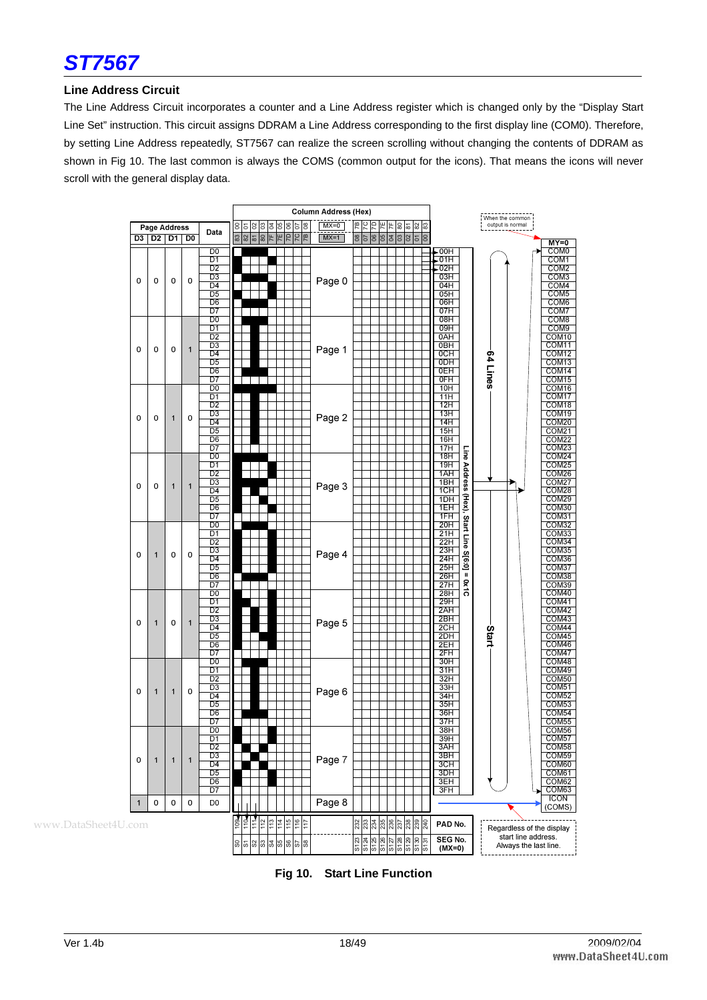

#### **Line Address Circuit**

The Line Address Circuit incorporates a counter and a Line Address register which is changed only by the "Display Start Line Set" instruction. This circuit assigns DDRAM a Line Address corresponding to the first display line (COM0). Therefore, by setting Line Address repeatedly, ST7567 can realize the screen scrolling without changing the contents of DDRAM as shown in Fig 10. The last common is always the COMS (common output for the icons). That means the icons will never scroll with the general display data.



**Fig 10. Start Line Function**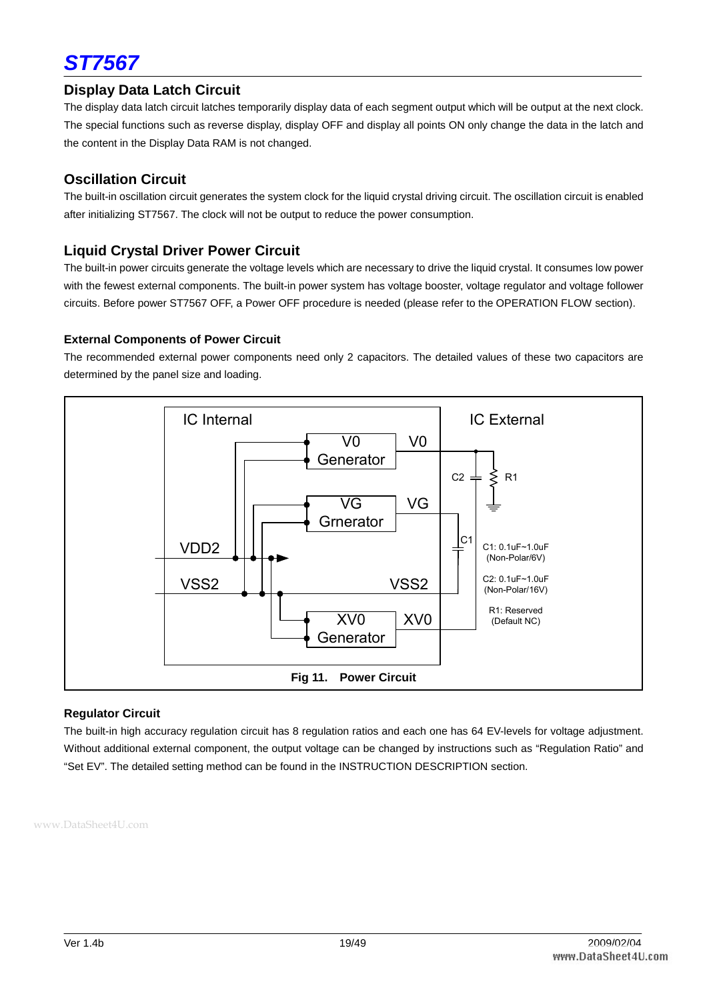

#### **Display Data Latch Circuit**

The display data latch circuit latches temporarily display data of each segment output which will be output at the next clock. The special functions such as reverse display, display OFF and display all points ON only change the data in the latch and the content in the Display Data RAM is not changed.

#### **Oscillation Circuit**

The built-in oscillation circuit generates the system clock for the liquid crystal driving circuit. The oscillation circuit is enabled after initializing ST7567. The clock will not be output to reduce the power consumption.

#### **Liquid Crystal Driver Power Circuit**

The built-in power circuits generate the voltage levels which are necessary to drive the liquid crystal. It consumes low power with the fewest external components. The built-in power system has voltage booster, voltage regulator and voltage follower circuits. Before power ST7567 OFF, a Power OFF procedure is needed (please refer to the OPERATION FLOW section).

#### **External Components of Power Circuit**

The recommended external power components need only 2 capacitors. The detailed values of these two capacitors are determined by the panel size and loading.



#### **Regulator Circuit**

The built-in high accuracy regulation circuit has 8 regulation ratios and each one has 64 EV-levels for voltage adjustment. Without additional external component, the output voltage can be changed by instructions such as "Regulation Ratio" and "Set EV". The detailed setting method can be found in the INSTRUCTION DESCRIPTION section.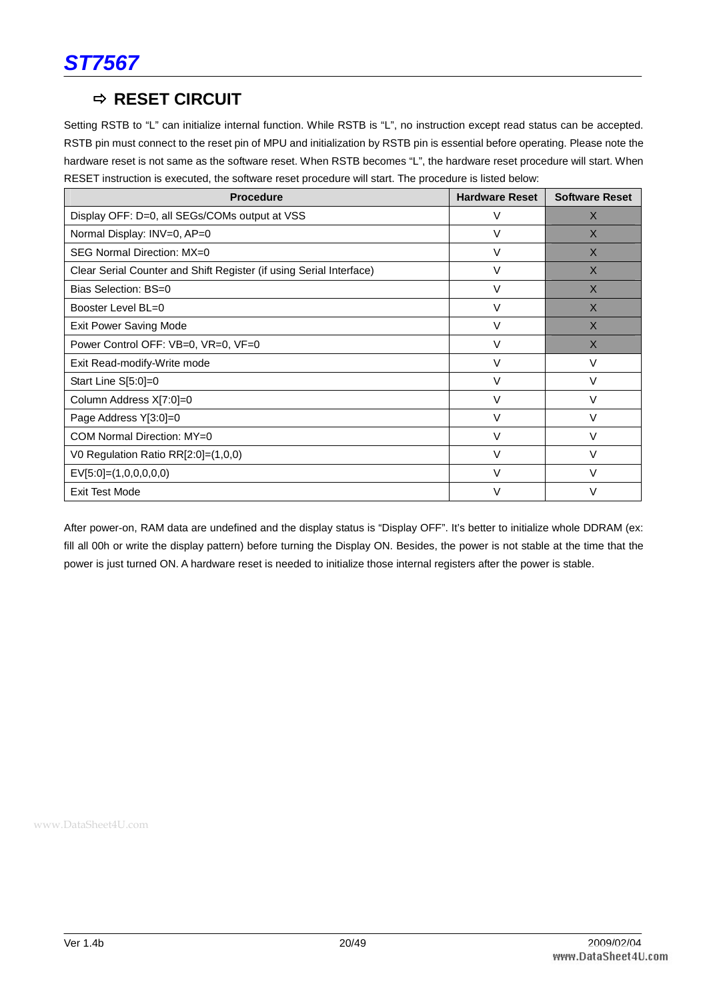

## $\Rightarrow$  **RESET CIRCUIT**

Setting RSTB to "L" can initialize internal function. While RSTB is "L", no instruction except read status can be accepted. RSTB pin must connect to the reset pin of MPU and initialization by RSTB pin is essential before operating. Please note the hardware reset is not same as the software reset. When RSTB becomes "L", the hardware reset procedure will start. When RESET instruction is executed, the software reset procedure will start. The procedure is listed below:

| <b>Procedure</b>                                                    | <b>Hardware Reset</b> | <b>Software Reset</b> |
|---------------------------------------------------------------------|-----------------------|-----------------------|
| Display OFF: D=0, all SEGs/COMs output at VSS                       | V                     | $\times$              |
| Normal Display: INV=0, AP=0                                         | V                     | $\times$              |
| SEG Normal Direction: MX=0                                          | V                     | $\times$              |
| Clear Serial Counter and Shift Register (if using Serial Interface) | V                     | $\times$              |
| Bias Selection: BS=0                                                | $\vee$                | $\times$              |
| Booster Level BL=0                                                  | $\vee$                | $\times$              |
| Exit Power Saving Mode                                              | $\vee$                | $\times$              |
| Power Control OFF: VB=0, VR=0, VF=0                                 | $\vee$                | $\times$              |
| Exit Read-modify-Write mode                                         | V                     | V                     |
| Start Line S[5:0]=0                                                 | $\vee$                | $\vee$                |
| Column Address X[7:0]=0                                             | $\vee$                | $\vee$                |
| Page Address Y[3:0]=0                                               | V                     | V                     |
| COM Normal Direction: MY=0                                          | $\vee$                | V                     |
| V0 Regulation Ratio RR $[2:0] = (1,0,0)$                            | $\vee$                | V                     |
| $EV[5:0] = (1,0,0,0,0,0)$                                           | $\vee$                | V                     |
| <b>Exit Test Mode</b>                                               | $\vee$                | $\vee$                |

After power-on, RAM data are undefined and the display status is "Display OFF". It's better to initialize whole DDRAM (ex: fill all 00h or write the display pattern) before turning the Display ON. Besides, the power is not stable at the time that the power is just turned ON. A hardware reset is needed to initialize those internal registers after the power is stable.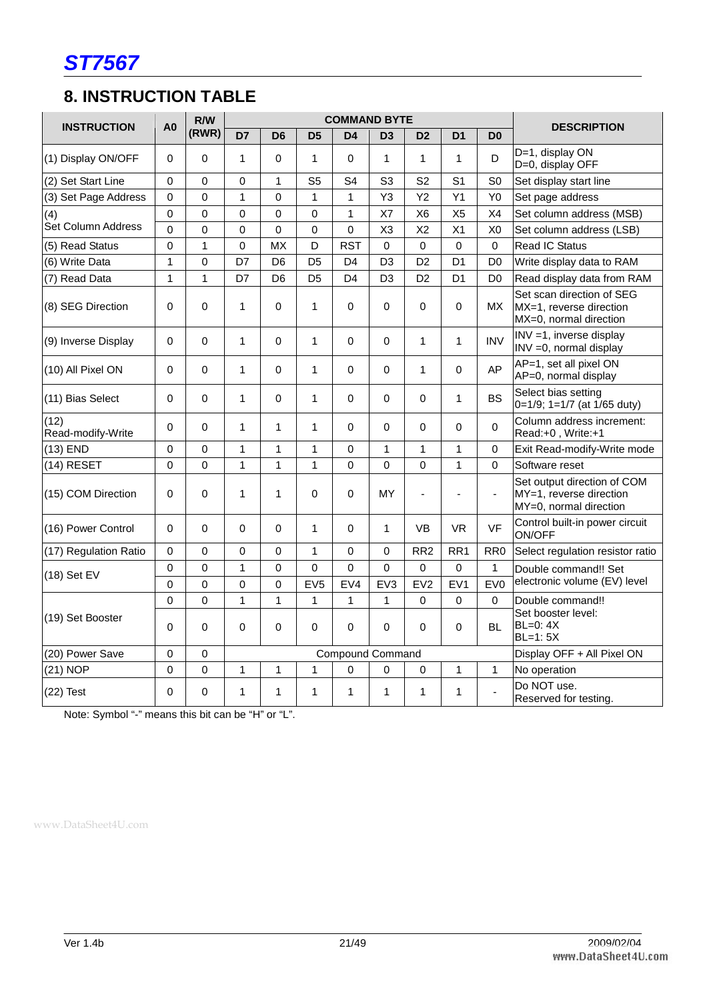

## **8. INSTRUCTION TABLE**

| <b>INSTRUCTION</b>        | A <sub>0</sub> | R/W            |                |                |                 | <b>COMMAND BYTE</b>     |                |                 |                 |                 | <b>DESCRIPTION</b>                                                               |
|---------------------------|----------------|----------------|----------------|----------------|-----------------|-------------------------|----------------|-----------------|-----------------|-----------------|----------------------------------------------------------------------------------|
|                           |                | (RWR)          | D7             | D <sub>6</sub> | D <sub>5</sub>  | D <sub>4</sub>          | D <sub>3</sub> | D <sub>2</sub>  | D <sub>1</sub>  | D <sub>0</sub>  |                                                                                  |
| (1) Display ON/OFF        | 0              | 0              | $\mathbf{1}$   | $\mathbf 0$    | 1               | 0                       | $\mathbf{1}$   | 1               | $\mathbf{1}$    | D               | D=1, display ON<br>D=0, display OFF                                              |
| (2) Set Start Line        | $\Omega$       | 0              | 0              | $\mathbf{1}$   | S <sub>5</sub>  | S <sub>4</sub>          | S <sub>3</sub> | S <sub>2</sub>  | S <sub>1</sub>  | S <sub>0</sub>  | Set display start line                                                           |
| (3) Set Page Address      | $\Omega$       | 0              | $\mathbf{1}$   | $\mathbf 0$    | 1               | $\mathbf{1}$            | Y3             | Y <sub>2</sub>  | Y1              | Y <sub>0</sub>  | Set page address                                                                 |
| (4)                       | 0              | $\mathbf 0$    | 0              | $\mathbf 0$    | 0               | $\overline{1}$          | X7             | X <sub>6</sub>  | X <sub>5</sub>  | X4              | Set column address (MSB)                                                         |
| Set Column Address        | $\Omega$       | $\overline{0}$ | $\overline{0}$ | $\mathbf 0$    | $\Omega$        | $\mathbf 0$             | X3             | X <sub>2</sub>  | X <sub>1</sub>  | X <sub>0</sub>  | Set column address (LSB)                                                         |
| (5) Read Status           | $\Omega$       | 1              | 0              | <b>MX</b>      | D               | <b>RST</b>              | $\Omega$       | $\Omega$        | 0               | $\Omega$        | <b>Read IC Status</b>                                                            |
| (6) Write Data            | 1              | $\mathbf 0$    | D7             | D <sub>6</sub> | D <sub>5</sub>  | D <sub>4</sub>          | D <sub>3</sub> | D <sub>2</sub>  | D <sub>1</sub>  | D <sub>0</sub>  | Write display data to RAM                                                        |
| (7) Read Data             | $\mathbf{1}$   | $\mathbf{1}$   | D7             | D <sub>6</sub> | D <sub>5</sub>  | D <sub>4</sub>          | D <sub>3</sub> | D <sub>2</sub>  | D <sub>1</sub>  | D <sub>0</sub>  | Read display data from RAM                                                       |
| (8) SEG Direction         | $\Omega$       | $\Omega$       | 1              | $\Omega$       | 1               | $\Omega$                | $\Omega$       | $\Omega$        | $\Omega$        | <b>MX</b>       | Set scan direction of SEG<br>MX=1, reverse direction<br>MX=0, normal direction   |
| (9) Inverse Display       | 0              | 0              | $\mathbf{1}$   | $\mathbf 0$    | $\mathbf{1}$    | $\mathbf 0$             | 0              | $\mathbf{1}$    | $\mathbf{1}$    | <b>INV</b>      | INV =1, inverse display<br>INV = 0, normal display                               |
| (10) All Pixel ON         | $\overline{0}$ | $\Omega$       | $\mathbf{1}$   | $\Omega$       | 1               | $\Omega$                | $\Omega$       | $\mathbf{1}$    | $\Omega$        | AP              | AP=1, set all pixel ON<br>AP=0, normal display                                   |
| (11) Bias Select          | $\Omega$       | $\Omega$       | $\mathbf{1}$   | $\Omega$       | 1               | $\Omega$                | $\Omega$       | 0               | 1               | <b>BS</b>       | Select bias setting<br>0=1/9; 1=1/7 (at 1/65 duty)                               |
| (12)<br>Read-modify-Write | $\Omega$       | 0              | $\mathbf{1}$   | $\mathbf{1}$   | $\mathbf{1}$    | 0                       | 0              | 0               | $\mathbf 0$     | 0               | Column address increment:<br>Read:+0, Write:+1                                   |
| $(13)$ END                | 0              | 0              | $\mathbf 1$    | 1              | $\mathbf{1}$    | 0                       | $\mathbf{1}$   | $\mathbf{1}$    | 1               | 0               | Exit Read-modify-Write mode                                                      |
| (14) RESET                | $\Omega$       | 0              | $\mathbf{1}$   | 1              | $\mathbf{1}$    | $\mathbf 0$             | $\mathbf 0$    | 0               | 1               | 0               | Software reset                                                                   |
| (15) COM Direction        | $\overline{0}$ | $\Omega$       | $\mathbf{1}$   | $\mathbf{1}$   | 0               | $\Omega$                | MY             |                 | ÷,              | ÷,              | Set output direction of COM<br>MY=1, reverse direction<br>MY=0, normal direction |
| (16) Power Control        | 0              | 0              | 0              | $\mathbf 0$    | 1               | 0                       | $\mathbf{1}$   | <b>VB</b>       | <b>VR</b>       | VF              | Control built-in power circuit<br><b>ON/OFF</b>                                  |
| (17) Regulation Ratio     | $\Omega$       | $\overline{0}$ | 0              | $\mathbf 0$    | 1               | 0                       | $\Omega$       | RR <sub>2</sub> | RR <sub>1</sub> | RR <sub>0</sub> | Select regulation resistor ratio                                                 |
| (18) Set EV               | $\Omega$       | $\Omega$       | $\mathbf{1}$   | 0              | $\Omega$        | 0                       | $\Omega$       | $\Omega$        | 0               | $\mathbf{1}$    | Double command!! Set                                                             |
|                           | 0              | 0              | 0              | $\mathbf 0$    | EV <sub>5</sub> | EV4                     | EV3            | EV <sub>2</sub> | EV <sub>1</sub> | EV <sub>0</sub> | electronic volume (EV) level                                                     |
|                           | $\overline{0}$ | $\overline{0}$ | $\mathbf{1}$   | 1              | 1               | $\mathbf{1}$            | $\mathbf{1}$   | 0               | 0               | 0               | Double command!!                                                                 |
| (19) Set Booster          | $\Omega$       | $\Omega$       | 0              | $\mathbf 0$    | 0               | $\Omega$                | $\Omega$       | $\Omega$        | 0               | <b>BL</b>       | Set booster level:<br>$BL=0$ : $4X$<br>$BL=1:5X$                                 |
| (20) Power Save           | $\Omega$       | 0              |                |                |                 | <b>Compound Command</b> |                |                 |                 |                 | Display OFF + All Pixel ON                                                       |
| (21) NOP                  | $\mathbf 0$    | 0              | $\mathbf 1$    | $\mathbf{1}$   | 1               | 0                       | 0              | 0               | 1               | $\mathbf{1}$    | No operation                                                                     |
| $(22)$ Test               | $\Omega$       | 0              | $\mathbf{1}$   | 1              | 1               | 1                       | $\mathbf{1}$   | 1               | $\mathbf{1}$    | $\overline{a}$  | Do NOT use.<br>Reserved for testing.                                             |

Note: Symbol "-" means this bit can be "H" or "L".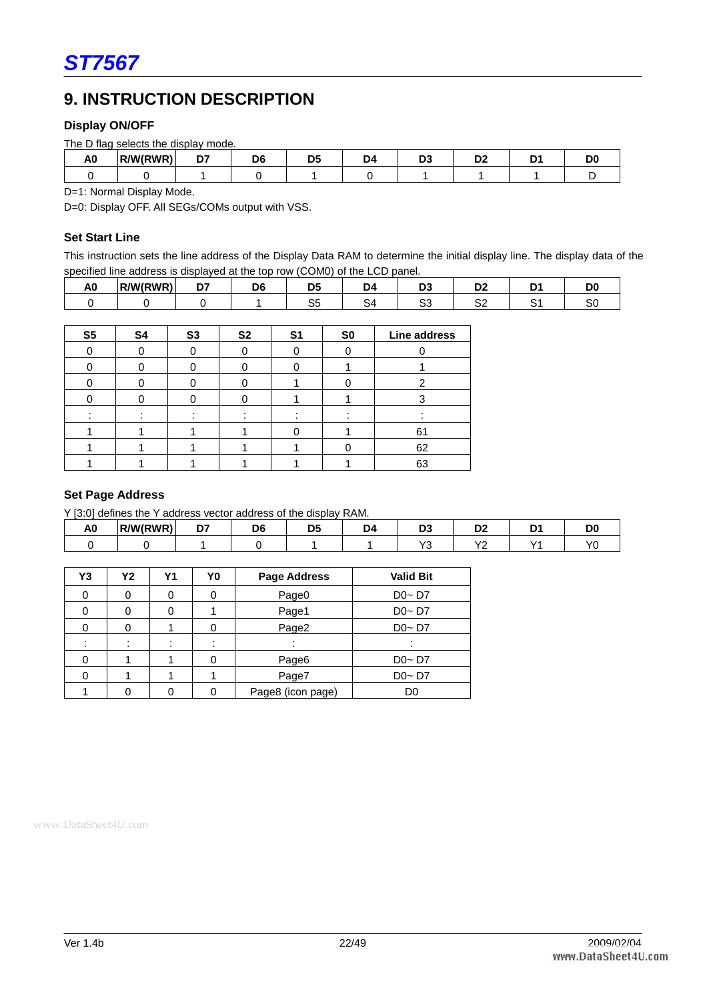## **9. INSTRUCTION DESCRIPTION**

#### **Display ON/OFF**

|    | The D flag selects the display mode. |    |    |  |   |   |   |  |  |  |  |
|----|--------------------------------------|----|----|--|---|---|---|--|--|--|--|
| A0 | R/W(RWR)                             | -- | Df |  | м | - | ◡ |  |  |  |  |
|    |                                      |    |    |  |   |   |   |  |  |  |  |

D=1: Normal Display Mode.

D=0: Display OFF. All SEGs/COMs output with VSS.

#### **Set Start Line**

This instruction sets the line address of the Display Data RAM to determine the initial display line. The display data of the specified line address is displayed at the top row (COM0) of the LCD panel.

| $\overline{\phantom{a}}$<br>A<br>∼ | '/W(RWR)<br>$\sim$ | --<br>- - |     | 10 |         | -               |  |
|------------------------------------|--------------------|-----------|-----|----|---------|-----------------|--|
|                                    |                    |           | . . |    | ∽.<br>ັ | <b>~~</b><br>ےر |  |

| S <sub>5</sub> | S <sub>4</sub> | S <sub>3</sub> | S <sub>2</sub> | S <sub>1</sub> | S <sub>0</sub> | Line address |
|----------------|----------------|----------------|----------------|----------------|----------------|--------------|
| ∩              |                |                |                |                |                |              |
| ሰ              |                |                |                |                |                |              |
|                |                |                |                |                |                |              |
|                |                |                |                |                |                |              |
|                |                |                |                |                |                |              |
|                |                |                |                |                |                | 61           |
|                |                |                |                |                |                | 62           |
|                |                |                |                |                |                | 63           |

#### **Set Page Address**

Y [3:0] defines the Y address vector address of the display RAM.

| . .<br>"<br>∼ | R/W(RWR) | ~~<br>- - |  |                          |                                | $-$ |
|---------------|----------|-----------|--|--------------------------|--------------------------------|-----|
|               |          |           |  | $\overline{\phantom{a}}$ | $\overline{\phantom{a}}$<br>-- |     |

| Y3 | Υ2 | Υ1 | Y0 | Page Address      | <b>Valid Bit</b> |
|----|----|----|----|-------------------|------------------|
|    |    |    |    | Page0             | $Do-D7$          |
|    |    |    |    | Page1             | $Do-D7$          |
|    |    |    |    | Page2             | $Do-D7$          |
|    |    |    |    |                   |                  |
|    |    |    |    | Page6             | $Do-D7$          |
|    |    |    |    | Page7             | $Do-D7$          |
|    |    |    |    | Page8 (icon page) | D <sub>0</sub>   |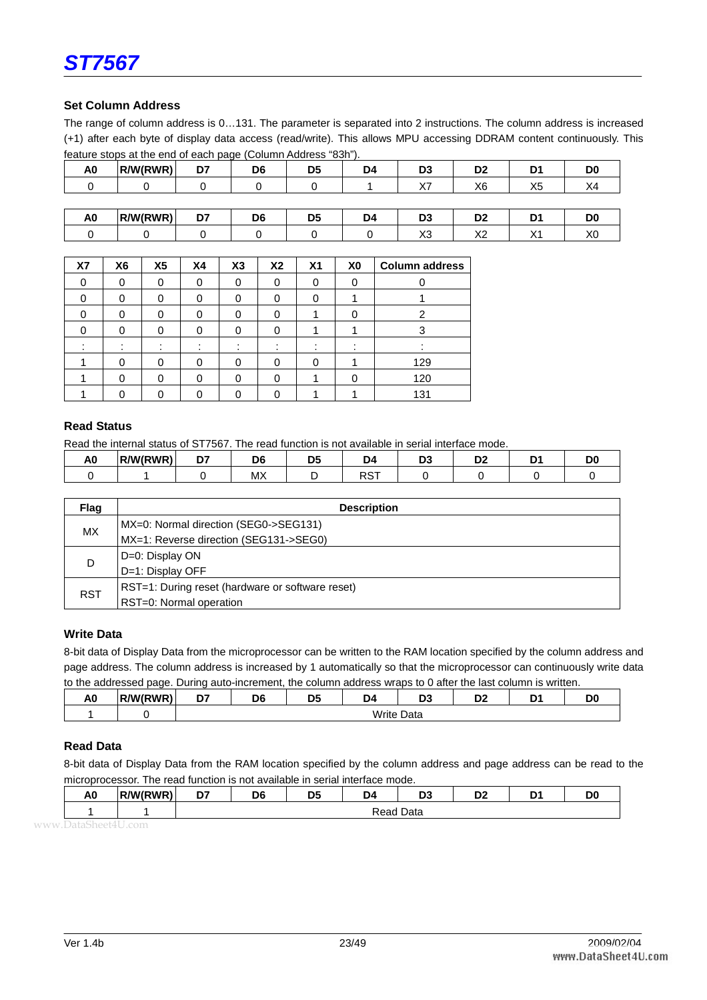

#### **Set Column Address**

The range of column address is 0…131. The parameter is separated into 2 instructions. The column address is increased (+1) after each byte of display data access (read/write). This allows MPU accessing DDRAM content continuously. This feature stops at the end of each page (Column Address "83h").

| A0            | R/W(RWR)    | D7    | D <sub>6</sub> | D <sub>5</sub> | D4   | D3         | D <sub>2</sub> |      | D <sub>0</sub> |
|---------------|-------------|-------|----------------|----------------|------|------------|----------------|------|----------------|
|               |             |       |                |                |      | ソフ<br>⁄\ / | X6             | X5   |                |
|               |             |       |                |                |      |            |                |      |                |
| $\sim$ $\sim$ | $        -$ | $- -$ | $-1$           | $- -$          | $ -$ | $- -$      | $-1$           | $ -$ | $-1$           |

| $\overline{\phantom{a}}$<br>$\overline{\phantom{a}}$<br>ハー | . .<br>πu | <b>MIRWR</b><br>ь. | --<br>- - | D <sub>6</sub> | <b>DE</b><br>. . | И | - - | - |  |
|------------------------------------------------------------|-----------|--------------------|-----------|----------------|------------------|---|-----|---|--|
|                                                            |           |                    |           |                |                  |   |     |   |  |

| <b>X7</b> | X6 | X <sub>5</sub> | X <sub>4</sub> | X3 | X <sub>2</sub> | X <sub>1</sub> | X <sub>0</sub> | <b>Column address</b> |
|-----------|----|----------------|----------------|----|----------------|----------------|----------------|-----------------------|
|           | 0  |                | 0              | 0  | $\Omega$       | 0              |                |                       |
|           | 0  |                | ი              | 0  | O              | 0              |                |                       |
|           |    |                |                | 0  | 0              |                |                | 2                     |
|           |    |                | ŋ              | O  | n              |                |                |                       |
|           |    |                |                |    |                |                |                |                       |
|           | O  |                | ∩              |    | ∩              | 0              |                | 129                   |
|           | 0  |                |                | 0  |                |                |                | 120                   |
|           |    |                |                |    |                |                |                | 131                   |

#### **Read Status**

Read the internal status of ST7567. The read function is not available in serial interface mode.

| - -<br>лv | <b>MIRWRY</b> | -- | υt                               | - - | .       | - - | ◡ |  |
|-----------|---------------|----|----------------------------------|-----|---------|-----|---|--|
|           |               |    | $\mathbf{A}$<br>IVI <sub>2</sub> |     | $- - -$ |     |   |  |

| Flag       | <b>Description</b>                               |
|------------|--------------------------------------------------|
| MX.        | MX=0: Normal direction (SEG0->SEG131)            |
|            | MX=1: Reverse direction (SEG131->SEG0)           |
|            | D=0: Display ON                                  |
| D          | D=1: Display OFF                                 |
|            | RST=1: During reset (hardware or software reset) |
| <b>RST</b> | RST=0: Normal operation                          |

#### **Write Data**

8-bit data of Display Data from the microprocessor can be written to the RAM location specified by the column address and page address. The column address is increased by 1 automatically so that the microprocessor can continuously write data to the addressed page. During auto-increment, the column address wraps to 0 after the last column is written.

| A <sub>0</sub> | R/W(RWR) | --<br>וע | D6 | DF<br>υ. | D4    | r.<br>יש       | D0<br>שע | n.<br>້ |  |
|----------------|----------|----------|----|----------|-------|----------------|----------|---------|--|
|                |          |          |    |          | Write | $\sim$<br>Data |          |         |  |

#### **Read Data**

8-bit data of Display Data from the RAM location specified by the column address and page address can be read to the microprocessor. The read function is not available in serial interface mode.

| . .<br>πv | <b><i>IMIDMD</i></b><br>פואי<br>. | n,<br>יש | DC<br>טע | - -<br>υ. | r.   | D <sub>C</sub><br>יש |  |
|-----------|-----------------------------------|----------|----------|-----------|------|----------------------|--|
|           |                                   |          |          |           | Dald |                      |  |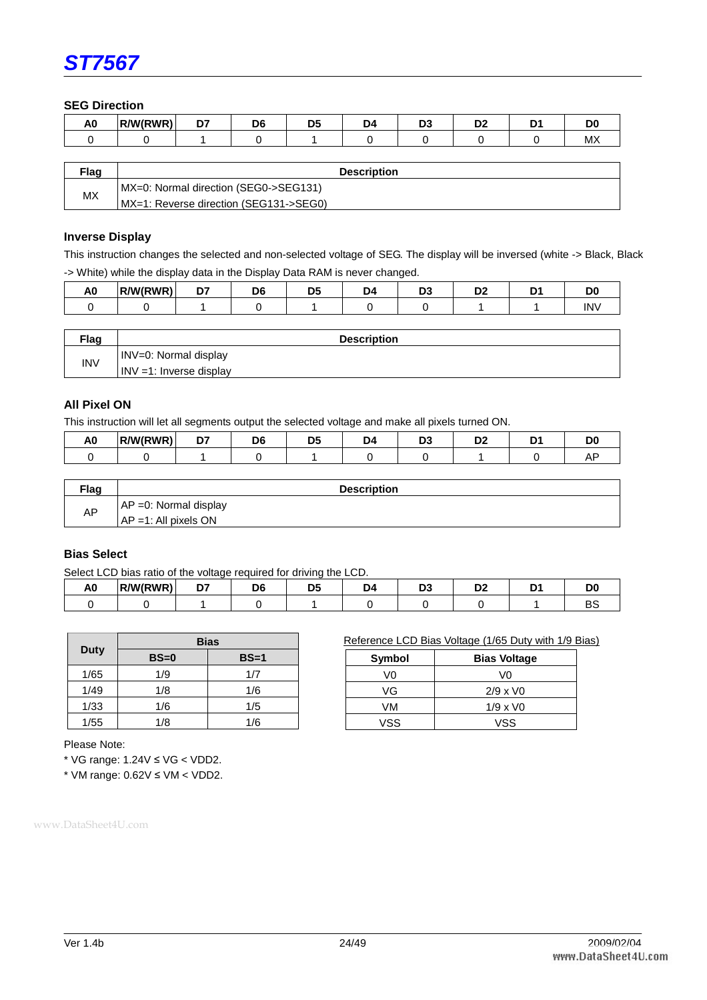

**SEG Direction** 

| . .<br>лv | . <i>. .</i><br>/W/L<br>~ W ⊷ | -- | Dε | n | --<br>IJ. | -- |       |
|-----------|-------------------------------|----|----|---|-----------|----|-------|
|           |                               |    |    |   |           |    | IVI Z |

| Flag | <b>Description</b>                     |  |
|------|----------------------------------------|--|
| МX   | MX=0: Normal direction (SEG0->SEG131)  |  |
|      | MX=1: Reverse direction (SEG131->SEG0) |  |

#### **Inverse Display**

This instruction changes the selected and non-selected voltage of SEG. The display will be inversed (white -> Black, Black -> White) while the display data in the Display Data RAM is never changed.

| . .<br>nv | <b>MIRWR</b><br>.<br>. . | $-$ | - - | <br>- |  |   |
|-----------|--------------------------|-----|-----|-------|--|---|
|           |                          |     |     |       |  | n |

| <b>Flag</b> | <b>Description</b>          |
|-------------|-----------------------------|
| <b>INV</b>  | INV=0: Normal display       |
|             | $INV = 1$ : Inverse display |

#### **All Pixel ON**

This instruction will let all segments output the selected voltage and make all pixels turned ON.

| . .<br>AU | <b>RWIRWR</b><br>ιP | --<br>- - | D۴ | И | r. | ◡<br>-- |  |
|-----------|---------------------|-----------|----|---|----|---------|--|
|           |                     |           |    |   |    |         |  |

| <b>Flag</b> | <b>Description</b>        |
|-------------|---------------------------|
|             | $AP = 0$ : Normal display |
| AP          | $AP = 1$ : All pixels ON  |

#### **Bias Select**

Select LCD bias ratio of the voltage required for driving the LCD.

| nv | <b>MIRWR</b> | $\sim$ |  | ıc | -- |   |
|----|--------------|--------|--|----|----|---|
|    |              |        |  |    |    | . |

Reference LCD Bias Voltage (1/65 Duty with 1/9 Bias)

**Symbol Bias Voltage**  V0 V0 VG 2/9 x V0 VM 1/9 x V0 VSS VSS

|      | <b>Bias</b> |        |  |  |  |  |  |
|------|-------------|--------|--|--|--|--|--|
| Duty | $BS=0$      | $BS=1$ |  |  |  |  |  |
| 1/65 | 1/9         | 1/7    |  |  |  |  |  |
| 1/49 | 1/8         | 1/6    |  |  |  |  |  |
| 1/33 | 1/6         | 1/5    |  |  |  |  |  |
| 1/55 | 1/8         | 1/6    |  |  |  |  |  |

Please Note:

\* VG range: 1.24V ≤ VG < VDD2.

\* VM range: 0.62V ≤ VM < VDD2.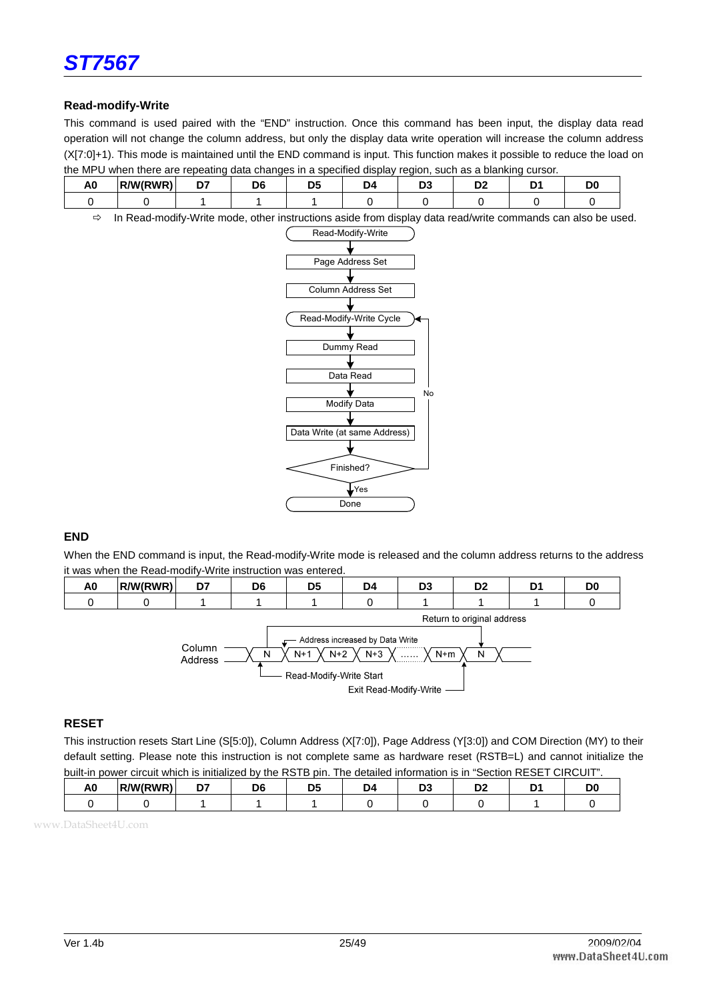

#### **Read-modify-Write**

This command is used paired with the "END" instruction. Once this command has been input, the display data read operation will not change the column address, but only the display data write operation will increase the column address (X[7:0]+1). This mode is maintained until the END command is input. This function makes it possible to reduce the load on the MPU when there are repeating data changes in a specified display region, such as a blanking cursor.

| . .<br>∼ | R/W(RWR) | $- -$ |  |  |  |  |
|----------|----------|-------|--|--|--|--|
|          |          |       |  |  |  |  |

- In Read-modify-Write mode, other instructions aside from display data read/write commands can also be used.



#### **END**

When the END command is input, the Read-modify-Write mode is released and the column address returns to the address it was when the Read-modify-Write instruction was entered.



#### **RESET**

This instruction resets Start Line (S[5:0]), Column Address (X[7:0]), Page Address (Y[3:0]) and COM Direction (MY) to their default setting. Please note this instruction is not complete same as hardware reset (RSTB=L) and cannot initialize the built-in power circuit which is initialized by the RSTB pin. The detailed information is in "Section RESET CIRCUIT".

| мu | <b>MIDMDI</b> | $\sim$ $-$ | Dß |  | - -<br>- |  |
|----|---------------|------------|----|--|----------|--|
|    |               |            |    |  |          |  |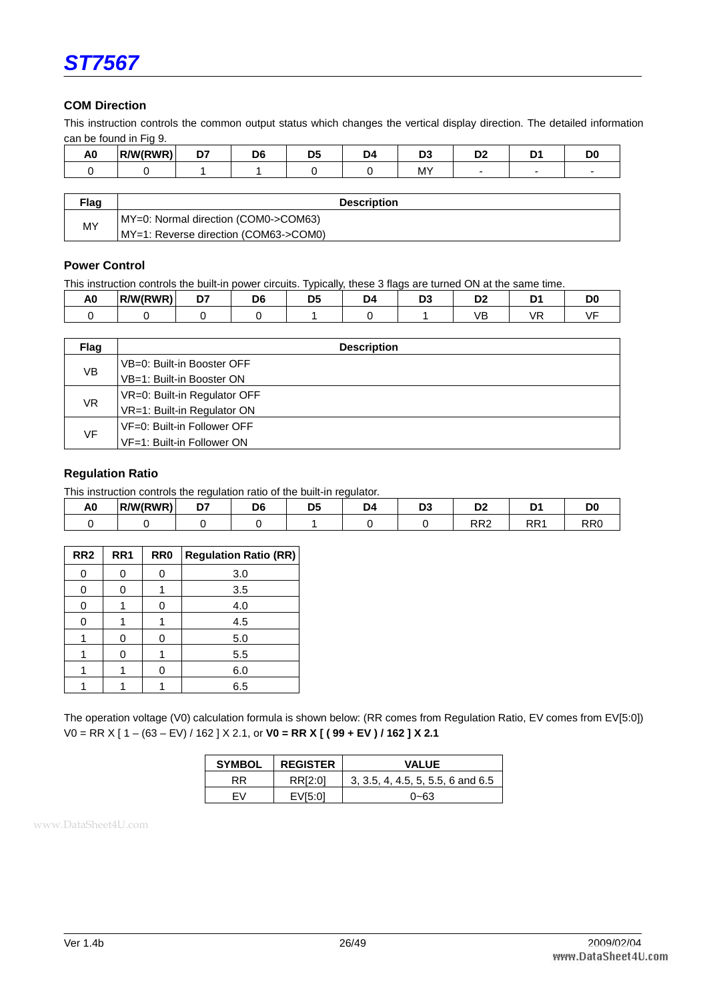

#### **COM Direction**

This instruction controls the common output status which changes the vertical display direction. The detailed information can be found in Fig 9.

| $\ddot{\phantom{1}}$<br>AΟ | /M/RWP | n-<br>- 1 | D <sub>6</sub> | $D^r$<br>. . | <b>DA</b> | r. | D.C<br>יש |   | DC     |
|----------------------------|--------|-----------|----------------|--------------|-----------|----|-----------|---|--------|
|                            |        |           |                |              |           | MY | -         | - | $\sim$ |
|                            |        |           |                |              |           |    |           |   |        |

| <b>⊡ag</b> | <b>Description</b>                    |
|------------|---------------------------------------|
|            | MY=0: Normal direction (COM0->COM63)  |
| MY         | MY=1: Reverse direction (COM63->COM0) |

#### **Power Control**

This instruction controls the built-in power circuits. Typically, these 3 flags are turned ON at the same time.

| . .<br>лv | <b>RAM/RWRY</b> | $\sim$ | DR | <br> | - - |  |
|-----------|-----------------|--------|----|------|-----|--|
|           |                 |        |    |      |     |  |

| Flag | <b>Description</b>           |
|------|------------------------------|
|      | VB=0: Built-in Booster OFF   |
| VB   | VB=1: Built-in Booster ON    |
|      | VR=0: Built-in Regulator OFF |
| VR.  | VR=1: Built-in Regulator ON  |
|      | VF=0: Built-in Follower OFF  |
| VF   | VF=1: Built-in Follower ON   |

#### **Regulation Ratio**

This instruction controls the regulation ratio of the built-in regulator.

| . .<br>л<br>nu | <b>R/W/RWR)</b> | ~~<br>. . | $\sim$ | . | r.<br>◡▵      |    |  |
|----------------|-----------------|-----------|--------|---|---------------|----|--|
|                |                 |           |        |   | מחם<br>11 V.C | -- |  |

| RR <sub>2</sub> | RR1 | RR <sub>0</sub> | <b>Regulation Ratio (RR)</b> |
|-----------------|-----|-----------------|------------------------------|
| 0               | 0   | 0               | 3.0                          |
| 0               | 0   |                 | 3.5                          |
| 0               |     | 0               | 4.0                          |
| 0               |     |                 | 4.5                          |
|                 | 0   | ი               | 5.0                          |
|                 | 0   |                 | 5.5                          |
|                 |     |                 | 6.0                          |
|                 |     |                 | 6.5                          |

The operation voltage (V0) calculation formula is shown below: (RR comes from Regulation Ratio, EV comes from EV[5:0]) V0 = RR X [ 1 – (63 – EV) / 162 ] X 2.1, or **V0 = RR X [ ( 99 + EV ) / 162 ] X 2.1** 

| <b>SYMBOL</b> | <b>REGISTER</b> | <b>VALUE</b>                      |
|---------------|-----------------|-----------------------------------|
| RR            | RRI2:01         | 3, 3.5, 4, 4.5, 5, 5.5, 6 and 6.5 |
|               | FVI5:01         | 0~63                              |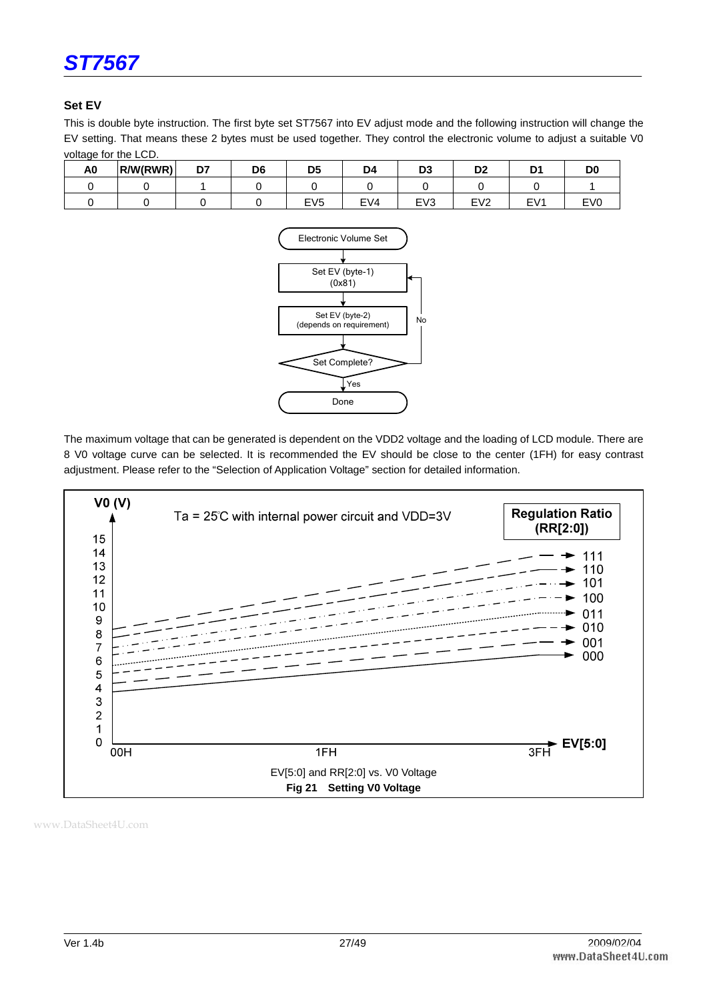

#### **Set EV**

This is double byte instruction. The first byte set ST7567 into EV adjust mode and the following instruction will change the EV setting. That means these 2 bytes must be used together. They control the electronic volume to adjust a suitable V0 voltage for the LCD.

| A <sub>0</sub> | R/W(RWR) | D7 | D <sub>6</sub> | D5              | D4  | D <sub>3</sub>  | D <sub>2</sub>  |         | DO              |
|----------------|----------|----|----------------|-----------------|-----|-----------------|-----------------|---------|-----------------|
|                |          |    |                |                 |     |                 |                 |         |                 |
|                |          |    |                | EV <sub>5</sub> | EVA | EV <sub>3</sub> | EV <sub>2</sub> | E١<br>M | EV <sub>0</sub> |



The maximum voltage that can be generated is dependent on the VDD2 voltage and the loading of LCD module. There are 8 V0 voltage curve can be selected. It is recommended the EV should be close to the center (1FH) for easy contrast adjustment. Please refer to the "Selection of Application Voltage" section for detailed information.

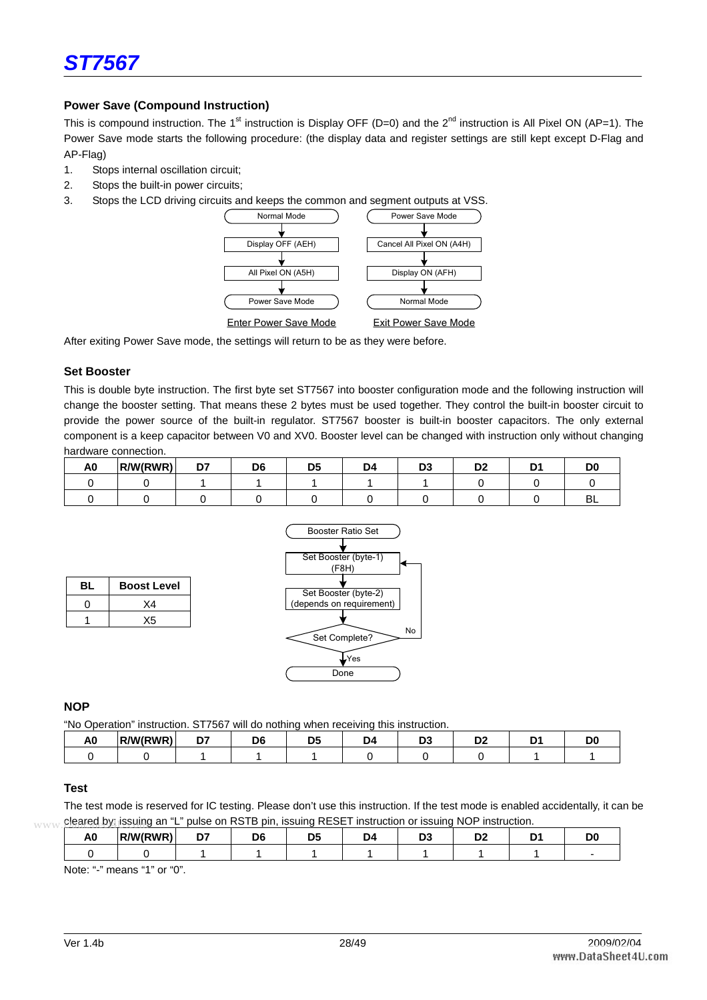

#### **Power Save (Compound Instruction)**

This is compound instruction. The 1<sup>st</sup> instruction is Display OFF (D=0) and the 2<sup>nd</sup> instruction is All Pixel ON (AP=1). The Power Save mode starts the following procedure: (the display data and register settings are still kept except D-Flag and AP-Flag)

- 1. Stops internal oscillation circuit;
- 2. Stops the built-in power circuits;
- 3. Stops the LCD driving circuits and keeps the common and segment outputs at VSS.



After exiting Power Save mode, the settings will return to be as they were before.

#### **Set Booster**

This is double byte instruction. The first byte set ST7567 into booster configuration mode and the following instruction will change the booster setting. That means these 2 bytes must be used together. They control the built-in booster circuit to provide the power source of the built-in regulator. ST7567 booster is built-in booster capacitors. The only external component is a keep capacitor between V0 and XV0. Booster level can be changed with instruction only without changing hardware connection.

| A <sub>0</sub> | R/W/RWR <sup>Y</sup><br>. | n7<br>., | D <sub>6</sub> | -- | . Exercise | ne.<br>◡ |  |
|----------------|---------------------------|----------|----------------|----|------------|----------|--|
|                |                           |          |                |    |            |          |  |
|                |                           |          |                |    |            |          |  |





#### **NOP**

"No Operation" instruction. ST7567 will do nothing when receiving this instruction.

| ∼ | <b>MIRWRY</b><br>R<br> | -- |  | Ъø |  |  |
|---|------------------------|----|--|----|--|--|
|   |                        |    |  |    |  |  |

#### **Test**

The test mode is reserved for IC testing. Please don't use this instruction. If the test mode is enabled accidentally, it can be www.cleared by issuing an "L" pulse on RSTB pin, issuing RESET instruction or issuing NOP instruction.

| التأريب المراجات والمستردد والمتراجب المتراكب أتتميز أوالمسترد المستراح المراجات والمتراجات المتراجات المترجمان<br>гν. | $\cdots$<br>w | -- |  |  |  |  |
|------------------------------------------------------------------------------------------------------------------------|---------------|----|--|--|--|--|
|                                                                                                                        |               |    |  |  |  |  |

Note: "-" means "1" or "0".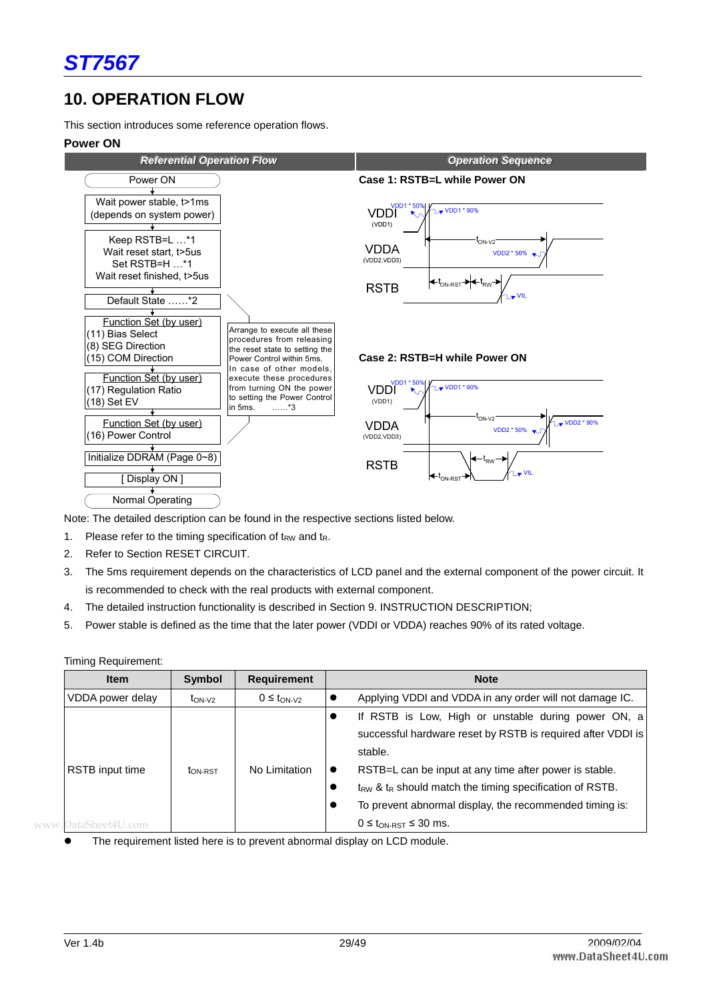## **10. OPERATION FLOW**

This section introduces some reference operation flows.

#### **Power ON**



Note: The detailed description can be found in the respective sections listed below.

- 1. Please refer to the timing specification of  $t_{RW}$  and  $t_R$ .
- 2. Refer to Section RESET CIRCUIT.
- 3. The 5ms requirement depends on the characteristics of LCD panel and the external component of the power circuit. It is recommended to check with the real products with external component.
- 4. The detailed instruction functionality is described in Section 9. INSTRUCTION DESCRIPTION;
- 5. Power stable is defined as the time that the later power (VDDI or VDDA) reaches 90% of its rated voltage.

| <b>Item</b>         | Symbol              | <b>Requirement</b> | <b>Note</b>                                                                                                                                                                          |
|---------------------|---------------------|--------------------|--------------------------------------------------------------------------------------------------------------------------------------------------------------------------------------|
| VDDA power delay    | $t_{ON-V2}$         | $0 \leq t_{ON-V2}$ | Applying VDDI and VDDA in any order will not damage IC.                                                                                                                              |
|                     |                     |                    | If RSTB is Low, High or unstable during power ON, a<br>successful hardware reset by RSTB is required after VDDI is<br>stable.                                                        |
| RSTB input time     | t <sub>ON-RST</sub> | No Limitation      | RSTB=L can be input at any time after power is stable.<br>$t_{RW}$ & $t_R$ should match the timing specification of RSTB.<br>To prevent abnormal display, the recommended timing is: |
| www.DataSheet4U.com |                     |                    | $0 \leq t_{ON-RST} \leq 30$ ms.                                                                                                                                                      |

Timing Requirement:

The requirement listed here is to prevent abnormal display on LCD module.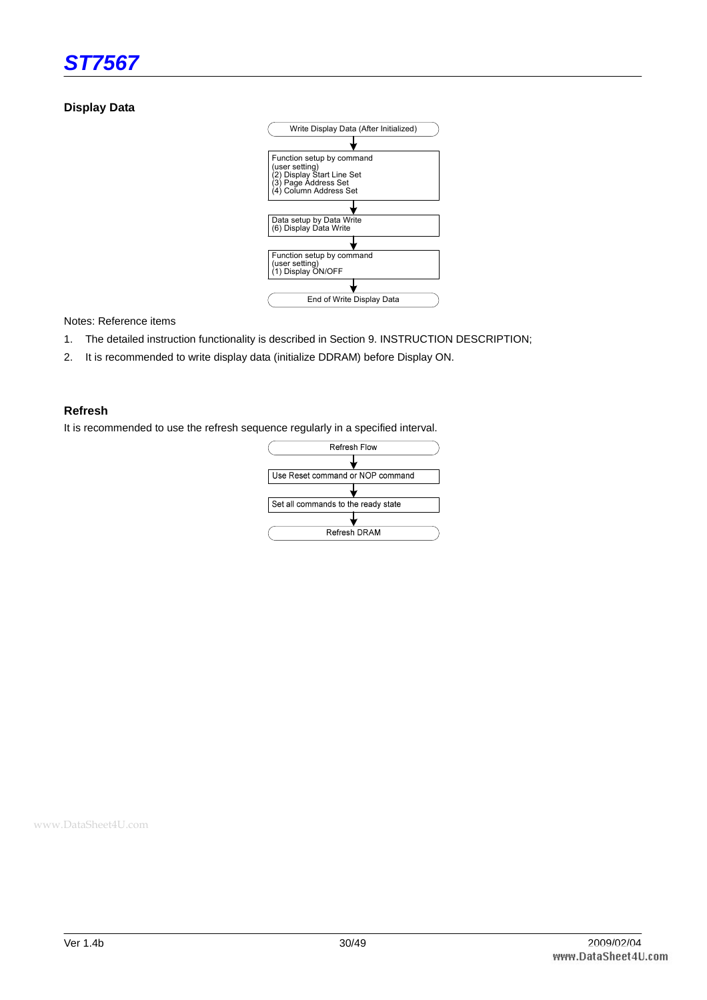

#### **Display Data**



Notes: Reference items

- 1. The detailed instruction functionality is described in Section 9. INSTRUCTION DESCRIPTION;
- 2. It is recommended to write display data (initialize DDRAM) before Display ON.

#### **Refresh**

It is recommended to use the refresh sequence regularly in a specified interval.

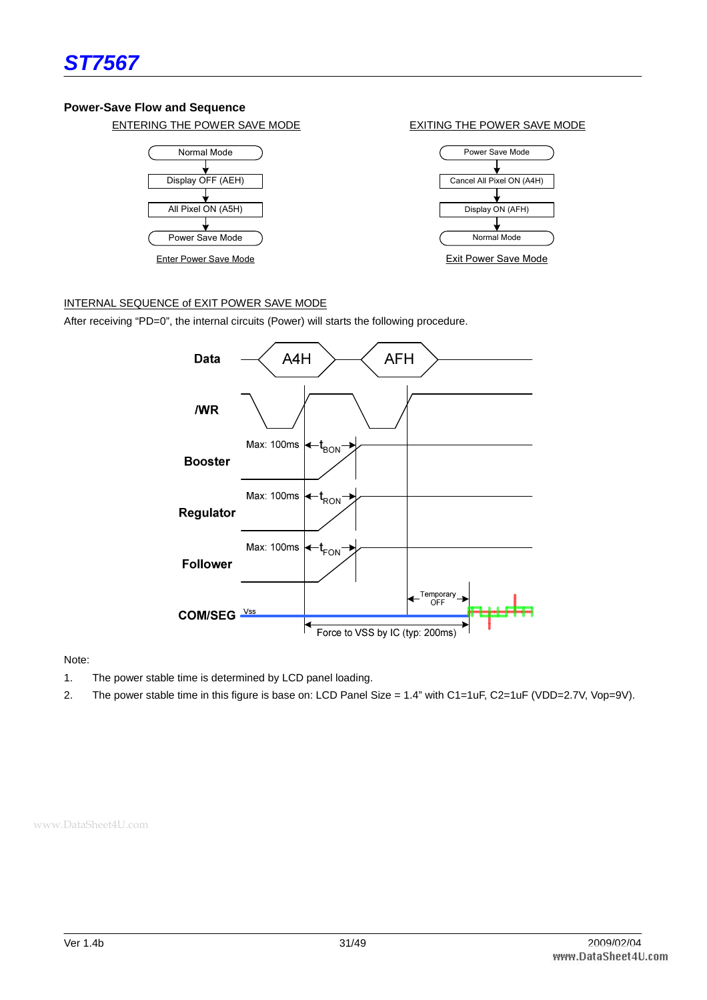

#### **Power-Save Flow and Sequence**

ENTERING THE POWER SAVE MODE EXITING THE POWER SAVE MODE



Enter Power Save Mode



Exit Power Save Mode

#### INTERNAL SEQUENCE of EXIT POWER SAVE MODE

After receiving "PD=0", the internal circuits (Power) will starts the following procedure.



Note:

- 1. The power stable time is determined by LCD panel loading.
- 2. The power stable time in this figure is base on: LCD Panel Size = 1.4" with C1=1uF, C2=1uF (VDD=2.7V, Vop=9V).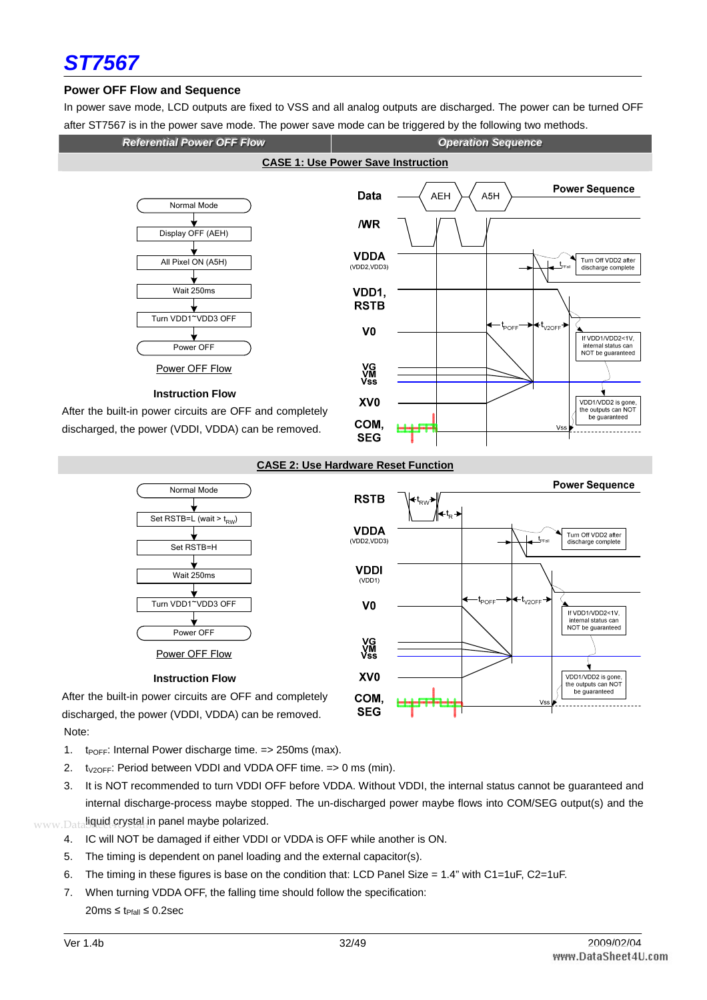

#### **Power OFF Flow and Sequence**

In power save mode, LCD outputs are fixed to VSS and all analog outputs are discharged. The power can be turned OFF after ST7567 is in the power save mode. The power save mode can be triggered by the following two methods.



#### **CASE 2: Use Hardware Reset Function**



Note:

- 1.  $t_{\text{POFF}}$ : Internal Power discharge time. = > 250ms (max).
- 2.  $t_{V2OFF}$ : Period between VDDI and VDDA OFF time. = > 0 ms (min).
- 3. It is NOT recommended to turn VDDI OFF before VDDA. Without VDDI, the internal status cannot be guaranteed and internal discharge-process maybe stopped. The un-discharged power maybe flows into COM/SEG output(s) and the
- www.Dataliquid crystal in panel maybe polarized. 4. IC will NOT be damaged if either VDDI or VDDA is OFF while another is ON.
	- 5. The timing is dependent on panel loading and the external capacitor(s).
	- 6. The timing in these figures is base on the condition that: LCD Panel Size =  $1.4$ " with C1=1uF, C2=1uF.
	- 7. When turning VDDA OFF, the falling time should follow the specification: 20ms ≤ t<sub>Pfall</sub> ≤ 0.2sec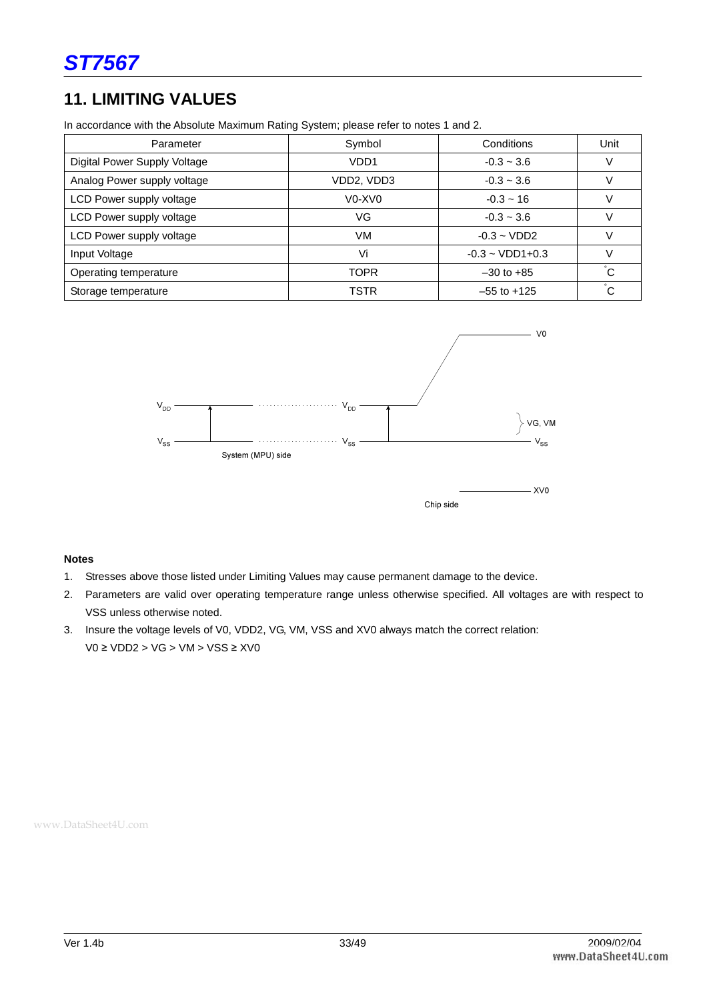## **11. LIMITING VALUES**

In accordance with the Absolute Maximum Rating System; please refer to notes 1 and 2.

| Parameter                    | Symbol                                      | Conditions                  | Unit            |
|------------------------------|---------------------------------------------|-----------------------------|-----------------|
| Digital Power Supply Voltage | VDD <sub>1</sub>                            | $-0.3 - 3.6$                |                 |
| Analog Power supply voltage  | VDD2, VDD3                                  | $-0.3 - 3.6$                |                 |
| LCD Power supply voltage     | V <sub>0</sub> -X <sub>V</sub> <sub>0</sub> | $-0.3 - 16$                 |                 |
| LCD Power supply voltage     | VG                                          | $-0.3 - 3.6$                |                 |
| LCD Power supply voltage     | VM                                          | $-0.3 - VDD2$               |                 |
| Input Voltage                | Vi                                          | $-0.3 \sim \text{VDD1+0.3}$ |                 |
| Operating temperature        | TOPR                                        | $-30$ to $+85$              | $\rm ^{\circ}C$ |
| Storage temperature          | <b>TSTR</b>                                 | $-55$ to $+125$             | $\rm \degree C$ |



#### **Notes**

- 1. Stresses above those listed under Limiting Values may cause permanent damage to the device.
- 2. Parameters are valid over operating temperature range unless otherwise specified. All voltages are with respect to VSS unless otherwise noted.
- 3. Insure the voltage levels of V0, VDD2, VG, VM, VSS and XV0 always match the correct relation: V0 ≥ VDD2 > VG > VM > VSS ≥ XV0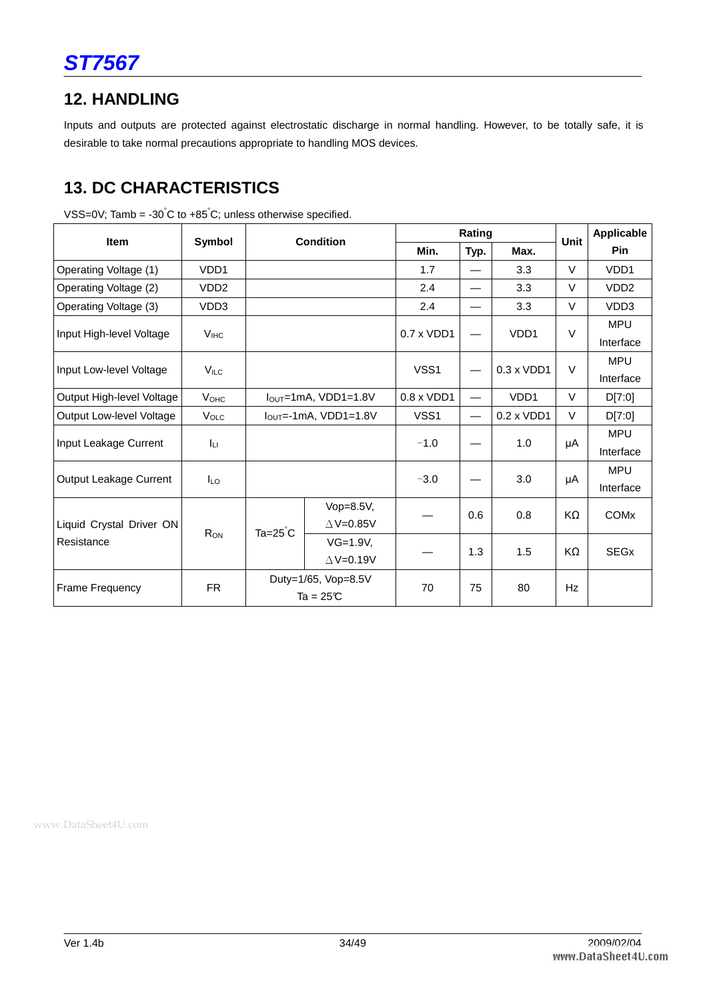

## **12. HANDLING**

Inputs and outputs are protected against electrostatic discharge in normal handling. However, to be totally safe, it is desirable to take normal precautions appropriate to handling MOS devices.

## **13. DC CHARACTERISTICS**

|                           |                         |                  |                            |                   | Rating                   |                   |        | Applicable             |
|---------------------------|-------------------------|------------------|----------------------------|-------------------|--------------------------|-------------------|--------|------------------------|
| Item                      | Symbol                  |                  | <b>Condition</b>           | Min.              | Typ.                     | Max.              | Unit   | <b>Pin</b>             |
| Operating Voltage (1)     | VDD1                    |                  |                            | 1.7               |                          | 3.3               | V      | VDD1                   |
| Operating Voltage (2)     | VDD <sub>2</sub>        |                  |                            | 2.4               | —                        | 3.3               | V      | VDD <sub>2</sub>       |
| Operating Voltage (3)     | VDD3                    |                  |                            | 2.4               | —                        | 3.3               | V      | VDD3                   |
| Input High-level Voltage  | V <sub>HC</sub>         |                  |                            | 0.7 x VDD1        |                          | VDD1              | $\vee$ | <b>MPU</b>             |
|                           |                         |                  |                            |                   |                          |                   |        | Interface              |
| Input Low-level Voltage   | $V_{ILC}$               |                  |                            | VSS1              | $\overline{\phantom{0}}$ | 0.3 x VDD1        | $\vee$ | <b>MPU</b>             |
|                           |                         |                  |                            |                   |                          |                   |        | Interface              |
| Output High-level Voltage | <b>V</b> <sub>OHC</sub> |                  | $IOUT=1mA$ , VDD1=1.8V     | $0.8 \times VDD1$ | $\overline{\phantom{0}}$ | VDD <sub>1</sub>  | V      | D[7:0]                 |
| Output Low-level Voltage  | $V_{\text{OLC}}$        |                  | $I_{OUT}$ =-1mA, VDD1=1.8V | VSS1              | $\overline{\phantom{m}}$ | $0.2 \times VDD1$ | V      | D[7:0]                 |
| Input Leakage Current     | Ιu                      |                  |                            | $-1.0$            |                          | 1.0               | μA     | <b>MPU</b>             |
|                           |                         |                  |                            |                   |                          |                   |        | Interface              |
| Output Leakage Current    | <b>ILO</b>              |                  |                            | $-3.0$            |                          | 3.0               | μA     | <b>MPU</b>             |
|                           |                         |                  |                            |                   |                          |                   |        | Interface              |
|                           |                         |                  | Vop=8.5V,                  |                   | 0.6                      | 0.8               | KΩ     | <b>COM<sub>x</sub></b> |
| Liquid Crystal Driver ON  | R <sub>ON</sub>         | $Ta=25^{\circ}C$ | $\triangle$ V=0.85V        |                   |                          |                   |        |                        |
| Resistance                |                         |                  | $VG=1.9V,$                 |                   | 1.3                      | 1.5               | KΩ     | SEGx                   |
|                           |                         |                  | $\triangle$ V=0.19V        |                   |                          |                   |        |                        |
| <b>Frame Frequency</b>    | <b>FR</b>               |                  | Duty=1/65, Vop=8.5V        |                   | 75                       | 80                | Hz     |                        |
|                           |                         |                  | Ta = $25C$                 | 70                |                          |                   |        |                        |

VSS=0V; Tamb = -30°C to +85°C; unless otherwise specified.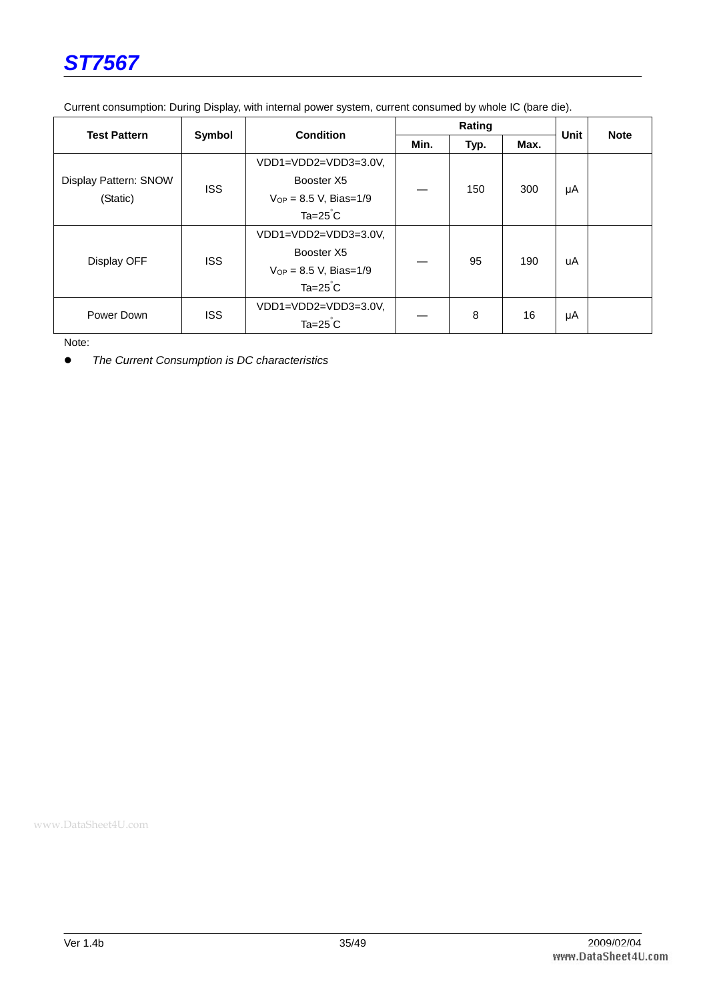

| <b>Test Pattern</b><br>Symbol     |            | <b>Condition</b>            |      | Rating |      | <b>Unit</b> | <b>Note</b> |
|-----------------------------------|------------|-----------------------------|------|--------|------|-------------|-------------|
|                                   |            |                             | Min. | Typ.   | Max. |             |             |
|                                   |            | VDD1=VDD2=VDD3=3.0V,        |      |        | 300  |             |             |
| Display Pattern: SNOW<br>(Static) |            | Booster X5                  |      | 150    |      |             |             |
|                                   | <b>ISS</b> | $V_{OP} = 8.5 V$ , Bias=1/9 |      |        |      | μA          |             |
|                                   |            | $Ta=25^{\circ}C$            |      |        |      |             |             |
|                                   |            | VDD1=VDD2=VDD3=3.0V,        |      | 95     |      |             |             |
| Display OFF                       | <b>ISS</b> | Booster X5                  |      |        | 190  | uA          |             |
|                                   |            | $V_{OP} = 8.5$ V, Bias=1/9  |      |        |      |             |             |
|                                   |            | $Ta=25^{\circ}C$            |      |        |      |             |             |
| Power Down                        |            | VDD1=VDD2=VDD3=3.0V,        |      |        |      |             |             |
|                                   | <b>ISS</b> | $Ta=25^{\circ}C$            |      | 8      | 16   | μA          |             |

Current consumption: During Display, with internal power system, current consumed by whole IC (bare die).

Note:

• The Current Consumption is DC characteristics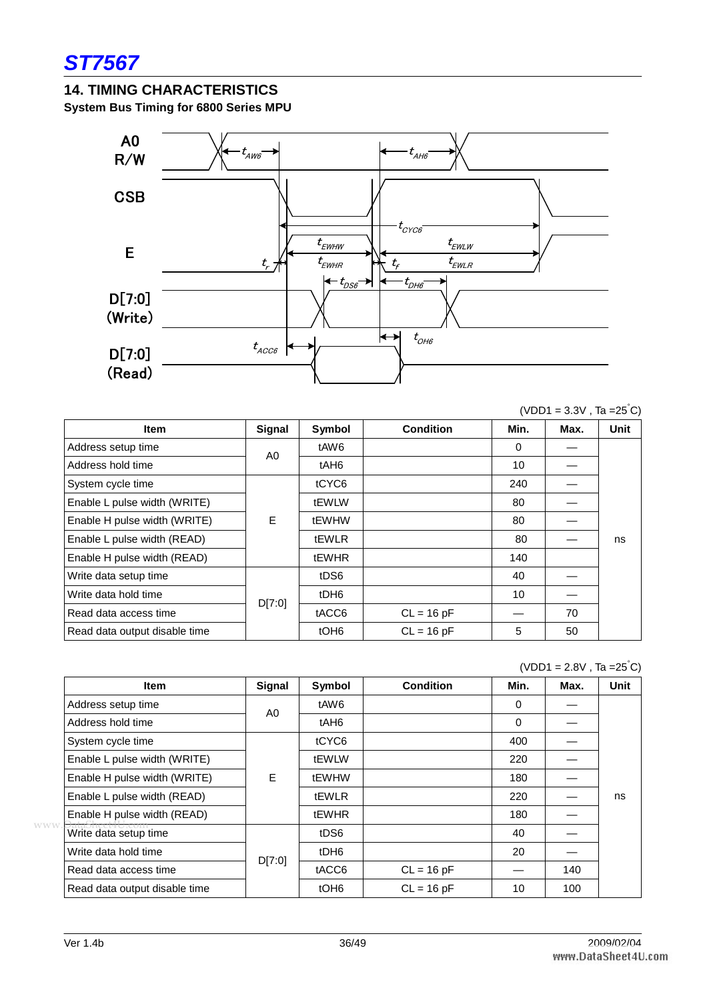## **14. TIMING CHARACTERISTICS**

**System Bus Timing for 6800 Series MPU** 



 $(VDD1 = 3.3V, Ta = 25<sup>°</sup>C)$ 

| <b>Item</b>                   | Signal         | Symbol           | <b>Condition</b> | Min. | Max. | <b>Unit</b> |
|-------------------------------|----------------|------------------|------------------|------|------|-------------|
| Address setup time            | A <sub>0</sub> | tAW6             |                  | 0    |      |             |
| Address hold time             |                | tAH <sub>6</sub> |                  | 10   |      |             |
| System cycle time             |                | tCYC6            |                  | 240  |      |             |
| Enable L pulse width (WRITE)  |                | tEWLW            |                  | 80   |      |             |
| Enable H pulse width (WRITE)  | E              | tEWHW            |                  | 80   |      |             |
| Enable L pulse width (READ)   |                | <b>tEWLR</b>     |                  | 80   |      | ns          |
| Enable H pulse width (READ)   |                | tEWHR            |                  | 140  |      |             |
| Write data setup time         |                | tDS6             |                  | 40   |      |             |
| Write data hold time          | D[7:0]         | tDH <sub>6</sub> |                  | 10   |      |             |
| Read data access time         |                | tACC6            | $CL = 16 pF$     |      | 70   |             |
| Read data output disable time |                | tOH <sub>6</sub> | $CL = 16 pF$     | 5    | 50   |             |

|            |                               |               |                  |                  |          | $(VDD1 = 2.8V$ , Ta = $25^{\circ}$ C) |             |
|------------|-------------------------------|---------------|------------------|------------------|----------|---------------------------------------|-------------|
|            | <b>Item</b>                   | <b>Signal</b> | Symbol           | <b>Condition</b> | Min.     | Max.                                  | <b>Unit</b> |
|            | Address setup time            | A0            | tAW6             |                  | $\Omega$ |                                       |             |
|            | Address hold time             |               | tAH <sub>6</sub> |                  | 0        |                                       |             |
|            | System cycle time             |               | tCYC6            |                  | 400      |                                       |             |
|            | Enable L pulse width (WRITE)  |               | tEWLW            |                  | 220      |                                       |             |
|            | Enable H pulse width (WRITE)  | E             | tEWHW            |                  | 180      |                                       |             |
|            | Enable L pulse width (READ)   |               | tEWLR            |                  | 220      |                                       | ns          |
|            | Enable H pulse width (READ)   |               | <b>tEWHR</b>     |                  | 180      |                                       |             |
| <b>WWW</b> | Write data setup time         |               | tDS6             |                  | 40       |                                       |             |
|            | Write data hold time          |               | tDH <sub>6</sub> |                  | 20       |                                       |             |
|            | Read data access time         | D[7:0]        | tACC6            | $CL = 16 pF$     |          | 140                                   |             |
|            | Read data output disable time |               | tOH <sub>6</sub> | $CL = 16 pF$     | 10       | 100                                   |             |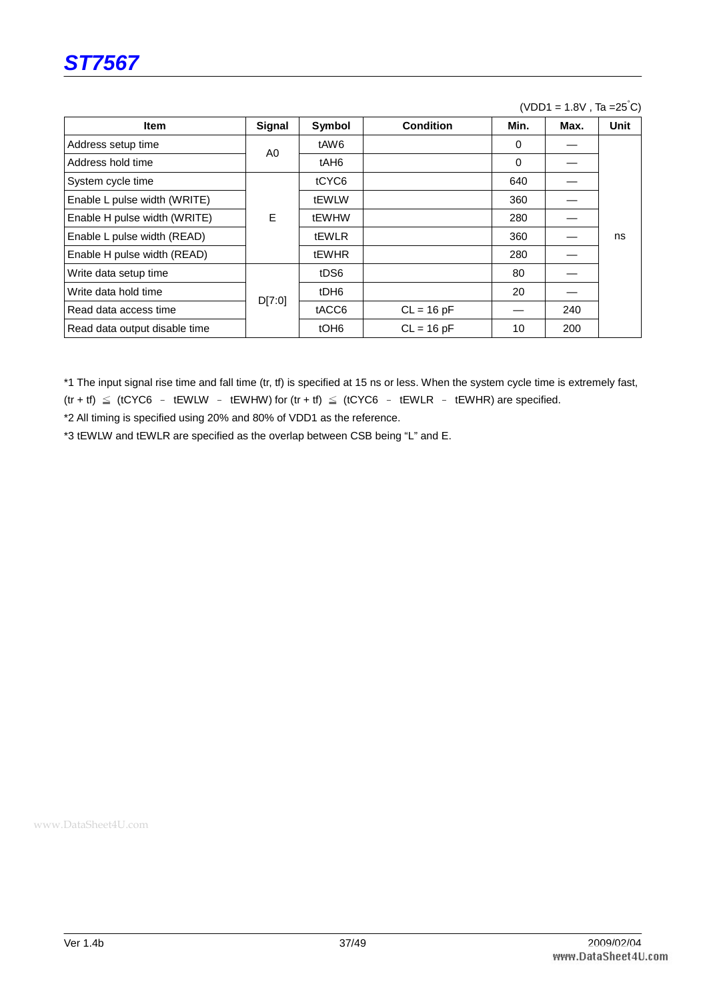

#### $(VDD1 = 1.8V$ , Ta = $25^{\circ}C$ )

| <b>Item</b>                   | Signal | Symbol           | <b>Condition</b> | Min.     | Max. | <b>Unit</b> |
|-------------------------------|--------|------------------|------------------|----------|------|-------------|
| Address setup time            | A0     | tAW6             |                  | $\Omega$ |      |             |
| Address hold time             |        | tAH <sub>6</sub> |                  | $\Omega$ |      |             |
| System cycle time             |        | tCYC6            |                  | 640      |      |             |
| Enable L pulse width (WRITE)  |        | tEWLW            |                  | 360      |      |             |
| Enable H pulse width (WRITE)  | E      | tEWHW            |                  | 280      |      |             |
| Enable L pulse width (READ)   |        | <b>tEWLR</b>     |                  | 360      |      | ns          |
| Enable H pulse width (READ)   |        | <b>tEWHR</b>     |                  | 280      |      |             |
| Write data setup time         |        | tDS6             |                  | 80       |      |             |
| Write data hold time          | D[7:0] | tDH <sub>6</sub> |                  | 20       |      |             |
| Read data access time         |        | tACC6            | $CL = 16 pF$     |          | 240  |             |
| Read data output disable time |        | tOH <sub>6</sub> | $CL = 16 pF$     | 10       | 200  |             |

\*1 The input signal rise time and fall time (tr, tf) is specified at 15 ns or less. When the system cycle time is extremely fast,  $(tr + tf) \leq (tCYC6 - tEWLW - tEWHW)$  for  $(tr + tf) \leq (tCYC6 - tEWLR - tEWHR)$  are specified.

\*2 All timing is specified using 20% and 80% of VDD1 as the reference.

\*3 tEWLW and tEWLR are specified as the overlap between CSB being "L" and E.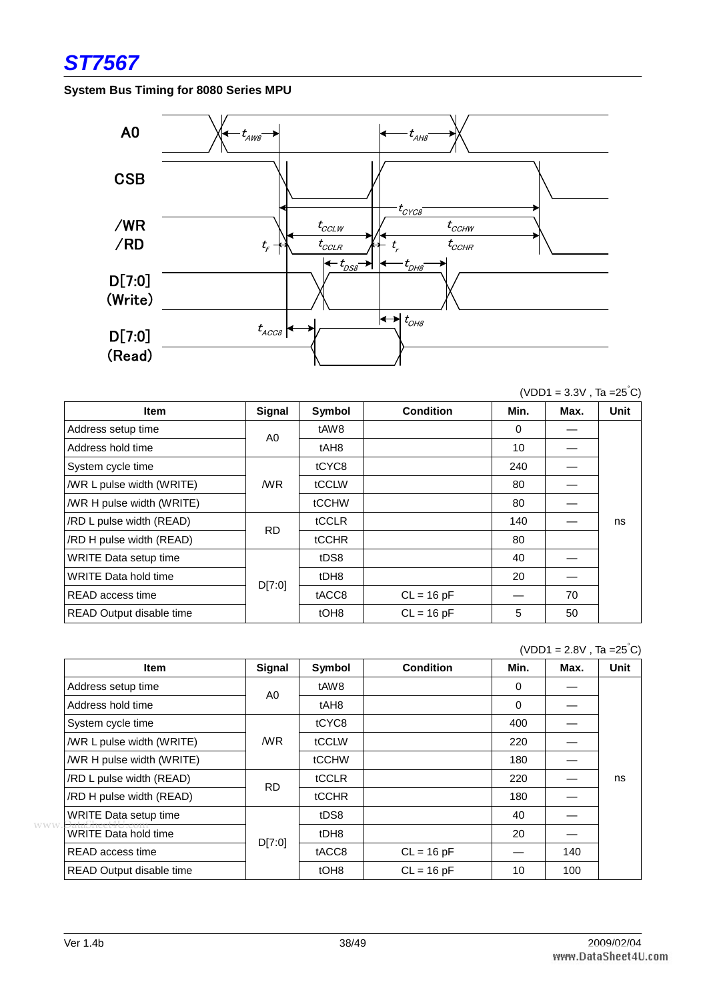

#### **System Bus Timing for 8080 Series MPU**



| <b>Item</b>                  | Signal         | Symbol           | <b>Condition</b> | Min.     | Max. | <b>Unit</b> |
|------------------------------|----------------|------------------|------------------|----------|------|-------------|
| Address setup time           | A <sub>0</sub> | tAW8             |                  | $\Omega$ |      |             |
| Address hold time            |                | tAH <sub>8</sub> |                  | 10       |      |             |
| System cycle time            |                | tCYC8            |                  | 240      |      |             |
| /WR L pulse width (WRITE)    | /WR            | tCCLW            |                  | 80       |      |             |
| /WR H pulse width (WRITE)    |                | tCCHW            |                  | 80       |      |             |
| /RD L pulse width (READ)     |                | tCCLR            |                  | 140      |      | ns          |
| /RD H pulse width (READ)     | <b>RD</b>      | tCCHR            |                  | 80       |      |             |
| <b>WRITE Data setup time</b> |                | tDS8             |                  | 40       |      |             |
| <b>WRITE Data hold time</b>  | D[7:0]         | tDH8             |                  | 20       |      |             |
| READ access time             |                | tACC8            | $CL = 16 pF$     |          | 70   |             |
| READ Output disable time     |                | tOH <sub>8</sub> | $CL = 16 pF$     | 5        | 50   |             |

|                                           |           |                  |                  |          | $(VDU1 = 2.8V, Ia = 25 C)$ |      |
|-------------------------------------------|-----------|------------------|------------------|----------|----------------------------|------|
| <b>Item</b>                               | Signal    | Symbol           | <b>Condition</b> | Min.     | Max.                       | Unit |
| Address setup time                        | A0        | tAW8             |                  | $\Omega$ |                            |      |
| Address hold time                         |           | tAH <sub>8</sub> |                  | $\Omega$ |                            |      |
| System cycle time                         |           | tCYC8            |                  | 400      |                            |      |
| <b>MR L pulse width (WRITE)</b>           | /WR       | tCCLW            |                  | 220      |                            |      |
| /WR H pulse width (WRITE)                 |           | tCCHW            |                  | 180      |                            |      |
| /RD L pulse width (READ)                  | <b>RD</b> | tCCLR            |                  | 220      |                            | ns   |
| /RD H pulse width (READ)                  |           | <b>tCCHR</b>     |                  | 180      |                            |      |
| <b>WRITE Data setup time</b>              |           | tDS8             |                  | 40       |                            |      |
| <b>WWW</b><br><b>WRITE Data hold time</b> |           | tDH8             |                  | 20       |                            |      |
| READ access time                          | D[7:0]    | tACC8            | $CL = 16 pF$     |          | 140                        |      |
| READ Output disable time                  |           | tOH <sub>8</sub> | $CL = 16 pF$     | 10       | 100                        |      |

 $(VDD1 = 3.3V, Ta = 25<sup>°</sup>C)$ 

 $\blacksquare$  (  $\blacksquare$   $\blacksquare$  )  $\blacksquare$   $\blacksquare$   $\blacksquare$   $\blacksquare$   $\blacksquare$   $\blacksquare$   $\blacksquare$   $\blacksquare$   $\blacksquare$   $\blacksquare$   $\blacksquare$   $\blacksquare$   $\blacksquare$   $\blacksquare$   $\blacksquare$   $\blacksquare$   $\blacksquare$   $\blacksquare$   $\blacksquare$   $\blacksquare$   $\blacksquare$   $\blacksquare$   $\blacksquare$   $\blacksquare$   $\blacksquare$   $\blacksquare$   $\blacksquare$   $\blacksquare$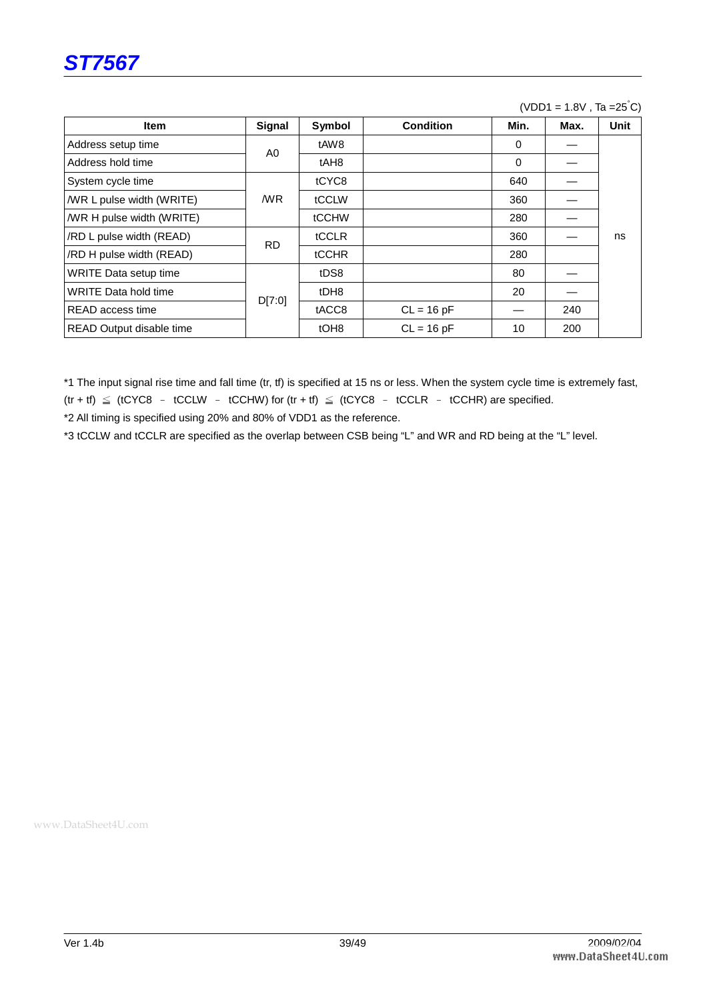

#### $(VDD1 = 1.8V$ , Ta = $25^{\circ}C$ )

| <b>Item</b>                 | Signal    | Symbol           | <b>Condition</b> | Min.     | Max. | <b>Unit</b> |
|-----------------------------|-----------|------------------|------------------|----------|------|-------------|
| Address setup time          | A0        | tAW8             |                  | 0        |      |             |
| Address hold time           |           | tAH <sub>8</sub> |                  | $\Omega$ |      |             |
| System cycle time           |           | tCYC8            |                  | 640      |      |             |
| /WR L pulse width (WRITE)   | /WR       | tCCLW            |                  | 360      |      |             |
| /WR H pulse width (WRITE)   |           | tCCHW            |                  | 280      |      |             |
| /RD L pulse width (READ)    | <b>RD</b> | tCCLR            |                  | 360      |      | ns          |
| /RD H pulse width (READ)    |           | <b>tCCHR</b>     |                  | 280      |      |             |
| WRITE Data setup time       |           | tDS8             |                  | 80       |      |             |
| <b>WRITE Data hold time</b> | D[7:0]    | tDH8             |                  | 20       |      |             |
| READ access time            |           | tACC8            | $CL = 16 pF$     |          | 240  |             |
| READ Output disable time    |           | tOH <sub>8</sub> | $CL = 16 pF$     | 10       | 200  |             |

\*1 The input signal rise time and fall time (tr, tf) is specified at 15 ns or less. When the system cycle time is extremely fast,  $(tr + tf) \leq (tCYC8 - tCCLW - tCCHW)$  for  $(tr + tf) \leq (tCYC8 - tCCLR - tCCHR)$  are specified.

\*2 All timing is specified using 20% and 80% of VDD1 as the reference.

\*3 tCCLW and tCCLR are specified as the overlap between CSB being "L" and WR and RD being at the "L" level.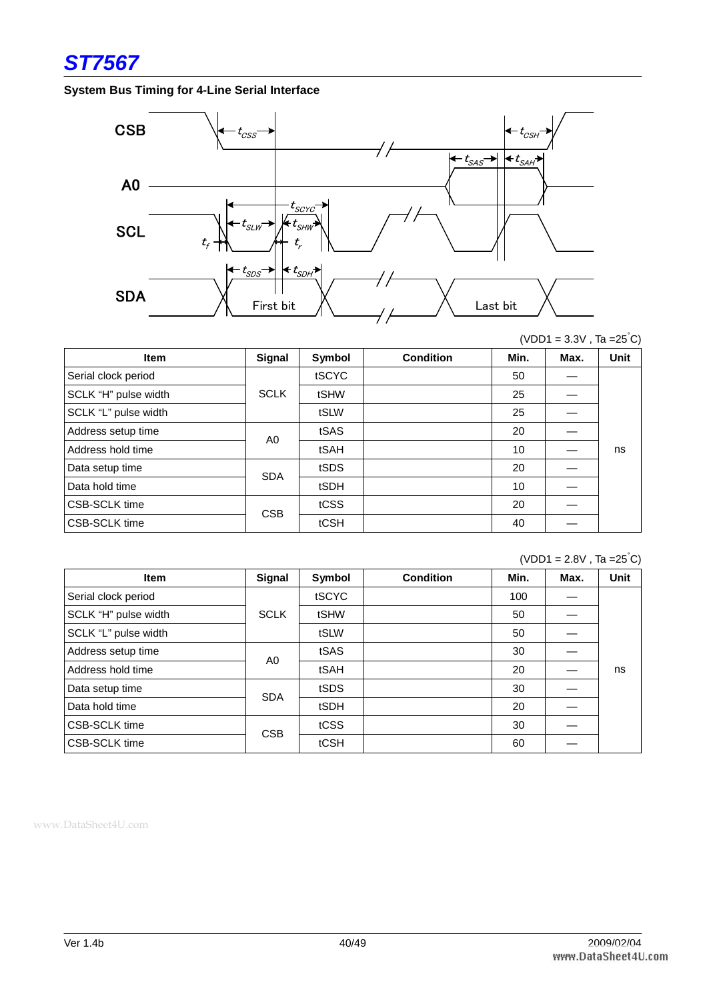

#### **System Bus Timing for 4-Line Serial Interface**



 $(VDD1 = 3.3V$ , Ta =25°C)

| <b>Item</b>          | Signal      | Symbol | <b>Condition</b> | Min. | Max. | <b>Unit</b> |
|----------------------|-------------|--------|------------------|------|------|-------------|
| Serial clock period  |             | tSCYC  |                  | 50   |      |             |
| SCLK "H" pulse width | <b>SCLK</b> | tSHW   |                  | 25   |      |             |
| SCLK "L" pulse width |             | tSLW   |                  | 25   |      |             |
| Address setup time   | A0          | tSAS   |                  | 20   |      |             |
| Address hold time    |             | tSAH   |                  | 10   |      | ns          |
| Data setup time      | <b>SDA</b>  | tSDS   |                  | 20   |      |             |
| Data hold time       |             | tSDH   |                  | 10   |      |             |
| <b>CSB-SCLK time</b> | <b>CSB</b>  | tCSS   |                  | 20   |      |             |
| <b>CSB-SCLK time</b> |             | tCSH   |                  | 40   |      |             |

 $(VDD1 = 2.8V$ , Ta = $25^{\circ}$ C)

| <b>Item</b>          | Signal      | Symbol | <b>Condition</b> | Min. | Max. | <b>Unit</b> |
|----------------------|-------------|--------|------------------|------|------|-------------|
| Serial clock period  |             | tSCYC  |                  | 100  |      |             |
| SCLK "H" pulse width | <b>SCLK</b> | tSHW   |                  | 50   |      |             |
| SCLK "L" pulse width |             | tSLW   |                  | 50   |      |             |
| Address setup time   | A0          | tSAS   |                  | 30   |      |             |
| Address hold time    |             | tSAH   |                  | 20   |      | ns          |
| Data setup time      | <b>SDA</b>  | tSDS   |                  | 30   |      |             |
| Data hold time       |             | tSDH   |                  | 20   |      |             |
| <b>CSB-SCLK</b> time | <b>CSB</b>  | tCSS   |                  | 30   |      |             |
| <b>CSB-SCLK</b> time |             | tCSH   |                  | 60   |      |             |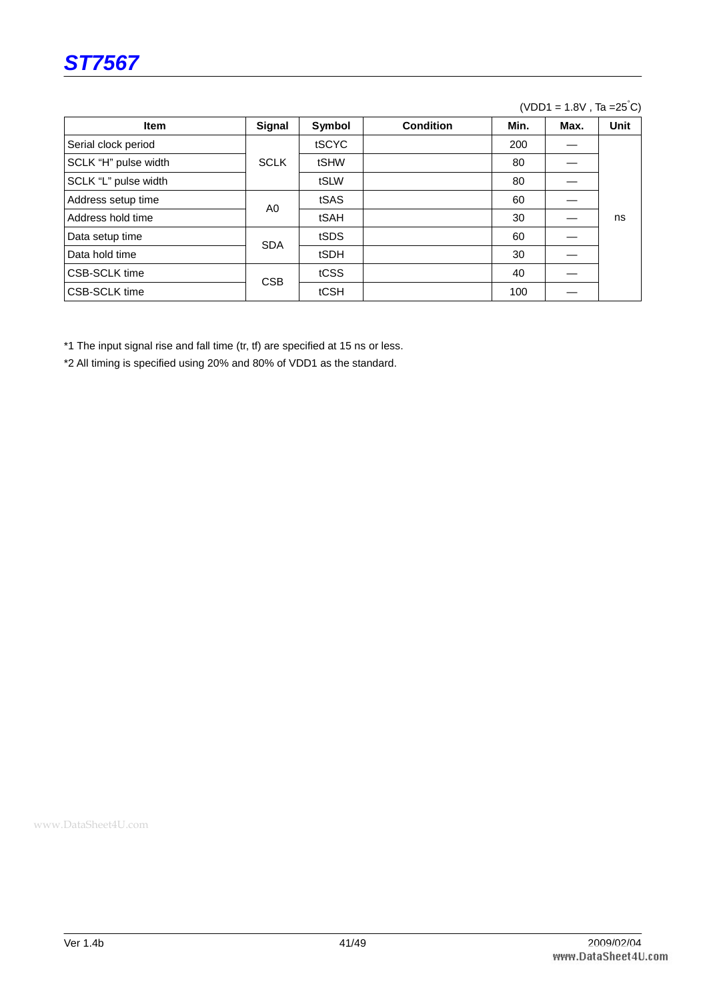

#### $(VDD1 = 1.8V, Ta = 25<sup>°</sup>C)$

| <b>Item</b>          | Signal      | Symbol | <b>Condition</b> | Min. | Max. | <b>Unit</b> |
|----------------------|-------------|--------|------------------|------|------|-------------|
| Serial clock period  |             | tSCYC  |                  | 200  |      |             |
| SCLK "H" pulse width | <b>SCLK</b> | tSHW   |                  | 80   |      |             |
| SCLK "L" pulse width |             | tSLW   |                  | 80   |      |             |
| Address setup time   | A0          | tSAS   |                  | 60   |      |             |
| Address hold time    |             | tSAH   |                  | 30   |      | ns          |
| Data setup time      | <b>SDA</b>  | tSDS   |                  | 60   |      |             |
| Data hold time       |             | tSDH   |                  | 30   |      |             |
| <b>CSB-SCLK</b> time | <b>CSB</b>  | tCSS   |                  | 40   |      |             |
| <b>CSB-SCLK</b> time |             | tCSH   |                  | 100  |      |             |

\*1 The input signal rise and fall time (tr, tf) are specified at 15 ns or less.

\*2 All timing is specified using 20% and 80% of VDD1 as the standard.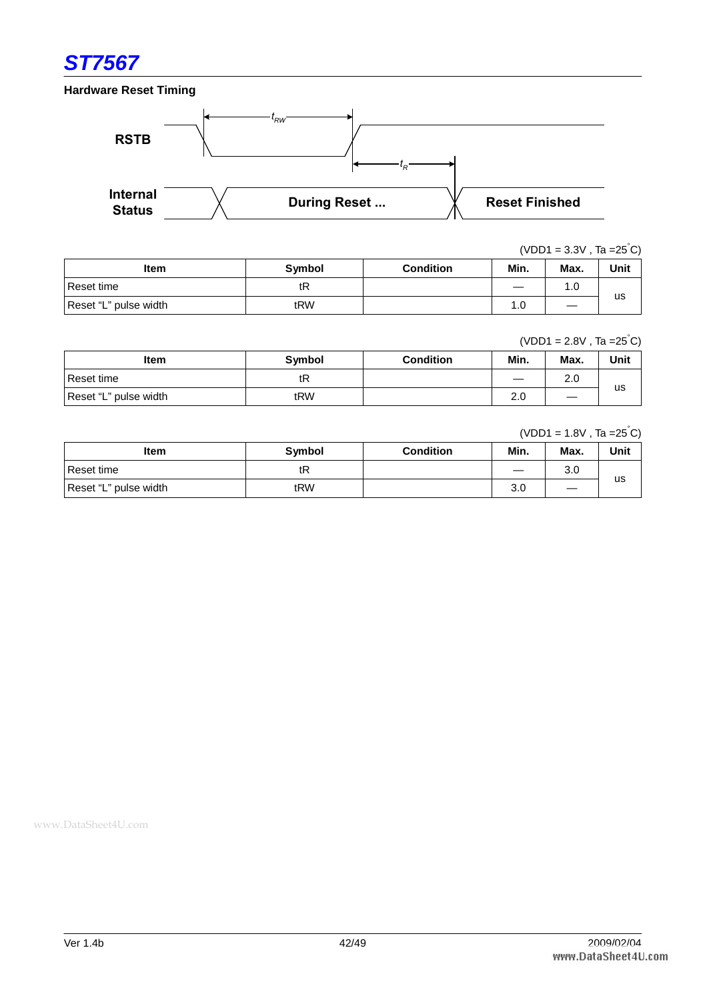

**Hardware Reset Timing** 



 $(VDD1 = 3.3V, Ta = 25<sup>°</sup>C)$ 

| Item                  | Symbol | <b>Condition</b> | Min.                     | Max. | Unit |
|-----------------------|--------|------------------|--------------------------|------|------|
| Reset time            | tR     |                  | $\overline{\phantom{a}}$ | 1.0  |      |
| Reset "L" pulse width | tRW    |                  | 0. ا                     |      | us   |

 $(VDD1 = 2.8V, Ta = 25<sup>°</sup>C)$ 

| Item                  | <b>Symbol</b> | <b>Condition</b> | Min. | Max.                          | Unit |
|-----------------------|---------------|------------------|------|-------------------------------|------|
| Reset time            | tR            |                  |      | 2.0                           |      |
| Reset "L" pulse width | tRW           |                  | 2.0  | $\overbrace{\phantom{12332}}$ | us   |

#### $(VDD1 = 1.8V, Ta = 25<sup>°</sup>C)$

| <b>Item</b>           | <b>Symbol</b> | <b>Condition</b> | Min.                            | Max. | Unit |
|-----------------------|---------------|------------------|---------------------------------|------|------|
| l Reset time          | tR            |                  | $\hspace{0.1mm}-\hspace{0.1mm}$ | 3.0  |      |
| Reset "L" pulse width | tRW           |                  | 3.0                             | —    | us   |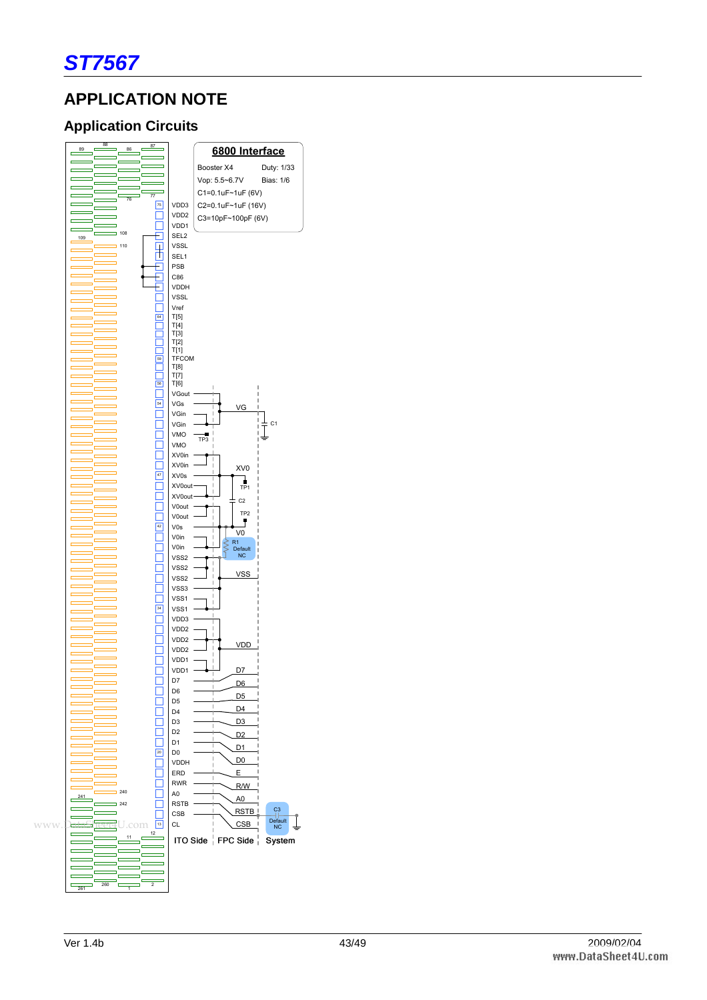

## **APPLICATION NOTE**

## **Application Circuits**

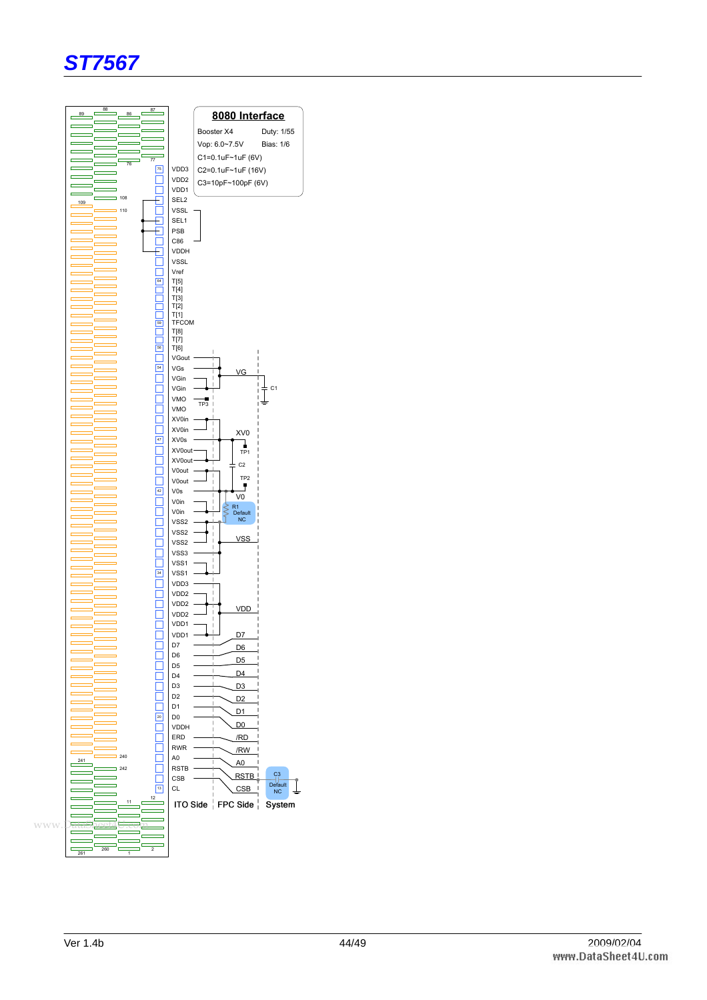

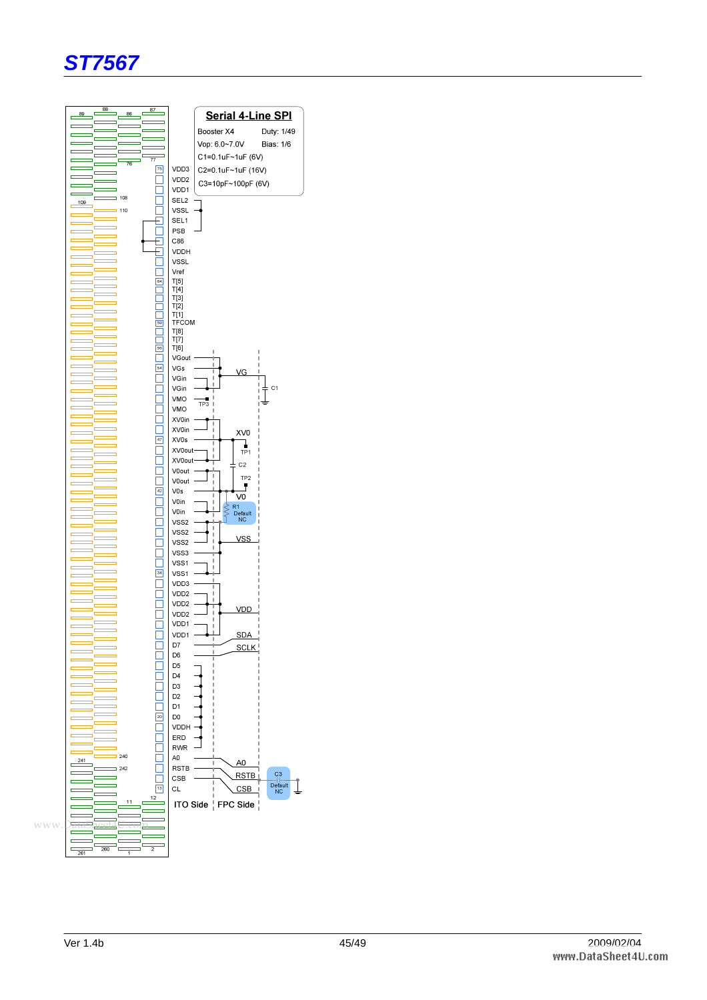

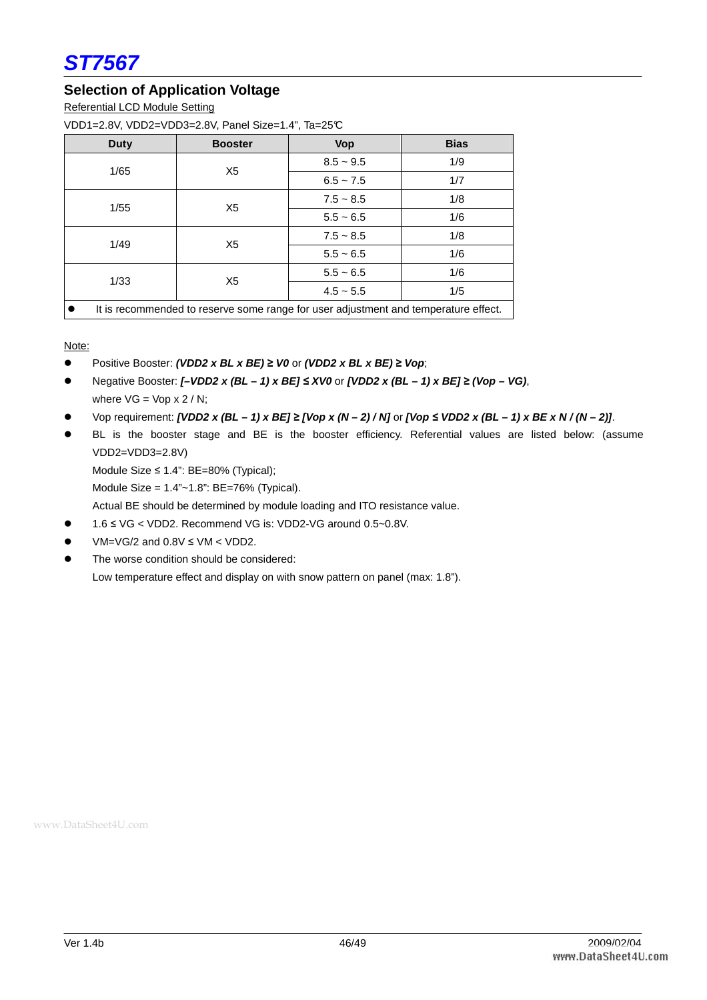

#### **Selection of Application Voltage**

Referential LCD Module Setting

VDD1=2.8V, VDD2=VDD3=2.8V, Panel Size=1.4", Ta=25°C

| <b>Duty</b>                                                                         | <b>Booster</b> | <b>Vop</b>  | <b>Bias</b> |  |
|-------------------------------------------------------------------------------------|----------------|-------------|-------------|--|
| 1/65                                                                                | X <sub>5</sub> | $8.5 - 9.5$ | 1/9         |  |
|                                                                                     |                | $6.5 - 7.5$ | 1/7         |  |
| 1/55                                                                                | X <sub>5</sub> | $7.5 - 8.5$ | 1/8         |  |
|                                                                                     |                | $5.5 - 6.5$ | 1/6         |  |
|                                                                                     | X <sub>5</sub> | $7.5 - 8.5$ | 1/8         |  |
| 1/49                                                                                |                | $5.5 - 6.5$ | 1/6         |  |
| 1/33                                                                                | X <sub>5</sub> | $5.5 - 6.5$ | 1/6         |  |
|                                                                                     |                | $4.5 - 5.5$ | 1/5         |  |
| It is recommended to reserve some range for user adjustment and temperature effect. |                |             |             |  |

Note:

- Positive Booster: **(VDD2 x BL x BE)** ≥ **V0** or **(VDD2 x BL x BE)** ≥ **Vop**;
- Negative Booster: **[–VDD2 x (BL 1) x BE]** ≤ **XV0** or **[VDD2 x (BL 1) x BE]** ≥ **(Vop VG)**, where  $VG = Vop \times 2 / N$ ;
- Vop requirement: **[VDD2 x (BL 1) x BE]** ≥ **[Vop x (N 2) / N]** or **[Vop** ≤ **VDD2 x (BL 1) x BE x N / (N 2)]**.
- BL is the booster stage and BE is the booster efficiency. Referential values are listed below: (assume VDD2=VDD3=2.8V)

Module Size ≤ 1.4": BE=80% (Typical);

Module Size = 1.4"~1.8": BE=76% (Typical).

Actual BE should be determined by module loading and ITO resistance value.

- 1.6 ≤ VG < VDD2. Recommend VG is: VDD2-VG around 0.5~0.8V.
- $\bullet$  VM=VG/2 and 0.8V  $\leq$  VM  $\lt$  VDD2.
- The worse condition should be considered: Low temperature effect and display on with snow pattern on panel (max: 1.8").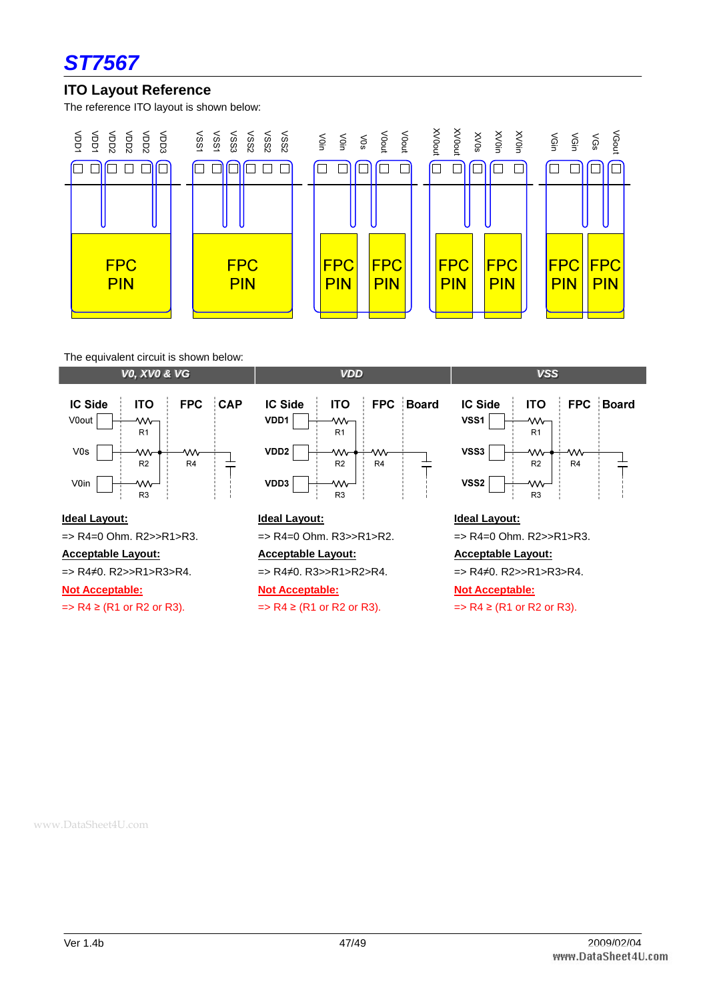

#### **ITO Layout Reference**

The reference ITO layout is shown below:



The equivalent circuit is shown below:

**VV00, , XXVV00&&VVGG VVDDDD VVSSSS**





#### **Ideal Layout:**

=> R4=0 Ohm. R2>>R1>R3.

**Acceptable Layout:**

=> R4≠0. R2>>R1>R3>R4.

**Not Acceptable:**

 $\Rightarrow$  R4  $\geq$  (R1 or R2 or R3).

#### **Ideal Layout:**

=> R4=0 Ohm. R3>>R1>R2.

**Acceptable Layout:**

=> R4≠0. R3>>R1>R2>R4.

#### **Not Acceptable:**

 $\Rightarrow$  R4  $\geq$  (R1 or R2 or R3).

#### **IC Side ITO** FPC Board  $VSS1$ w,  $R1$ VSS3 W  $R<sub>2</sub>$  $R4$ VSS<sub>2</sub> Ŵ R3

#### **Ideal Layout:**

=> R4=0 Ohm. R2>>R1>R3.

#### **Acceptable Layout:**

=> R4≠0. R2>>R1>R3>R4.

#### **Not Acceptable:**

 $\Rightarrow$  R4  $\geq$  (R1 or R2 or R3).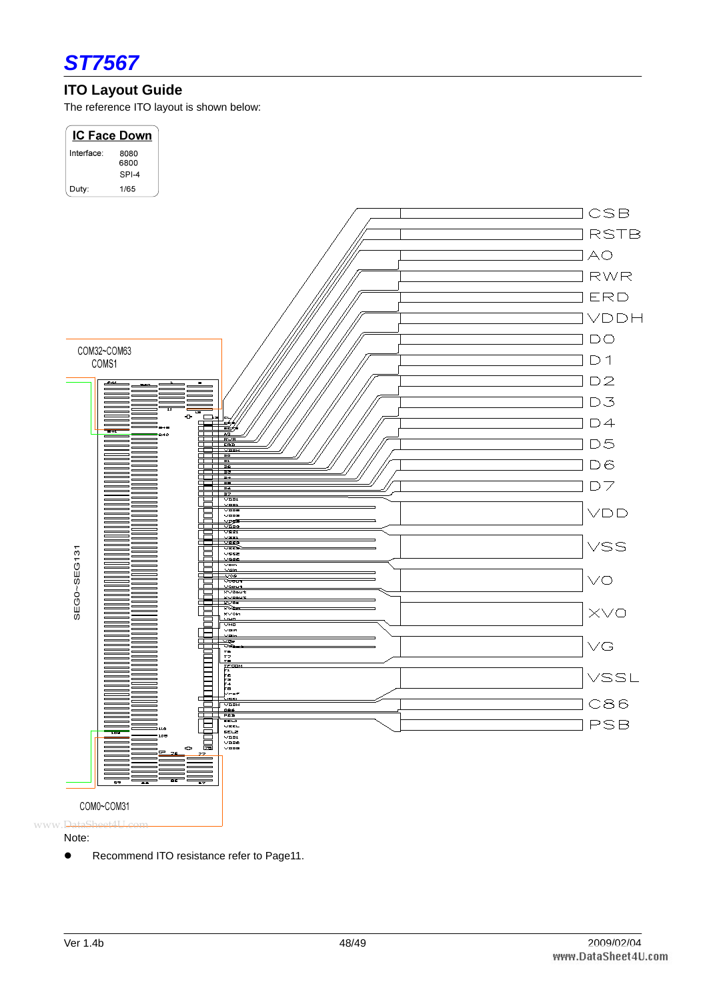

## **ITO Layout Guide**

The reference ITO layout is shown below:



Note:

**•** Recommend ITO resistance refer to Page11.